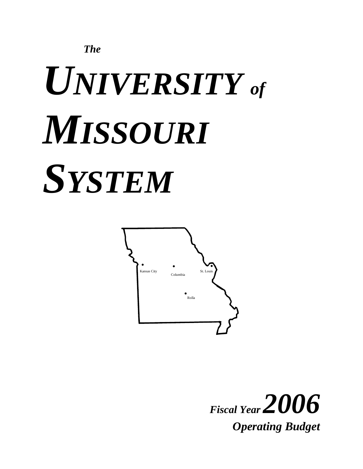

# *UNIVERSITY of MISSOURI SYSTEM*



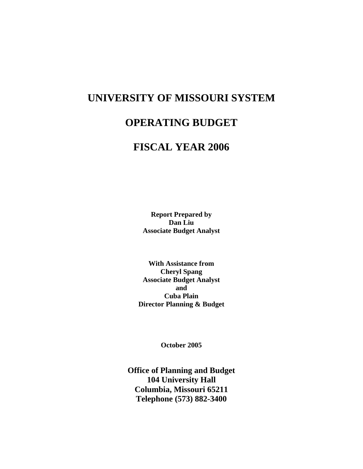# **UNIVERSITY OF MISSOURI SYSTEM**

# **OPERATING BUDGET**

# **FISCAL YEAR 2006**

**Report Prepared by Dan Liu Associate Budget Analyst** 

**With Assistance from Cheryl Spang Associate Budget Analyst and Cuba Plain Director Planning & Budget** 

**October 2005** 

**Office of Planning and Budget 104 University Hall Columbia, Missouri 65211 Telephone (573) 882-3400**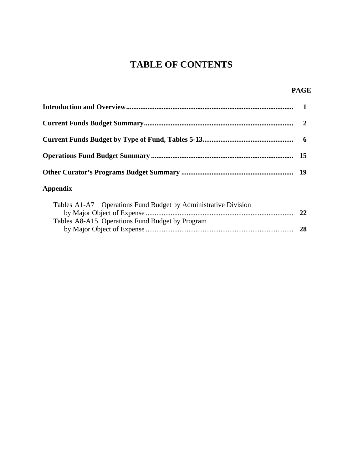# **TABLE OF CONTENTS**

## **PAGE**

# **Appendix**

| Tables A1-A7 Operations Fund Budget by Administrative Division |    |
|----------------------------------------------------------------|----|
|                                                                | 22 |
| Tables A8-A15 Operations Fund Budget by Program                |    |
|                                                                | 28 |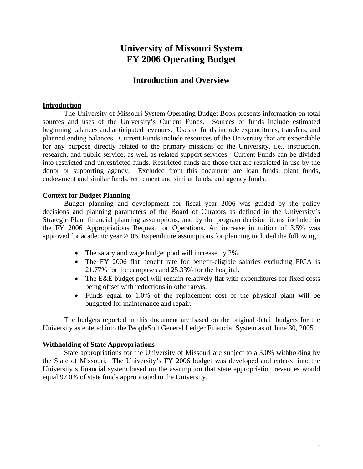# **University of Missouri System FY 2006 Operating Budget**

# **Introduction and Overview**

## **Introduction**

The University of Missouri System Operating Budget Book presents information on total sources and uses of the University's Current Funds. Sources of funds include estimated beginning balances and anticipated revenues. Uses of funds include expenditures, transfers, and planned ending balances. Current Funds include resources of the University that are expendable for any purpose directly related to the primary missions of the University, i.e., instruction, research, and public service, as well as related support services. Current Funds can be divided into restricted and unrestricted funds. Restricted funds are those that are restricted in use by the donor or supporting agency. Excluded from this document are loan funds, plant funds, endowment and similar funds, retirement and similar funds, and agency funds.

## **Context for Budget Planning**

Budget planning and development for fiscal year 2006 was guided by the policy decisions and planning parameters of the Board of Curators as defined in the University's Strategic Plan, financial planning assumptions, and by the program decision items included in the FY 2006 Appropriations Request for Operations. An increase in tuition of 3.5% was approved for academic year 2006. Expenditure assumptions for planning included the following:

- The salary and wage budget pool will increase by 2%.
- The FY 2006 flat benefit rate for benefit-eligible salaries excluding FICA is 21.77% for the campuses and 25.33% for the hospital.
- The E&E budget pool will remain relatively flat with expenditures for fixed costs being offset with reductions in other areas.
- Funds equal to 1.0% of the replacement cost of the physical plant will be budgeted for maintenance and repair.

The budgets reported in this document are based on the original detail budgets for the University as entered into the PeopleSoft General Ledger Financial System as of June 30, 2005.

## **Withholding of State Appropriations**

State appropriations for the University of Missouri are subject to a 3.0% withholding by the State of Missouri. The University's FY 2006 budget was developed and entered into the University's financial system based on the assumption that state appropriation revenues would equal 97.0% of state funds appropriated to the University.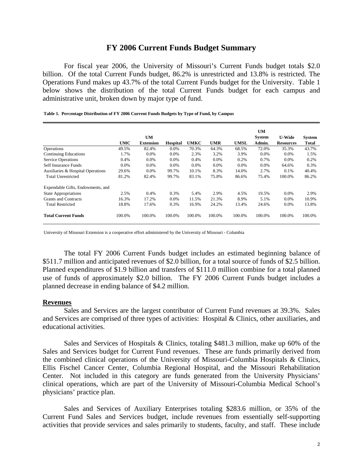## **FY 2006 Current Funds Budget Summary**

For fiscal year 2006, the University of Missouri's Current Funds budget totals \$2.0 billion. Of the total Current Funds budget, 86.2% is unrestricted and 13.8% is restricted. The Operations Fund makes up 43.7% of the total Current Funds budget for the University. Table 1 below shows the distribution of the total Current Funds budget for each campus and administrative unit, broken down by major type of fund.

|                                   |            |                  |                 |             |        |             | <b>UM</b>     |                  |               |
|-----------------------------------|------------|------------------|-----------------|-------------|--------|-------------|---------------|------------------|---------------|
|                                   |            | <b>UM</b>        |                 |             |        |             | <b>System</b> | <b>U-Wide</b>    | <b>System</b> |
|                                   | <b>UMC</b> | <b>Extension</b> | <b>Hospital</b> | <b>UMKC</b> | UMR    | <b>UMSL</b> | Admin.        | <b>Resources</b> | <b>Total</b>  |
| Operations                        | 49.5%      | 82.4%            | $0.0\%$         | 70.3%       | 64.3%  | 68.5%       | 72.0%         | 35.3%            | 43.7%         |
| <b>Continuing Educations</b>      | 1.7%       | 0.0%             | $0.0\%$         | 2.3%        | 3.2%   | 3.9%        | 0.0%          | $0.0\%$          | 1.5%          |
| <b>Service Operations</b>         | 0.4%       | 0.0%             | $0.0\%$         | 0.4%        | 0.0%   | 0.2%        | 0.7%          | $0.0\%$          | 0.2%          |
| Self Insurance Funds              | 0.0%       | 0.0%             | $0.0\%$         | 0.0%        | 0.0%   | $0.0\%$     | 0.0%          | 64.6%            | 0.3%          |
| Auxiliaries & Hospital Operations | 29.6%      | 0.0%             | 99.7%           | 10.1%       | 8.3%   | 14.0%       | 2.7%          | 0.1%             | 40.4%         |
| <b>Total Unrestricted</b>         | 81.2%      | 82.4%            | 99.7%           | 83.1%       | 75.8%  | 86.6%       | 75.4%         | 100.0%           | 86.2%         |
| Expendable Gifts, Endowments, and |            |                  |                 |             |        |             |               |                  |               |
| <b>State Appropriations</b>       | 2.5%       | 0.4%             | 0.3%            | 5.4%        | 2.9%   | 4.5%        | 19.5%         | $0.0\%$          | 2.9%          |
| <b>Grants and Contracts</b>       | 16.3%      | 17.2%            | $0.0\%$         | 11.5%       | 21.3%  | 8.9%        | 5.1%          | $0.0\%$          | 10.9%         |
| <b>Total Restricted</b>           | 18.8%      | 17.6%            | 0.3%            | 16.9%       | 24.2%  | 13.4%       | 24.6%         | $0.0\%$          | 13.8%         |
| <b>Total Current Funds</b>        | 100.0%     | 100.0%           | 100.0%          | 100.0%      | 100.0% | 100.0%      | 100.0%        | 100.0%           | 100.0%        |

**Table 1. Percentage Distribution of FY 2006 Current Funds Budgets by Type of Fund, by Campus**

University of Missouri Extension is a cooperative effort administered by the University of Missouri - Columbia

The total FY 2006 Current Funds budget includes an estimated beginning balance of \$511.7 million and anticipated revenues of \$2.0 billion, for a total source of funds of \$2.5 billion. Planned expenditures of \$1.9 billion and transfers of \$111.0 million combine for a total planned use of funds of approximately \$2.0 billion. The FY 2006 Current Funds budget includes a planned decrease in ending balance of \$4.2 million.

#### **Revenues**

Sales and Services are the largest contributor of Current Fund revenues at 39.3%. Sales and Services are comprised of three types of activities: Hospital & Clinics, other auxiliaries, and educational activities.

Sales and Services of Hospitals & Clinics, totaling \$481.3 million, make up 60% of the Sales and Services budget for Current Fund revenues. These are funds primarily derived from the combined clinical operations of the University of Missouri-Columbia Hospitals & Clinics, Ellis Fischel Cancer Center, Columbia Regional Hospital, and the Missouri Rehabilitation Center. Not included in this category are funds generated from the University Physicians' clinical operations, which are part of the University of Missouri-Columbia Medical School's physicians' practice plan.

Sales and Services of Auxiliary Enterprises totaling \$283.6 million, or 35% of the Current Fund Sales and Services budget, include revenues from essentially self-supporting activities that provide services and sales primarily to students, faculty, and staff. These include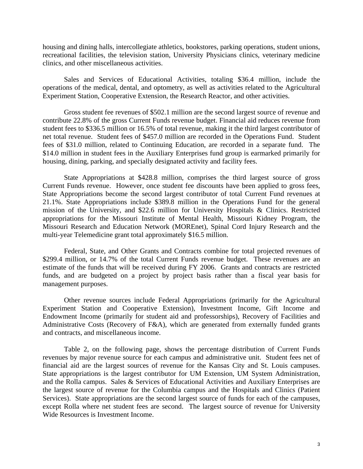housing and dining halls, intercollegiate athletics, bookstores, parking operations, student unions, recreational facilities, the television station, University Physicians clinics, veterinary medicine clinics, and other miscellaneous activities.

Sales and Services of Educational Activities, totaling \$36.4 million, include the operations of the medical, dental, and optometry, as well as activities related to the Agricultural Experiment Station, Cooperative Extension, the Research Reactor, and other activities.

Gross student fee revenues of \$502.1 million are the second largest source of revenue and contribute 22.8% of the gross Current Funds revenue budget. Financial aid reduces revenue from student fees to \$336.5 million or 16.5% of total revenue, making it the third largest contributor of net total revenue. Student fees of \$457.0 million are recorded in the Operations Fund. Student fees of \$31.0 million, related to Continuing Education, are recorded in a separate fund. The \$14.0 million in student fees in the Auxiliary Enterprises fund group is earmarked primarily for housing, dining, parking, and specially designated activity and facility fees.

State Appropriations at \$428.8 million, comprises the third largest source of gross Current Funds revenue. However, once student fee discounts have been applied to gross fees, State Appropriations become the second largest contributor of total Current Fund revenues at 21.1%. State Appropriations include \$389.8 million in the Operations Fund for the general mission of the University, and \$22.6 million for University Hospitals & Clinics. Restricted appropriations for the Missouri Institute of Mental Health, Missouri Kidney Program, the Missouri Research and Education Network (MOREnet), Spinal Cord Injury Research and the multi-year Telemedicine grant total approximately \$16.5 million.

Federal, State, and Other Grants and Contracts combine for total projected revenues of \$299.4 million, or 14.7% of the total Current Funds revenue budget. These revenues are an estimate of the funds that will be received during FY 2006. Grants and contracts are restricted funds, and are budgeted on a project by project basis rather than a fiscal year basis for management purposes.

Other revenue sources include Federal Appropriations (primarily for the Agricultural Experiment Station and Cooperative Extension), Investment Income, Gift Income and Endowment Income (primarily for student aid and professorships), Recovery of Facilities and Administrative Costs (Recovery of F&A), which are generated from externally funded grants and contracts, and miscellaneous income.

Table 2, on the following page, shows the percentage distribution of Current Funds revenues by major revenue source for each campus and administrative unit. Student fees net of financial aid are the largest sources of revenue for the Kansas City and St. Louis campuses. State appropriations is the largest contributor for UM Extension, UM System Administration, and the Rolla campus. Sales & Services of Educational Activities and Auxiliary Enterprises are the largest source of revenue for the Columbia campus and the Hospitals and Clinics (Patient Services). State appropriations are the second largest source of funds for each of the campuses, except Rolla where net student fees are second. The largest source of revenue for University Wide Resources is Investment Income.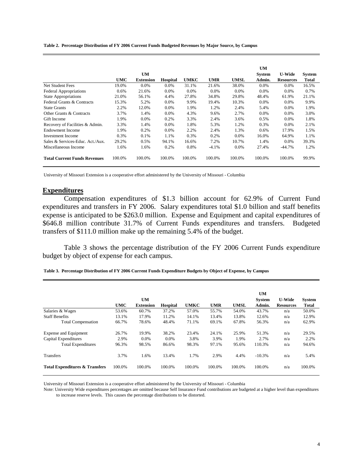**Table 2. Percentage Distribution of FY 2006 Current Funds Budgeted Revenues by Major Source, by Campus**

|                                     |            |                  |          |             |            |             | <b>UM</b>     |                  |        |
|-------------------------------------|------------|------------------|----------|-------------|------------|-------------|---------------|------------------|--------|
|                                     |            | <b>UM</b>        |          |             |            |             | <b>System</b> | <b>U-Wide</b>    | System |
|                                     | <b>UMC</b> | <b>Extension</b> | Hospital | <b>UMKC</b> | <b>UMR</b> | <b>UMSL</b> | Admin.        | <b>Resources</b> | Total  |
| <b>Net Student Fees</b>             | 19.0%      | $0.0\%$          | $0.0\%$  | 31.1%       | 21.6%      | 38.0%       | $0.0\%$       | 0.0%             | 16.5%  |
| <b>Federal Appropriations</b>       | 0.6%       | 21.6%            | $0.0\%$  | 0.0%        | $0.0\%$    | $0.0\%$     | $0.0\%$       | 0.0%             | 0.7%   |
| <b>State Appropriations</b>         | 21.0%      | 56.1%            | 4.4%     | 27.8%       | 34.8%      | 29.8%       | 48.4%         | 61.9%            | 21.1%  |
| Federal Grants & Contracts          | 15.3%      | 5.2%             | 0.0%     | 9.9%        | 19.4%      | 10.3%       | $0.0\%$       | $0.0\%$          | 9.9%   |
| <b>State Grants</b>                 | 2.2%       | 12.0%            | $0.0\%$  | 1.9%        | 1.2%       | 2.4%        | 5.4%          | 0.0%             | 1.9%   |
| Other Grants & Contracts            | 3.7%       | 1.4%             | $0.0\%$  | 4.3%        | 9.6%       | 2.7%        | $0.0\%$       | 0.0%             | 3.0%   |
| Gift Income                         | 1.9%       | $0.0\%$          | 0.2%     | 3.3%        | 2.4%       | 3.6%        | 0.5%          | $0.0\%$          | 1.8%   |
| Recovery of Facilities & Admin.     | 3.3%       | 1.4%             | $0.0\%$  | 1.8%        | 5.3%       | 1.2%        | 0.3%          | 0.0%             | 2.1%   |
| Endowment Income                    | 1.9%       | 0.2%             | $0.0\%$  | 2.2%        | 2.4%       | 1.3%        | 0.6%          | 17.9%            | 1.5%   |
| <b>Investment Income</b>            | 0.3%       | 0.1%             | 1.1%     | 0.3%        | 0.2%       | $0.0\%$     | 16.0%         | 64.9%            | 1.1%   |
| Sales & Services-Educ. Act./Aux.    | 29.2%      | 0.5%             | 94.1%    | 16.6%       | 7.2%       | 10.7%       | 1.4%          | $0.0\%$          | 39.3%  |
| Miscellaneous Income                | 1.6%       | 1.6%             | 0.2%     | 0.8%        | $-4.1%$    | 0.0%        | 27.4%         | -44.7%           | 1.2%   |
| <b>Total Current Funds Revenues</b> | 100.0%     | 100.0%           | 100.0%   | 100.0%      | 100.0%     | 100.0%      | 100.0%        | 100.0%           | 99.9%  |

University of Missouri Extension is a cooperative effort administered by the University of Missouri - Columbia

#### **Expenditures**

 Compensation expenditures of \$1.3 billion account for 62.9% of Current Fund expenditures and transfers in FY 2006. Salary expenditures total \$1.0 billion and staff benefits expense is anticipated to be \$263.0 million. Expense and Equipment and capital expenditures of \$646.8 million contribute 31.7% of Current Funds expenditures and transfers. Budgeted transfers of \$111.0 million make up the remaining 5.4% of the budget.

Table 3 shows the percentage distribution of the FY 2006 Current Funds expenditure budget by object of expense for each campus.

|                                           |        |                  |                 |             |            |             | <b>UM</b>     |                  |              |
|-------------------------------------------|--------|------------------|-----------------|-------------|------------|-------------|---------------|------------------|--------------|
|                                           |        | UM               |                 |             |            |             | <b>System</b> | <b>U-Wide</b>    | System       |
|                                           | UMC    | <b>Extension</b> | <b>Hospital</b> | <b>UMKC</b> | <b>UMR</b> | <b>UMSL</b> | Admin.        | <b>Resources</b> | <b>Total</b> |
| Salaries & Wages                          | 53.6%  | 60.7%            | 37.2%           | 57.0%       | 55.7%      | 54.0%       | 43.7%         | n/a              | 50.0%        |
| <b>Staff Benefits</b>                     | 13.1%  | 17.9%            | 11.2%           | 14.1%       | 13.4%      | 13.8%       | 12.6%         | n/a              | 12.9%        |
| <b>Total Compensation</b>                 | 66.7%  | 78.6%            | 48.4%           | 71.1%       | 69.1%      | 67.8%       | 56.3%         | n/a              | 62.9%        |
| <b>Expense and Equipment</b>              | 26.7%  | 19.9%            | 38.2%           | 23.4%       | 24.1%      | 25.9%       | 51.3%         | n/a              | 29.5%        |
| Capital Expenditures                      | 2.9%   | 0.0%             | 0.0%            | 3.8%        | 3.9%       | 1.9%        | 2.7%          | n/a              | 2.2%         |
| <b>Total Expenditures</b>                 | 96.3%  | 98.5%            | 86.6%           | 98.3%       | 97.1%      | 95.6%       | 110.3%        | n/a              | 94.6%        |
| Transfers                                 | 3.7%   | 1.6%             | 13.4%           | 1.7%        | 2.9%       | 4.4%        | $-10.3%$      | n/a              | 5.4%         |
| <b>Total Expenditures &amp; Transfers</b> | 100.0% | 100.0%           | 100.0%          | 100.0%      | 100.0%     | 100.0%      | 100.0%        | n/a              | 100.0%       |

University of Missouri Extension is a cooperative effort administered by the University of Missouri - Columbia

Note: University Wide expenditures percentages are omitted because Self Insurance Fund contributions are budgeted at a higher level than expenditures to increase reserve levels. This causes the percentage distributions to be distorted.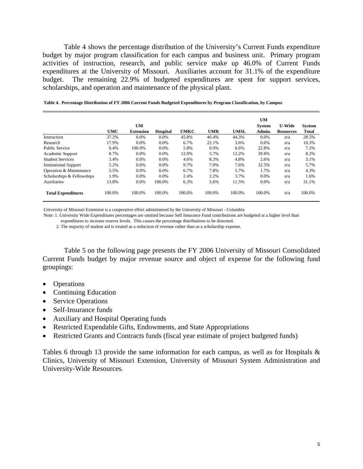Table 4 shows the percentage distribution of the University's Current Funds expenditure budget by major program classification for each campus and business unit. Primary program activities of instruction, research, and public service make up 46.0% of Current Funds expenditures at the University of Missouri. Auxiliaries account for 31.1% of the expenditure budget. The remaining 22.9% of budgeted expenditures are spent for support services, scholarships, and operation and maintenance of the physical plant.

|                              |            |                  |                 |             |            |             | <b>UM</b>     |                  |               |
|------------------------------|------------|------------------|-----------------|-------------|------------|-------------|---------------|------------------|---------------|
|                              |            | UM               |                 |             |            |             | <b>System</b> | <b>U-Wide</b>    | <b>System</b> |
|                              | <b>UMC</b> | <b>Extension</b> | <b>Hospital</b> | <b>UMKC</b> | <b>UMR</b> | <b>UMSL</b> | Admin.        | <b>Resources</b> | Total         |
| Instruction                  | 37.2%      | 0.0%             | 0.0%            | 45.8%       | 40.4%      | 44.3%       | 0.0%          | n/a              | 28.5%         |
| Research                     | 17.9%      | 0.0%             | 0.0%            | 6.7%        | 22.1%      | 3.6%        | 0.6%          | n/a              | 10.3%         |
| <b>Public Service</b>        | 6.4%       | 100.0%           | 0.0%            | 5.8%        | 0.9%       | 6.6%        | 22.8%         | n/a              | 7.2%          |
| Academic Support             | 8.7%       | 0.0%             | 0.0%            | 12.0%       | 5.7%       | 12.2%       | 39.8%         | n/a              | 8.2%          |
| <b>Student Services</b>      | 3.4%       | 0.0%             | 0.0%            | 4.6%        | 8.3%       | 4.8%        | 2.6%          | n/a              | 3.1%          |
| <b>Institutional Support</b> | 5.2%       | 0.0%             | 0.0%            | 9.7%        | 7.0%       | 7.6%        | 32.5%         | n/a              | 5.7%          |
| Operation & Maintenance      | 5.5%       | $0.0\%$          | 0.0%            | 6.7%        | 7.8%       | 5.7%        | 1.7%          | n/a              | 4.3%          |
| Scholarships & Fellowships   | 1.9%       | 0.0%             | 0.0%            | 2.4%        | 2.2%       | 3.7%        | 0.0%          | n/a              | 1.6%          |
| <b>Auxiliaries</b>           | 13.8%      | 0.0%             | 100.0%          | 6.3%        | 5.6%       | 11.5%       | 0.0%          | n/a              | 31.1%         |
| <b>Total Expenditures</b>    | 100.0%     | 100.0%           | 100.0%          | 100.0%      | 100.0%     | 100.0%      | 100.0%        | n/a              | 100.0%        |

**Table 4. Percentage Distribution of FY 2006 Current Funds Budgeted Expenditures by Program Classification, by Campus**

University of Missouri Extension is a cooperative effort administered by the University of Missouri - Columbia

Note: 1. University Wide Expenditures percentages are omitted because Self Insurance Fund contributions are budgeted at a higher level than

expenditures to increase reserve levels. This causes the percentage distributions to be distorted.

2. The majority of student aid is treated as a reduction of revenue rather than as a scholarship expense.

Table 5 on the following page presents the FY 2006 University of Missouri Consolidated Current Funds budget by major revenue source and object of expense for the following fund groupings:

- Operations
- Continuing Education
- Service Operations
- Self-Insurance funds
- Auxiliary and Hospital Operating funds
- Restricted Expendable Gifts, Endowments, and State Appropriations
- Restricted Grants and Contracts funds (fiscal year estimate of project budgeted funds)

Tables 6 through 13 provide the same information for each campus, as well as for Hospitals & Clinics, University of Missouri Extension, University of Missouri System Administration and University-Wide Resources.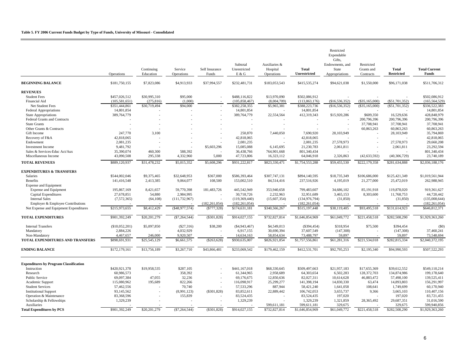#### **Table 5. FY 2006 Current Funds Budget by Type of Funds, University of Missouri - Consolidated**

 $\overline{\phantom{a}}$ 

|                                               | Operations      | Continuing<br>Education | Service<br>Operations | Self Insurance<br>Funds | Subtotal<br>Unrestricted<br>E & G | Auxiliaries &<br>Hospital<br>Operations | Total<br>Unrestricted | Restricted<br>Expendable<br>Gifts,<br>Endowments, and<br>State<br>Appropriations | Restricted<br>Grants and<br>Contracts | <b>Total</b><br><b>Restricted</b> | <b>Total Current</b><br><b>Funds</b> |
|-----------------------------------------------|-----------------|-------------------------|-----------------------|-------------------------|-----------------------------------|-----------------------------------------|-----------------------|----------------------------------------------------------------------------------|---------------------------------------|-----------------------------------|--------------------------------------|
| <b>BEGINNING BALANCE</b>                      | \$181,750,155   | \$7,823,086             | \$4,913,933           | \$37,994,557            | \$232,481,731                     | \$183,053,543                           | \$415,535,274         | \$94,621,038                                                                     | \$1,550,000                           | \$96,171,038                      | \$511,706,312                        |
| <b>REVENUES</b>                               |                 |                         |                       |                         |                                   |                                         |                       |                                                                                  |                                       |                                   |                                      |
| <b>Student Fees</b>                           | \$457,026,512   | \$30,995,310            | \$95,000              |                         | \$488,116,822                     | \$13,970,090                            | \$502,086,912         |                                                                                  |                                       |                                   | \$502,086,912                        |
| Financial Aid                                 | (105, 581, 651) | (275, 816)              | (1,000)               |                         | (105, 858, 467)                   | (8,004,709)                             | (113, 863, 176)       | (\$16,536,352)                                                                   | (\$35,165,000)                        | (\$51,701,352)                    | (165, 564, 529)                      |
| Net Student Fees                              | \$351,444,861   | \$30,719,494            | \$94,000              |                         | \$382,258,355                     | \$5,965,381                             | \$388,223,736         | (\$16,536,352)                                                                   | (\$35,165,000)                        | $(\$51,701,352)$                  | \$336,522,383                        |
| Federal Appropriations                        | 14,801,854      |                         |                       |                         | 14,801,854                        |                                         | 14,801,854            |                                                                                  |                                       |                                   | 14,801,854                           |
| <b>State Appropriations</b>                   | 389,764,779     |                         |                       |                         | 389,764,779                       | 22,554,564                              | 412,319,343           | \$15,920,286                                                                     | \$609,350                             | 16,529,636                        | 428,848,979                          |
| Federal Grants and Contracts                  |                 |                         |                       |                         |                                   |                                         |                       |                                                                                  | 200,796,396                           | 200,796,396                       | 200,796,396                          |
| <b>State Grants</b>                           |                 |                         |                       |                         |                                   |                                         |                       |                                                                                  | 37,708,941                            | 37,708,941                        | 37,708,941                           |
| Other Grants & Contracts                      |                 |                         |                       |                         |                                   |                                         |                       |                                                                                  | 60,863,263                            | 60,863,263                        | 60,863,263                           |
| Gift Income                                   | 247,770         | 3,100                   |                       |                         | 250,870                           | 7,440,050                               | 7,690,920             | 28,103,949                                                                       |                                       | 28,103,949                        | 35,794,869                           |
| Recovery of F&A                               | 42,818,065      |                         |                       |                         | 42,818,065                        |                                         | 42,818,065            |                                                                                  |                                       |                                   | 42,818,065                           |
| Endowment                                     | 2,081,235       |                         |                       |                         | 2,081,235                         |                                         | 2,081,235             | 27,578,973                                                                       |                                       | 27,578,973                        | 29,660,208                           |
| <b>Investment Income</b>                      | 9,481,792       |                         |                       | \$5,603,296             | 15,085,088                        | 6,145,695                               | 21,230,783            | 2,061,811                                                                        |                                       | 2,061,811                         | 23,292,594                           |
| Sales & Services-Educ Act/Aux                 | 35,390,074      | 460,300                 | 588,392               |                         | 36,438,766                        | 764,901,668                             | 801,340,434           |                                                                                  |                                       |                                   | 801,340,434                          |
|                                               |                 |                         |                       |                         |                                   |                                         |                       |                                                                                  |                                       |                                   |                                      |
| Miscellaneous Income                          | 43,090,508      | 295,338                 | 4,332,960             | 5,000                   | 47,723,806                        | 16,323,112                              | 64,046,918            | 2,326,863                                                                        | (42, 633, 592)                        | (40, 306, 729)                    | 23,740,189                           |
| <b>TOTAL REVENUES</b>                         | \$889,120,937   | \$31,478,232            | \$5,015,352           | \$5,608,296             | \$931,222,817                     | \$823,330,471                           | \$1,754,553,288       | \$59,455,530                                                                     | \$222,179,358                         | \$281,634,888                     | \$2,036,188,176                      |
| <b>EXPENDITURES &amp; TRANSFERS</b>           |                 |                         |                       |                         |                                   |                                         |                       |                                                                                  |                                       |                                   |                                      |
| <b>Salaries</b>                               | \$544,002,046   | \$9,375,465             | \$32,648,953          | \$367,000               | \$586,393,464                     | \$307,747,131                           | \$894,140,595         | \$18,735,349                                                                     | \$106,686,000                         | \$125,421,349                     | \$1,019,561,944                      |
| <b>Benefits</b>                               | 141,416,548     | 2,413,385               | 9,064,077             | 108,500                 | 153,002,510                       | 84,514,416                              | 237,516,926           | 4,195,019                                                                        | 21,277,000                            | 25,472,019                        | 262,988,945                          |
| <b>Expense and Equipment</b>                  |                 |                         |                       |                         |                                   |                                         |                       |                                                                                  |                                       |                                   |                                      |
| <b>Expense and Equipment</b>                  | 195,867,169     | 8,421,657               | 59,770,398            | 181,483,726             | 445,542,949                       | 353,940,658                             | 799,483,607           | 34,686,102                                                                       | 85,191,918                            | 119,878,020                       | 919,361,627                          |
| Capital Expenditures                          | 27,678,851      | 54,880                  | 2,984,995             |                         | 30,718,726                        | 2,232,963                               | 32,951,689            | 3,465,153                                                                        | 8,303,600                             | 11,768,753                        | 44,720,442                           |
| <b>Internal Sales</b>                         | (7,572,365)     | (64, 108)               | (111, 732, 967)       |                         | (119, 369, 440)                   | (15,607,354)                            | (134, 976, 794)       | (31, 850)                                                                        |                                       | (31, 850)                         | (135,008,644)                        |
| Employer & Employee Contributions             |                 |                         |                       | (182, 261, 054)         | (182, 261, 054)                   |                                         | (182, 261, 054)       |                                                                                  |                                       |                                   | (182, 261, 054)                      |
| Net Expense and Equipment Expenditures        | \$215,973,655   | \$8,412,429             | (\$48,977,574)        | ( \$777, 328)           | \$174,631,181                     | \$340,566,267                           | \$515,197,448         | \$38,119,405                                                                     | \$93,495,518                          | \$131,614,923                     | \$646,812,371                        |
| <b>TOTAL EXPENDITURES</b>                     | \$901,392,249   | \$20,201,279            | $(\$7,264,544)$       | $(\$301,828)$           | \$914,027,155                     | \$732,827,814                           | \$1,646,854,969       | \$61,049,772                                                                     | \$221,458,518                         | \$282,508,290                     | \$1,929,363,260                      |
| <b>Internal Transfers</b>                     | (S10,052,201)   | \$5,097,850             | (S27,316)             | \$38,200                | ( \$4, 943, 467)                  | \$4,549,013                             | (\$394,454)           | \$318,954                                                                        | \$75,500                              | \$394,454                         | (50)                                 |
| Mandatory                                     | 2,884,226       |                         | 4,032,929             |                         | 6,917,155                         | 30,690,394                              | 37,607,549            | (147, 308)                                                                       |                                       | (147, 308)                        | 37,460,241                           |
| Non-Mandatory                                 | 4,467,657       | 246,000                 | 9,920,507             |                         | 14,634,163                        | 58,854,634                              | 73,488,797            | 59,897                                                                           |                                       | 59,897                            | 73,548,694                           |
| TOTAL EXPENDITURES AND TRANSFERS              | \$898,691,931   | \$25,545,129            | \$6,661,575           | (\$263,628)             | \$930,635,007                     | \$826,921,854                           | \$1,757,556,861       | \$61,281,316                                                                     | \$221,534,018                         | $\overline{$282,815,334}$         | \$2,040,372,195                      |
| <b>ENDING BALANCE</b>                         | \$172,179,161   | \$13,756,189            | \$3,267,710           | \$43,866,481            | \$233,069,542                     | \$179,462,159                           | \$412,531,701         | \$92,795,253                                                                     | \$2,195,340                           | \$94,990,593                      | \$507,522,293                        |
| <b>Expenditures by Program Classification</b> |                 |                         |                       |                         |                                   |                                         |                       |                                                                                  |                                       |                                   |                                      |
| Instruction                                   | \$420,921,378   | \$19,958,535            | \$287,105             |                         | \$441,167,018                     | \$68,330,645                            | \$509,497,663         | \$21,957,183                                                                     | \$17,655,369                          | \$39,612,552                      | \$549,110,214                        |
|                                               |                 |                         | 358,392               |                         | 61,344,965                        | 2,958,689                               | 64,303,654            | 6,502,283                                                                        | 128,372,703                           | 134,874,986                       | 199,178,640                          |
| Research                                      | 60,986,573      |                         |                       |                         |                                   |                                         |                       |                                                                                  |                                       |                                   |                                      |
| <b>Public Service</b>                         | 69,097,384      | 47,055                  | 32,236<br>822,266     |                         | 69,176,675                        | 12,850,636                              | 82,027,311            | 10,614,628                                                                       | 46,883,472                            | 57,498,100                        | 139,525,411                          |
| Academic Support                              | 115,080,962     | 195,689                 |                       |                         | 116,098,917                       | 25,299,277                              | 141,398,194           | 14,830,330                                                                       | 63,474                                | 14,893,803                        | 156,291,997                          |
| <b>Student Services</b>                       | 57,462,556      |                         | 70,740                |                         | 57,533,296                        | 887,944                                 | 58,421,240            | 1,641,058                                                                        | 108,641                               | 1,749,699                         | 60,170,940                           |
| <b>Institutional Support</b>                  | 93,145,562      |                         | (8,991,123)           | ( \$301, 828)           | 83,852,611                        | 22,889,442                              | 106,742,053           | 3,655,737                                                                        | 9,366                                 | 3,665,103                         | 110,407,156                          |
| Operation & Maintenance                       | 83,368,596      |                         | 155,839               |                         | 83,524,435                        |                                         | 83,524,435            | 197,020                                                                          |                                       | 197,020                           | 83,721,455                           |
| Scholarship & Fellowships                     | 1,329,239       |                         |                       |                         | 1,329,239                         |                                         | 1,329,239             | 1,321,859                                                                        | 28,365,492                            | 29,687,351                        | 31,016,590                           |
| Auxiliaries                                   |                 |                         |                       |                         |                                   | 599,611,181                             | 599,611,181           | 329,675                                                                          |                                       | 329,675                           | 599,940,856                          |
| <b>Total Expenditures by PCS</b>              | \$901,392,249   | \$20,201,279            | (\$7,264,544)         | ( \$301, 828)           | \$914,027,155                     | \$732,827,814                           | \$1,646,854,969       | \$61,049,772                                                                     | \$221,458,518                         | \$282,508,290                     | \$1,929,363,260                      |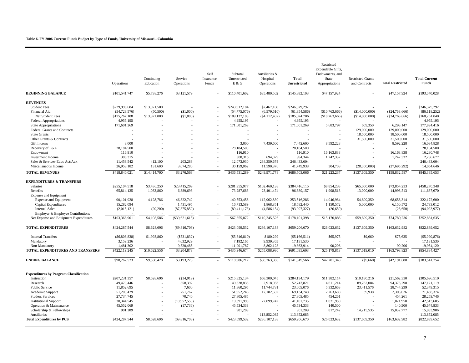#### **Table 6. FY 2006 Current Funds Budget by Type of Funds, University of Missouri - Columbia**

|                                               | Operations     | Continuing<br>Education | Service<br>Operations | Self<br>Insurance<br>Funds | Subtotal<br>Unrestricted<br>E & G | Auxiliaries &<br>Hospital<br>Operations | Total<br>Unrestricted | Restricted<br>Expendable Gifts,<br>Endowments, and<br>State<br>Appropriations | <b>Restricted Grants</b><br>and Contracts | <b>Total Restricted</b> | <b>Total Current</b><br><b>Funds</b> |
|-----------------------------------------------|----------------|-------------------------|-----------------------|----------------------------|-----------------------------------|-----------------------------------------|-----------------------|-------------------------------------------------------------------------------|-------------------------------------------|-------------------------|--------------------------------------|
| <b>BEGINNING BALANCE</b>                      | \$101,541,747  | \$5,738,276             | \$3,121,579           |                            | \$110,401,602                     | \$35,480,502                            | \$145,882,103         | \$47,157,924                                                                  |                                           | \$47,157,924            | \$193,040,028                        |
| <b>REVENUES</b>                               |                |                         |                       |                            |                                   |                                         |                       |                                                                               |                                           |                         |                                      |
| <b>Student Fees</b>                           | \$229,990,684  | \$13,921,500            |                       |                            | \$243,912,184                     | \$2,467,108                             | \$246,379,292         |                                                                               |                                           |                         | \$246,379,292                        |
| <b>Financial Aid</b>                          | (54, 723, 576) | (50, 500)               | (S1,000)              |                            | (54,775,076)                      | (6,579,510)                             | (61, 354, 586)        | (\$10,763,666)                                                                | (\$14,000,000)                            | $(\$24,763,666)$        | (86, 118, 252)                       |
| Net Student Fees                              | \$175,267,108  | \$13,871,000            | (S1,000)              | $\overline{a}$             | \$189,137,108                     | ( \$4, 112, 402)                        | \$185,024,706         | (\$10,763,666)                                                                | (S14,000,000)                             | ( \$24, 763, 666)       | \$160,261,040                        |
| <b>Federal Appropriations</b>                 | 4,955,195      |                         |                       |                            | 4,955,195                         |                                         | 4,955,195             |                                                                               |                                           |                         | 4,955,195                            |
| <b>State Appropriations</b>                   | 171,601,269    |                         |                       |                            | 171,601,269                       |                                         | 171,601,269           | 5,683,797                                                                     | 609,350                                   | 6,293,147               | 177,894,416                          |
| Federal Grants and Contracts                  |                |                         |                       |                            |                                   |                                         |                       |                                                                               | 129,000,000                               | 129,000,000             | 129,000,000                          |
| <b>State Grants</b>                           |                |                         |                       |                            |                                   | ٠                                       | ٠                     | $\overline{\phantom{a}}$                                                      | 18,500,000                                | 18,500,000              | 18,500,000                           |
| Other Grants & Contracts                      |                |                         |                       |                            |                                   |                                         |                       |                                                                               | 31,500,000                                | 31,500,000              | 31,500,000                           |
| Gift Income                                   | 3,000          |                         |                       |                            | 3,000                             | 7,439,600                               | 7,442,600             | 8,592,228                                                                     |                                           | 8,592,228               | 16,034,828                           |
| Recovery of F&A                               | 28,184,500     |                         |                       |                            | 28,184,500                        |                                         | 28,184,500            |                                                                               |                                           |                         | 28,184,500                           |
| Endowment                                     | 116,910        |                         |                       |                            | 116,910                           |                                         | 116,910               | 16, 163, 838                                                                  |                                           | 16,163,838              | 16,280,748                           |
| <b>Investment Income</b>                      | 300,315        |                         |                       |                            | 300,315                           | 694,029                                 | 994.344               | 1,242,332                                                                     |                                           | 1,242,332               | 2,236,677                            |
| Sales & Services-Educ Act/Aux                 | 11,458,542     | 412,100                 | 203,288               |                            | 12,073,930                        | 234,359,674                             | 246,433,604           |                                                                               |                                           |                         | 246,433,604                          |
| Miscellaneous Income                          | 26,953,182     | 131,600                 | 3,074,280             |                            | 30,159,062                        | 11,590,876                              | 41,749,938            | 304,708                                                                       | (28,000,000)                              | (27, 695, 292)          | 14,054,646                           |
| <b>TOTAL REVENUES</b>                         | \$418,840,021  | \$14,414,700            | \$3,276,568           | $\overline{\phantom{a}}$   | \$436,531,289                     | \$249,971,778                           | \$686,503,066         | \$21,223,237                                                                  | \$137,609,350                             | \$158,832,587           | \$845,335,653                        |
| <b>EXPENDITURES &amp; TRANSFERS</b>           |                |                         |                       |                            |                                   |                                         |                       |                                                                               |                                           |                         |                                      |
| Salaries                                      | \$255,104,518  | \$3,436,250             | \$23,415,209          |                            | \$281,955,977                     | \$102,460,138                           | \$384,416,115         | \$8,854,233                                                                   | \$65,000,000                              | \$73,854,233            | \$458,270,348                        |
| Benefits                                      | 65,814,125     | 1,083,860               | 6,389,698             |                            | 73,287,683                        | 23,401,474                              | 96,689,157            | 1,998,513                                                                     | 13,000,000                                | 14,998,513              | 111,687,670                          |
| <b>Expense and Equipment</b>                  |                |                         |                       |                            |                                   |                                         |                       |                                                                               |                                           |                         |                                      |
| <b>Expense and Equipment</b>                  | 90,101,928     | 4,128,786               | 46,322,742            |                            | 140,553,456                       | 112,962,830                             | 253,516,286           | 14,046,964                                                                    | 54,609,350                                | 68,656,314              | 322,172,600                          |
| Capital Expenditures                          | 15,282,094     |                         | 1,431,495             |                            | 16,713,589                        | 1,868,851                               | 18,582,440            | 1,150,572                                                                     | 5,000,000                                 | 6,150,572               | 24,733,012                           |
| <b>Internal Sales</b>                         | (2,015,121)    | (20, 200)               | (87, 375, 852)        | $\overline{\phantom{a}}$   | (89, 411, 173)                    | (4, 586, 154)                           | (93, 997, 327)        | (26, 650)                                                                     |                                           | (26, 650)               | (94, 023, 977)                       |
| Employer & Employee Contributions             |                |                         |                       |                            |                                   |                                         |                       |                                                                               |                                           |                         |                                      |
| Net Expense and Equipment Expenditures        | \$103,368,901  | \$4,108,586             | ( \$39,621,615)       | $\overline{\phantom{a}}$   | \$67,855,872                      | \$110,245,526                           | \$178,101,398         | \$15,170,886                                                                  | \$59,609,350                              | \$74,780,236            | \$252,881,635                        |
| TOTAL EXPENDITURES                            | \$424,287,544  | \$8,628,696             | (\$9,816,708)         |                            | \$423,099,532                     | \$236,107,138                           | \$659,206,670         | \$26,023,632                                                                  | \$137,609,350                             | \$163,632,982           | \$822,839,652                        |
| <b>Internal Transfers</b>                     | ( \$6,808,838) | \$1,993,860             | $(\$531,832)$         |                            | $(\$5,346,810)$                   | \$180,299                               | (S5, 166, 511)        | \$65,975                                                                      | \$9,660                                   | \$75,635                | (\$5,090,876)                        |
| Mandatory                                     | 3,159,236      |                         | 4,032,929             |                            | 7,192,165                         | 9,939,365                               | 17,131,530            |                                                                               |                                           |                         | 17,131,530                           |
| Non-Mandatory                                 | 1,481,302      |                         | 9,520,485             | $\overline{\phantom{a}}$   | 11,001,787                        | 8,862,128                               | 19,863,914            | 90,206                                                                        |                                           | 90,206                  | 19,954,120                           |
| TOTAL EXPENDITURES AND TRANSFERS              | \$422,119,245  | \$10,622,556            | \$3,204,873           | ÷,                         | \$435,946,674                     | \$255,088,930                           | \$691,035,603         | \$26,179,813                                                                  | \$137,619,010                             | \$163,798,823           | \$854,834,427                        |
| <b>ENDING BALANCE</b>                         | \$98,262,523   | \$9,530,420             | \$3,193,273           | ÷,                         | \$110,986,217                     | \$30,363,350                            | \$141,349,566         | \$42,201,348                                                                  | ( \$9,660)                                | \$42,191,688            | \$183,541,254                        |
| <b>Expenditures by Program Classification</b> |                |                         |                       |                            |                                   |                                         |                       |                                                                               |                                           |                         |                                      |
| Instruction                                   | \$207,231,357  | \$8,628,696             | $(\$34,919)$          |                            | \$215,825,134                     | \$68,309,045                            | \$284,134,179         | \$11,382,114                                                                  | \$10,180,216                              | \$21,562,330            | \$305,696,510                        |
| Research                                      | 49,470,446     |                         | 358,392               |                            | 49,828,838                        | 2,918,983                               | 52,747,821            | 4,611,214                                                                     | 89,762,084                                | 94, 373, 298            | 147, 121, 119                        |
| <b>Public Service</b>                         | 11,852,695     |                         | 7,600                 | $\overline{\phantom{a}}$   | 11,860,295                        | 11,744,781                              | 23,605,076            | 5,332,663                                                                     | 23,411,576                                | 28,744,239              | 52,349,315                           |
| Academic Support                              | 51,200,479     |                         | 751,767               |                            | 51,952,246                        | 17,182,502                              | 69,134,748            | 2,263,688                                                                     | 39,938                                    | 2,303,626               | 71,438,374                           |
| <b>Student Services</b>                       | 27,734,745     |                         | 70,740                | ٠                          | 27,805,485                        |                                         | 27,805,485            | 454,261                                                                       |                                           | 454,261                 | 28,259,746                           |
| <b>Institutional Support</b>                  | 30,344,545     |                         | (10,952,553)          | ÷,                         | 19,391,993                        | 22,099,742                              | 41,491,735            | 1,021,950                                                                     |                                           | 1,021,950               | 42,513,685                           |
| Operation & Maintenance                       | 45,552,069     |                         | (17,736)              | $\overline{\phantom{a}}$   | 45,534,333                        |                                         | 45,534,333            | 140,500                                                                       |                                           | 140,500                 | 45,674,833                           |
| Scholarship & Fellowships                     | 901,209        |                         |                       |                            | 901,209                           |                                         | 901,209               | 817,242                                                                       | 14,215,535                                | 15,032,777              | 15,933,986                           |
| Auxiliaries                                   |                |                         |                       |                            |                                   | 113,852,085                             | 113,852,085           |                                                                               |                                           |                         | 113,852,085                          |
| <b>Total Expenditures by PCS</b>              | \$424,287,544  | \$8,628,696             | (\$9,816,708)         |                            | \$423,099,532                     | \$236,107,138                           | \$659,206,670         | \$26,023,632                                                                  | \$137,609,350                             | \$163,632,982           | \$822,839,652                        |
|                                               |                |                         |                       |                            |                                   |                                         |                       |                                                                               |                                           |                         |                                      |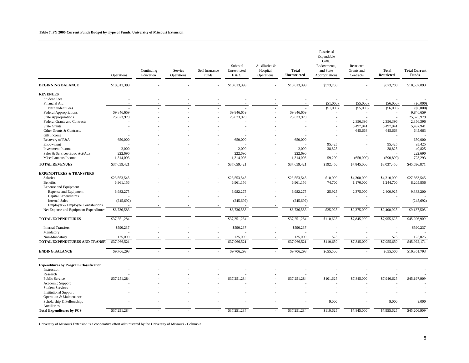#### **Table 7. FY 2006 Current Funds Budget by Type of Funds, University of Missouri Extension**

|                                               | Operations   | Continuing<br>Education | Service<br>Operations | Self Insurance<br>Funds  | Subtotal<br>Unrestricted<br>E & G | Auxiliaries &<br>Hospital<br>Operations | <b>Total</b><br>Unrestricted | Restricted<br>Expendable<br>Gifts,<br>Endowments,<br>and State<br>Appropriations | Restricted<br>Grants and<br>Contracts | <b>Total</b><br><b>Restricted</b> | <b>Total Current</b><br>Funds |
|-----------------------------------------------|--------------|-------------------------|-----------------------|--------------------------|-----------------------------------|-----------------------------------------|------------------------------|----------------------------------------------------------------------------------|---------------------------------------|-----------------------------------|-------------------------------|
| <b>BEGINNING BALANCE</b>                      | \$10,013,393 |                         |                       |                          | \$10,013,393                      |                                         | \$10,013,393                 | \$573,700                                                                        |                                       | \$573,700                         | \$10,587,093                  |
| <b>REVENUES</b>                               |              |                         |                       |                          |                                   |                                         |                              |                                                                                  |                                       |                                   |                               |
| <b>Student Fees</b>                           |              |                         |                       |                          |                                   |                                         |                              |                                                                                  |                                       |                                   |                               |
| Financial Aid                                 |              |                         |                       |                          |                                   |                                         |                              | (\$1,000)                                                                        | (\$5,000)                             | (S6,000)                          | $(\$6,000)$                   |
| Net Student Fees                              |              |                         |                       |                          |                                   |                                         |                              | (\$1,000)                                                                        | (\$5,000)                             | (\$6,000)                         | $(\$6,000)$                   |
| Federal Appropriations                        | \$9,846,659  |                         |                       |                          | \$9,846,659                       |                                         | \$9,846,659                  |                                                                                  |                                       |                                   | 9,846,659                     |
| <b>State Appropriations</b>                   | 25,623,979   |                         |                       |                          | 25,623,979                        |                                         | 25,623,979                   |                                                                                  |                                       |                                   | 25,623,979                    |
| Federal Grants and Contracts                  |              |                         |                       |                          |                                   |                                         |                              |                                                                                  | 2,356,396                             | 2,356,396                         | 2,356,396                     |
| <b>State Grants</b>                           |              |                         |                       |                          |                                   |                                         |                              |                                                                                  | 5,497,941                             | 5,497,941                         | 5,497,941                     |
| Other Grants & Contracts                      |              |                         |                       |                          |                                   |                                         |                              |                                                                                  | 645,663                               | 645,663                           | 645,663                       |
| Gift Income                                   |              |                         |                       |                          |                                   |                                         |                              |                                                                                  |                                       |                                   |                               |
| Recovery of F&A                               | 650,000      |                         |                       |                          | 650,000                           |                                         | 650,000                      |                                                                                  |                                       |                                   | 650,000                       |
| Endowment                                     |              |                         |                       |                          |                                   |                                         |                              | 95,425                                                                           |                                       | 95,425                            | 95,425                        |
| <b>Investment Income</b>                      | 2,000        |                         |                       |                          | 2,000                             |                                         | 2,000                        | 38,825                                                                           |                                       | 38,825                            | 40,825                        |
| Sales & Services-Educ Act/Aux                 | 222,690      |                         |                       |                          | 222,690                           |                                         | 222,690                      |                                                                                  |                                       |                                   | 222,690                       |
| Miscellaneous Income                          | 1,314,093    |                         |                       |                          | 1,314,093                         |                                         | 1,314,093                    | 59,200                                                                           | (650,000)                             | (590, 800)                        | 723,293                       |
| <b>TOTAL REVENUES</b>                         | \$37,659,421 |                         |                       | $\overline{a}$           | \$37,659,421                      |                                         | \$37,659,421                 | \$192,450                                                                        | \$7,845,000                           | \$8,037,450                       | \$45,696,871                  |
| <b>EXPENDITURES &amp; TRANSFERS</b>           |              |                         |                       |                          |                                   |                                         |                              |                                                                                  |                                       |                                   |                               |
| Salaries                                      | \$23,553,545 |                         |                       |                          | \$23,553,545                      |                                         | \$23,553,545                 | \$10,000                                                                         | \$4,300,000                           | \$4,310,000                       | \$27,863,545                  |
| Benefits                                      | 6,961,156    |                         |                       |                          | 6,961,156                         |                                         | 6,961,156                    | 74,700                                                                           | 1,170,000                             | 1,244,700                         | 8,205,856                     |
| Expense and Equipment                         |              |                         |                       |                          |                                   |                                         |                              |                                                                                  |                                       |                                   |                               |
| <b>Expense and Equipment</b>                  | 6,982,275    |                         |                       |                          | 6,982,275                         |                                         | 6,982,275                    | 25,925                                                                           | 2,375,000                             | 2,400,925                         | 9,383,200                     |
| Capital Expenditures                          |              |                         |                       |                          |                                   |                                         |                              |                                                                                  |                                       |                                   |                               |
| <b>Internal Sales</b>                         | (245, 692)   |                         |                       |                          | (245, 692)                        |                                         | (245, 692)                   |                                                                                  |                                       |                                   | (245, 692)                    |
| Employer & Employee Contributions             |              |                         |                       |                          |                                   |                                         |                              |                                                                                  |                                       |                                   |                               |
| Net Expense and Equipment Expenditures        | \$6,736,583  |                         |                       | J.                       | \$6,736,583                       |                                         | \$6,736,583                  | \$25,925                                                                         | \$2,375,000                           | \$2,400,925                       | \$9,137,508                   |
|                                               |              |                         |                       |                          |                                   |                                         |                              |                                                                                  |                                       |                                   |                               |
| <b>TOTAL EXPENDITURES</b>                     | \$37,251,284 |                         |                       | ٠                        | \$37,251,284                      |                                         | \$37,251,284                 | \$110,625                                                                        | \$7,845,000                           | \$7,955,625                       | \$45,206,909                  |
| <b>Internal Transfers</b>                     | \$590,237    |                         |                       | $\overline{\phantom{a}}$ | \$590,237                         |                                         | \$590,237                    |                                                                                  |                                       |                                   | \$590,237                     |
| Mandatory                                     |              |                         |                       |                          |                                   |                                         |                              |                                                                                  |                                       |                                   |                               |
| Non-Mandatory                                 | 125,000      |                         |                       |                          | 125,000                           |                                         | 125,000                      | \$25                                                                             |                                       | \$25                              | 125,025                       |
| TOTAL EXPENDITURES AND TRANSF.                | \$37,966,521 |                         |                       | $\overline{a}$           | \$37,966,521                      |                                         | \$37,966,521                 | \$110,650                                                                        | \$7,845,000                           | \$7,955,650                       | \$45,922,171                  |
| <b>ENDING BALANCE</b>                         | \$9,706,293  |                         |                       | $\overline{a}$           | \$9,706,293                       | $\overline{a}$                          | \$9,706,293                  | \$655,500                                                                        |                                       | \$655,500                         | \$10,361,793                  |
| <b>Expenditures by Program Classification</b> |              |                         |                       |                          |                                   |                                         |                              |                                                                                  |                                       |                                   |                               |
| Instruction                                   |              |                         |                       |                          |                                   |                                         |                              |                                                                                  |                                       |                                   |                               |
| Research                                      |              |                         |                       |                          |                                   |                                         |                              |                                                                                  |                                       |                                   |                               |
| Public Service                                | \$37,251,284 |                         |                       |                          | \$37,251,284                      |                                         | \$37,251,284                 | \$101,625                                                                        | \$7,845,000                           | \$7,946,625                       | \$45,197,909                  |
| Academic Support                              |              |                         |                       |                          |                                   |                                         |                              |                                                                                  |                                       |                                   |                               |
| <b>Student Services</b>                       |              |                         |                       |                          |                                   |                                         |                              |                                                                                  |                                       |                                   |                               |
| <b>Institutional Support</b>                  |              |                         |                       |                          |                                   |                                         |                              |                                                                                  |                                       |                                   |                               |
| Operation & Maintenance                       |              |                         |                       |                          |                                   |                                         |                              |                                                                                  |                                       |                                   |                               |
| Scholarship & Fellowships                     |              |                         |                       |                          |                                   |                                         |                              | 9,000                                                                            |                                       | 9,000                             | 9,000                         |
| Auxiliaries                                   |              |                         |                       |                          |                                   |                                         |                              |                                                                                  |                                       |                                   |                               |
| <b>Total Expenditures by PCS</b>              | \$37,251,284 |                         |                       |                          | \$37,251,284                      |                                         | \$37,251,284                 | \$110,625                                                                        | \$7,845,000                           | \$7,955,625                       | \$45,206,909                  |
|                                               |              |                         |                       |                          |                                   |                                         |                              |                                                                                  |                                       |                                   |                               |

University of Missouri Extension is a cooperative effort administered by the University of Missouri - Columbia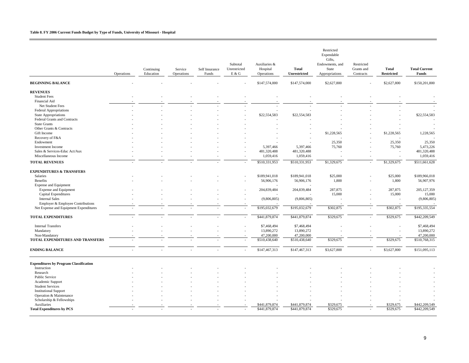#### **Table 8. FY 2006 Current Funds Budget by Type of Funds, University of Missouri - Hospital**

|                                                 | Operations | Continuing<br>Education | Service<br>Operations | Self Insurance<br>Funds | Subtotal<br>Unrestricted<br>E & G | Auxiliaries &<br>Hospital<br>Operations | <b>Total</b><br>Unrestricted | Restricted<br>Expendable<br>Gifts,<br>Endowments, and<br>State<br>Appropriations | Restricted<br>Grants and<br>Contracts | <b>Total</b><br><b>Restricted</b> | <b>Total Current</b><br>Funds |
|-------------------------------------------------|------------|-------------------------|-----------------------|-------------------------|-----------------------------------|-----------------------------------------|------------------------------|----------------------------------------------------------------------------------|---------------------------------------|-----------------------------------|-------------------------------|
| <b>BEGINNING BALANCE</b>                        |            |                         |                       |                         |                                   | \$147,574,000                           | \$147,574,000                | \$2,627,800                                                                      |                                       | \$2,627,800                       | \$150,201,800                 |
| <b>REVENUES</b>                                 |            |                         |                       |                         |                                   |                                         |                              |                                                                                  |                                       |                                   |                               |
| <b>Student Fees</b>                             |            |                         |                       |                         |                                   |                                         |                              |                                                                                  |                                       |                                   |                               |
| Financial Aid                                   |            |                         |                       |                         |                                   |                                         |                              |                                                                                  |                                       |                                   |                               |
| Net Student Fees                                |            |                         |                       |                         |                                   |                                         |                              |                                                                                  |                                       |                                   |                               |
| Federal Appropriations                          |            |                         |                       |                         |                                   |                                         |                              |                                                                                  |                                       |                                   |                               |
| <b>State Appropriations</b>                     |            |                         |                       |                         |                                   | \$22,554,583                            | \$22,554,583                 |                                                                                  |                                       |                                   | \$22,554,583                  |
| Federal Grants and Contracts                    |            |                         |                       |                         |                                   |                                         |                              |                                                                                  |                                       |                                   |                               |
| <b>State Grants</b><br>Other Grants & Contracts |            |                         |                       |                         |                                   |                                         |                              |                                                                                  |                                       |                                   |                               |
| Gift Income                                     |            |                         |                       |                         |                                   |                                         |                              | \$1,228,565                                                                      |                                       | \$1,228,565                       | 1,228,565                     |
| Recovery of F&A                                 |            |                         |                       |                         |                                   |                                         |                              |                                                                                  |                                       |                                   |                               |
| Endowment                                       |            |                         |                       |                         |                                   |                                         |                              | 25,350                                                                           |                                       | 25,350                            | 25,350                        |
| <b>Investment Income</b>                        |            |                         |                       |                         |                                   | 5,397,466                               | 5,397,466                    | 75,760                                                                           |                                       | 75,760                            | 5,473,226                     |
| Sales & Services-Educ Act/Aux                   |            |                         |                       |                         |                                   | 481,320,488                             | 481,320,488                  |                                                                                  |                                       | $\overline{\phantom{a}}$          | 481,320,488                   |
| Miscellaneous Income                            |            |                         |                       |                         |                                   | 1,059,416                               | 1,059,416                    |                                                                                  |                                       | ÷                                 | 1,059,416                     |
| <b>TOTAL REVENUES</b>                           |            |                         |                       |                         |                                   | \$510,331,953                           | \$510,331,953                | \$1,329,675                                                                      |                                       | \$1,329,675                       | \$511,661,628                 |
| <b>EXPENDITURES &amp; TRANSFERS</b>             |            |                         |                       |                         |                                   |                                         |                              |                                                                                  |                                       |                                   |                               |
| Salaries                                        |            |                         |                       |                         |                                   | \$189,941,018                           | \$189,941,018                | \$25,000                                                                         |                                       | \$25,000                          | \$189,966,018                 |
| Benefits                                        |            |                         |                       |                         |                                   | 56,906,176                              | 56,906,176                   | 1,800                                                                            |                                       | 1,800                             | 56,907,976                    |
| Expense and Equipment                           |            |                         |                       |                         |                                   |                                         |                              |                                                                                  |                                       |                                   |                               |
| <b>Expense and Equipment</b>                    |            |                         |                       |                         |                                   | 204,839,484                             | 204,839,484                  | 287,875                                                                          |                                       | 287,875                           | 205, 127, 359                 |
| Capital Expenditures                            |            |                         |                       |                         |                                   |                                         |                              | 15,000                                                                           |                                       | 15,000                            | 15,000                        |
| <b>Internal Sales</b>                           |            |                         |                       |                         |                                   | (9,806,805)                             | (9,806,805)                  |                                                                                  |                                       |                                   | (9,806,805)                   |
| Employer & Employee Contributions               |            |                         |                       |                         |                                   |                                         |                              |                                                                                  |                                       |                                   |                               |
| Net Expense and Equipment Expenditures          |            |                         |                       |                         |                                   | \$195,032,679                           | \$195,032,679                | \$302,875                                                                        |                                       | \$302,875                         | \$195,335,554                 |
| <b>TOTAL EXPENDITURES</b>                       |            |                         |                       |                         |                                   | \$441,879,874                           | \$441,879,874                | \$329,675                                                                        |                                       | \$329,675                         | \$442,209,549                 |
| <b>Internal Transfers</b>                       |            |                         |                       |                         |                                   | \$7,468,494                             | \$7,468,494                  |                                                                                  |                                       |                                   | \$7,468,494                   |
| Mandatory                                       |            |                         |                       |                         |                                   | 13,890,272                              | 13,890,272                   |                                                                                  |                                       |                                   | 13,890,272                    |
| Non-Mandatory                                   |            |                         |                       |                         |                                   | 47,200,000                              | 47,200,000                   |                                                                                  |                                       |                                   | 47,200,000                    |
| TOTAL EXPENDITURES AND TRANSFERS                |            |                         |                       |                         |                                   | \$510,438,640                           | \$510,438,640                | \$329,675                                                                        |                                       | \$329,675                         | \$510,768,315                 |
| <b>ENDING BALANCE</b>                           |            |                         |                       |                         |                                   | \$147,467,313                           | \$147,467,313                | \$3,627,800                                                                      |                                       | \$3,627,800                       | \$151,095,113                 |
| <b>Expenditures by Program Classification</b>   |            |                         |                       |                         |                                   |                                         |                              |                                                                                  |                                       |                                   |                               |
| Instruction                                     |            |                         |                       |                         |                                   |                                         |                              |                                                                                  |                                       |                                   |                               |
| Research                                        |            |                         |                       |                         |                                   |                                         |                              |                                                                                  |                                       |                                   |                               |
| <b>Public Service</b>                           |            |                         |                       |                         |                                   |                                         |                              |                                                                                  |                                       |                                   |                               |
| Academic Support                                |            |                         |                       |                         |                                   |                                         |                              |                                                                                  |                                       |                                   |                               |
| <b>Student Services</b>                         |            |                         |                       |                         |                                   |                                         |                              |                                                                                  |                                       |                                   |                               |
| <b>Institutional Support</b>                    |            |                         |                       |                         |                                   |                                         |                              |                                                                                  |                                       |                                   |                               |
| Operation & Maintenance                         |            |                         |                       |                         |                                   |                                         |                              |                                                                                  |                                       |                                   |                               |
| Scholarship & Fellowships                       |            |                         |                       |                         |                                   |                                         |                              |                                                                                  |                                       |                                   |                               |
| Auxiliaries                                     |            |                         |                       |                         |                                   | \$441,879,874                           | \$441,879,874                | \$329,675                                                                        |                                       | \$329,675                         | \$442,209,549                 |
| <b>Total Expenditures by PCS</b>                |            |                         |                       |                         |                                   | \$441,879,874                           | \$441,879,874                | \$329,675                                                                        |                                       | \$329,675                         | \$442,209,549                 |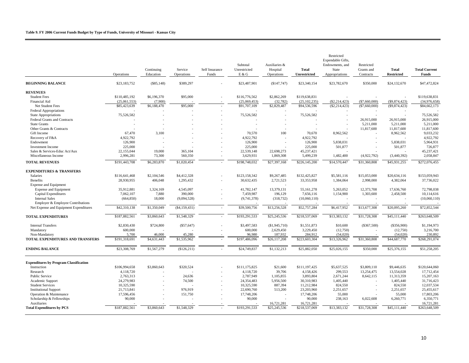|                                               | Operations    | Continuing<br>Education | Service<br>Operations | Self Insurance<br>Funds  | Subtotal<br>Unrestricted<br>E & G | Auxiliaries &<br>Hospital<br>Operations | <b>Total</b><br>Unrestricted | Restricted<br>Expendable Gifts,<br>Endowments, and<br>State<br>Appropriations | Restricted<br>Grants and<br>Contracts | <b>Total</b><br><b>Restricted</b> | <b>Total Current</b><br>Funds |
|-----------------------------------------------|---------------|-------------------------|-----------------------|--------------------------|-----------------------------------|-----------------------------------------|------------------------------|-------------------------------------------------------------------------------|---------------------------------------|-----------------------------------|-------------------------------|
| <b>BEGINNING BALANCE</b>                      | \$23,183,752  | $(\$85,148)$            | \$389,297             |                          | \$23,487,901                      | (S147, 747)                             | \$23,340,154                 | \$23,782,670                                                                  | \$350,000                             | \$24,132,670                      | \$47,472,824                  |
| <b>REVENUES</b>                               |               |                         |                       |                          |                                   |                                         |                              |                                                                               |                                       |                                   |                               |
| <b>Student Fees</b>                           | \$110,485,192 | \$6,196,370             | \$95,000              |                          | \$116,776,562                     | \$2,862,269                             | \$119,638,831                |                                                                               |                                       |                                   | \$119,638,831                 |
| Financial Aid                                 | (25,061,553)  | (7,900)                 |                       |                          | (25,069,453)                      | (32, 782)                               | (25, 102, 235)               | $(\$2, 214, 423)$                                                             | (\$7,660,000)                         | $(\$9,874,423)$                   | (34,976,658)                  |
| Net Student Fees                              | \$85,423,639  | \$6,188,470             | \$95,000              |                          | \$91,707,109                      | \$2,829,487                             | \$94,536,596                 | $(\$2,214,423)$                                                               | (\$7,660,000)                         | $(\$9,874,423)$                   | \$84,662,173                  |
| <b>Federal Appropriations</b>                 |               |                         |                       |                          |                                   |                                         |                              |                                                                               |                                       |                                   |                               |
| <b>State Appropriations</b>                   | 75,526,582    |                         |                       |                          | 75,526,582                        |                                         | 75,526,582                   |                                                                               |                                       |                                   | 75,526,582                    |
| Federal Grants and Contracts                  |               |                         |                       |                          |                                   |                                         |                              |                                                                               | 26,915,000                            | 26,915,000                        | 26,915,000                    |
| <b>State Grants</b>                           |               |                         |                       |                          |                                   |                                         |                              |                                                                               | 5,211,000                             | 5,211,000                         | 5,211,000                     |
| Other Grants & Contracts                      |               |                         |                       |                          |                                   |                                         |                              |                                                                               | 11,817,600                            | 11,817,600                        | 11,817,600                    |
| Gift Income                                   | 67,470        | 3,100                   |                       |                          | 70,570                            | 100                                     | 70,670                       | 8,962,562                                                                     | $\overline{\phantom{a}}$              | 8,962,562                         | 9,033,232                     |
| Recovery of F&A                               | 4,922,792     |                         |                       |                          | 4,922,792                         |                                         | 4,922,792                    |                                                                               |                                       |                                   | 4,922,792                     |
| Endowment                                     | 126,900       |                         |                       |                          | 126,900                           |                                         | 126,900                      | 5,838,031                                                                     |                                       | 5,838,031                         | 5,964,931                     |
| <b>Investment Income</b>                      | 225,000       |                         |                       |                          | 225,000                           |                                         | 225,000                      | 501,877                                                                       |                                       | 501,877                           | 726,877                       |
| Sales & Services-Educ Act/Aux                 | 22,155,044    | 19,000                  | 365,104               |                          | 22,539,148                        | 22,698,273                              | 45,237,421                   |                                                                               |                                       |                                   | 45,237,421                    |
| Miscellaneous Income                          | 2,996,281     | 73,300                  | 560,350               |                          | 3,629,931                         | 1,869,308                               | 5,499,239                    | 1,482,400                                                                     | (4,922,792)                           | (3,440,392)                       | 2,058,847                     |
| <b>TOTAL REVENUES</b>                         | \$191,443,708 | \$6,283,870             | \$1,020,454           |                          | \$198,748,032                     | \$27,397,168                            | \$226,145,200                | \$14,570,447                                                                  | \$31,360,808                          | \$45,931,255                      | \$272,076,455                 |
| <b>EXPENDITURES &amp; TRANSFERS</b>           |               |                         |                       |                          |                                   |                                         |                              |                                                                               |                                       |                                   |                               |
| Salaries                                      | \$116,641,468 | \$2,104,546             | \$4,412,328           |                          | \$123,158,342                     | \$9,267,485                             | \$132,425,827                | \$5,581,116                                                                   | \$15,053,000                          | \$20,634,116                      | \$153,059,943                 |
| <b>Benefits</b>                               | 28,930,955    | 406,048                 | 1,295,432             |                          | 30,632,435                        | 2,721,523                               | 33, 353, 958                 | 1,384,064                                                                     | 2,998,000                             | 4,382,064                         | 37,736,022                    |
| <b>Expense and Equipment</b>                  |               |                         |                       |                          |                                   |                                         |                              |                                                                               |                                       |                                   |                               |
| <b>Expense and Equipment</b>                  | 35,912,881    | 1,324,169               | 4,545,097             |                          | 41,782,147                        | 13,379,131                              | 55,161,278                   | 5,263,052                                                                     | 12,373,708                            | 17,636,760                        | 72,798,038                    |
| <b>Capital Expenditures</b>                   | 7,062,107     | 7,880                   | 390,000               |                          | 7,459,987                         | 196,129                                 | 7,656,116                    | 1,154,900                                                                     | 1,303,600                             | 2,458,500                         | 10,114,616                    |
| <b>Internal Sales</b>                         | (664, 850)    | 18,000                  | (9,094,528)           |                          | (9,741,378)                       | (318, 732)                              | (10,060,110)                 |                                                                               |                                       |                                   | (10,060,110)                  |
| Employer & Employee Contributions             |               |                         |                       |                          |                                   |                                         |                              |                                                                               |                                       |                                   |                               |
| Net Expense and Equipment Expenditures        | \$42,310,138  | \$1,350,049             | ( \$4,159,431)        | $\sim$                   | \$39,500,756                      | \$13,256,528                            | \$52,757,284                 | \$6,417,952                                                                   | \$13,677,308                          | \$20,095,260                      | \$72,852,544                  |
| <b>TOTAL EXPENDITURES</b>                     | \$187,882,561 | \$3,860,643             | \$1,548,329           |                          | \$193,291,533                     | \$25,245,536                            | \$218,537,069                | \$13,383,132                                                                  | \$31,728,308                          | \$45,111,440                      | \$263,648,509                 |
|                                               |               |                         |                       |                          |                                   |                                         |                              |                                                                               |                                       |                                   |                               |
| <b>Internal Transfers</b>                     | \$2,830,430   | \$724,800               | $(\$57,647)$          |                          | \$3,497,583                       | (S1, 945, 710)                          | \$1,551,873                  | \$10,600                                                                      | $(\$367,500)$                         | $(\$356,900)$                     | \$1,194,973                   |
| Mandatory                                     | 600,000       |                         |                       |                          | 600,000                           | 2,629,450                               | 3,229,450                    | (12,750)                                                                      |                                       | (12,750)                          | 3,216,700                     |
| Non-Mandatory                                 | 5,700         | 46,000                  | 45,280                |                          | 96,980                            | 187,932                                 | 284,912                      | (54, 020)                                                                     |                                       | (54,020)                          | 230,892                       |
| TOTAL EXPENDITURES AND TRANSFERS              | \$191,318,691 | \$4,631,443             | \$1,535,962           |                          | \$197,486,096                     | \$26,117,208                            | \$223,603,304                | \$13,326,962                                                                  | \$31,360,808                          | \$44,687,770                      | \$268,291,074                 |
| <b>ENDING BALANCE</b>                         | \$23,308,769  | \$1,567,279             | (\$126,211)           |                          | \$24,749,837                      | \$1,132,213                             | \$25,882,050                 | \$25,026,155                                                                  | \$350,000                             | \$25,376,155                      | \$51,258,205                  |
| <b>Expenditures by Program Classification</b> |               |                         |                       |                          |                                   |                                         |                              |                                                                               |                                       |                                   |                               |
| Instruction                                   | \$106,994,658 | \$3,860,643             | \$320,524             |                          | \$111,175,825                     | \$21,600                                | \$111,197,425                | \$5,637,525                                                                   | \$3,809,110                           | \$9,446,635                       | \$120,644,060                 |
| Research                                      | 4,118,720     |                         |                       |                          | 4,118,720                         | 39,706                                  | 4,158,426                    | 299,553                                                                       | 13,254,475                            | 13,554,028                        | 17,712,454                    |
| <b>Public Service</b>                         | 2,763,313     |                         | 24,636                |                          | 2,787,949                         | 1,105,855                               | 3,893,804                    | 2,671,244                                                                     | 8,642,115                             | 11,313,359                        | 15,207,163                    |
| Academic Support                              | 24,279,983    |                         | 74,500                |                          | 24,354,483                        | 5,956,500                               | 30,310,983                   | 1,405,440                                                                     |                                       | 1,405,440                         | 31,716,423                    |
| <b>Student Services</b>                       | 10,325,590    |                         |                       |                          | 10,325,590                        | 887,394                                 | 11,212,984                   | 824,550                                                                       |                                       | 824,550                           | 12,037,534                    |
| <b>Institutional Support</b>                  | 21,713,841    |                         | 976,919               |                          | 22,690,760                        | 513,200                                 | 23,203,960                   | 2,251,657                                                                     |                                       | 2,251,657                         | 25,455,617                    |
| Operation & Maintenance                       | 17,596,456    |                         | 151,750               | $\overline{\phantom{a}}$ | 17,748,206                        |                                         | 17,748,206                   | 55,000                                                                        |                                       | 55,000                            | 17,803,206                    |
| Scholarship & Fellowships                     | 90,000        |                         |                       |                          | 90,000                            |                                         | 90,000                       | 238,163                                                                       | 6,022,608                             | 6,260,771                         | 6,350,771                     |
| Auxiliaries                                   |               |                         |                       |                          |                                   | 16,721,281                              | 16,721,281                   |                                                                               |                                       |                                   | 16,721,281                    |
| <b>Total Expenditures by PCS</b>              | \$187,882,561 | \$3,860,643             | \$1,548,329           |                          | \$193,291,533                     | \$25,245,536                            | \$218,537,069                | \$13,383,132                                                                  | \$31,728,308                          | \$45,111,440                      | \$263,648,509                 |
|                                               |               |                         |                       |                          |                                   |                                         |                              |                                                                               |                                       |                                   |                               |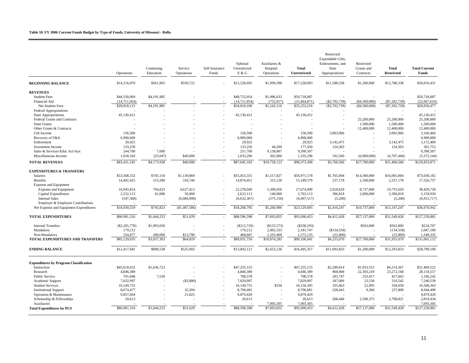|                                               | Operations      | Continuing<br>Education | Service<br>Operations | Self Insurance<br>Funds | Subtotal<br>Unrestricted<br>E & G | Auxiliaries &<br>Hospital<br>Operations | <b>Total</b><br><b>Unrestricted</b> | Restricted<br>Expendable Gifts,<br>Endowments, and<br>State<br>Appropriations | Restricted<br>Grants and<br>Contracts | <b>Total</b><br><b>Restricted</b> | <b>Total Current</b><br><b>Funds</b> |
|-----------------------------------------------|-----------------|-------------------------|-----------------------|-------------------------|-----------------------------------|-----------------------------------------|-------------------------------------|-------------------------------------------------------------------------------|---------------------------------------|-----------------------------------|--------------------------------------|
| <b>BEGINNING BALANCE</b>                      | \$14,116,070    | \$561,903               | \$550,722             |                         | \$15,228,695                      | \$1,999,398                             | \$17,228,093                        | \$11,588,338                                                                  | \$1,200,000                           | \$12,788,338                      | \$30,016,431                         |
| <b>REVENUES</b>                               |                 |                         |                       |                         |                                   |                                         |                                     |                                                                               |                                       |                                   |                                      |
| <b>Student Fees</b>                           | \$44,530,069    | \$4,191,985             |                       |                         | \$48,722,054                      | \$1,996,033                             | \$50,718,087                        |                                                                               |                                       |                                   | \$50,718,087                         |
| Financial Aid                                 | (14,711,954)    |                         |                       |                         | (14, 711, 954)                    | (752, 917)                              | (15, 464, 871)                      | $(\$2,702,739)$                                                               | (\$4,500,000)                         | (S7, 202, 739)                    | (22,667,610)                         |
| Net Student Fees                              | \$29,818,115    | \$4,191,985             |                       |                         | \$34,010,100                      | \$1,243,116                             | \$35,253,216                        | $($ \$2,702,739)                                                              | ( \$4,500,000)                        | (S7, 202, 739)                    | \$28,050,477                         |
| <b>Federal Appropriations</b>                 |                 |                         |                       |                         |                                   |                                         |                                     |                                                                               |                                       |                                   |                                      |
| <b>State Appropriations</b>                   | 45,130,412      |                         |                       |                         | 45,130,412                        |                                         | 45,130,412                          |                                                                               |                                       |                                   | 45,130,412                           |
| <b>Federal Grants and Contracts</b>           |                 |                         |                       |                         |                                   |                                         |                                     |                                                                               | 25,200,000                            | 25,200,000                        | 25,200,000                           |
| <b>State Grants</b>                           |                 |                         |                       |                         |                                   |                                         |                                     |                                                                               | 1,500,000                             | 1,500,000                         | 1,500,000                            |
| Other Grants & Contracts                      |                 |                         |                       |                         |                                   |                                         |                                     |                                                                               | 12,400,000                            | 12,400,000                        | 12,400,000                           |
| Gift Income                                   | 156,500         |                         |                       |                         | 156,500                           |                                         | 156,500                             | 3.003.966                                                                     |                                       | 3,003,966                         | 3,160,466                            |
| Recovery of F&A                               | 6,900,000       |                         |                       |                         | 6,900,000                         |                                         | 6,900,000                           |                                                                               |                                       |                                   | 6,900,000                            |
| Endowment                                     | 29,925          |                         |                       |                         | 29,925                            |                                         | 29,925                              | 3,142,475                                                                     |                                       | 3,142,475                         | 3,172,400                            |
| <b>Investment Income</b>                      | 133,250         |                         |                       |                         | 133,250                           | 44,200                                  | 177,450                             | 124,303                                                                       |                                       | 124,303                           | 301,753                              |
| Sales & Services-Educ Act/Aux                 | 244,700         | 7,000                   |                       |                         | 251,700                           | 9,138,807                               | 9,390,507                           |                                                                               |                                       |                                   | 9,390,507                            |
| Miscellaneous Income                          | 1,018,343       | (25,047)                | \$40,000              |                         | 1,033,296                         | 302,000                                 | 1,335,296                           | 192,560                                                                       | (6,900,000)                           | (6,707,440)                       | (5,372,144)                          |
| <b>TOTAL REVENUES</b>                         | \$83,431,245    | \$4,173,938             | \$40,000              |                         | \$87,645,183                      | \$10,728,123                            | \$98,373,306                        | \$3,760,566                                                                   | \$27,700,000                          | \$31,460,566                      | \$129,833,871                        |
| <b>EXPENDITURES &amp; TRANSFERS</b>           |                 |                         |                       |                         |                                   |                                         |                                     |                                                                               |                                       |                                   |                                      |
| Salaries                                      | \$53,568,332    | \$745,150               | \$1,139,869           |                         | \$55,453,351                      | \$1,517,827                             | \$56,971,178                        | \$1,765,004                                                                   | \$14,300,000                          | \$16,065,004                      | \$73,036,182                         |
| Benefits                                      | 14,402,425      | 153,280                 | 318,746               |                         | 14,874,451                        | 315,128                                 | 15,189,579                          | 237,178                                                                       | 2,100,000                             | 2,337,178                         | 17,526,757                           |
| Expense and Equipment                         |                 |                         |                       |                         |                                   |                                         |                                     |                                                                               |                                       |                                   |                                      |
| Expense and Equipment                         | 16,945,814      | 704.823                 | 4,627,413             |                         | 22.278.049                        | 5,396,050                               | 27.674.099                          | 2,018,629                                                                     | 8,737,000                             | 10,755,629                        | 38,429,728                           |
| Capital Expenditures                          | 2,532,113       | 41,000                  | 50,000                |                         | 2,623,113                         | 140,000                                 | 2,763,113                           | 396,818                                                                       | 2,000,000                             | 2,396,818                         | 5,159,930                            |
| <b>Internal Sales</b>                         | (547, 368)      |                         | (6,084,999)           |                         | (6,632,367)                       | (275, 150)                              | (6,907,517)                         | (5,200)                                                                       |                                       | (5,200)                           | (6,912,717)                          |
| Employer & Employee Contributions             |                 |                         |                       |                         |                                   |                                         |                                     |                                                                               |                                       |                                   |                                      |
| Net Expense and Equipment Expenditures        | \$18,930,559    | \$745,823               | (\$1,407,586)         |                         | \$18,268,795                      | \$5,260,900                             | \$23,529,695                        | \$2,410,247                                                                   | \$10,737,000                          | \$13,147,247                      | \$36,676,942                         |
|                                               |                 |                         |                       |                         |                                   |                                         |                                     |                                                                               |                                       |                                   |                                      |
| <b>TOTAL EXPENDITURES</b>                     | \$86,901,316    | \$1,644,253             | \$51,029              | ÷,                      | \$88,596,598                      | \$7,093,855                             | \$95,690,453                        | \$4,412,428                                                                   | \$27,137,000                          | \$31,549,428                      | \$127,239,881                        |
| <b>Internal Transfers</b>                     | $(\$2,205,770)$ | \$1,993,050             |                       |                         | $(\$212,720)$                     | (\$125,573)                             | $($ \$338,293)                      | $\overline{\phantom{a}}$                                                      | \$563,000                             | \$563,000                         | \$224,707                            |
| Mandatory                                     | 179,212         |                         |                       |                         | 179,212                           | 2,002,535                               | 2,181,747                           | (S134, 558)                                                                   |                                       | (134, 558)                        | 2,047,189                            |
| Non-Mandatory                                 | 254,877         | 200,000                 | \$13,790              |                         | 468,667                           | 1,103,468                               | 1,572,135                           | (22,800)                                                                      |                                       | (22,800)                          | 1,549,335                            |
| TOTAL EXPENDITURES AND TRANSFERS              | \$85,129,635    | \$3,837,303             | \$64,819              |                         | \$89,031,756                      | \$10,074,285                            | \$99,106,041                        | \$4,255,070                                                                   | \$27,700,000                          | \$31,955,070                      | \$131,061,112                        |
| <b>ENDING BALANCE</b>                         | \$12,417,681    | \$898,538               | \$525,903             | ٠                       | \$13,842,121                      | \$2,653,236                             | \$16,495,357                        | \$11,093,833                                                                  | \$1,200,000                           | \$12,293,833                      | \$28,789,190                         |
| <b>Expenditures by Program Classification</b> |                 |                         |                       |                         |                                   |                                         |                                     |                                                                               |                                       |                                   |                                      |
| Instruction                                   | \$45,618,432    | \$1,636,723             |                       |                         | \$47,255,155                      |                                         | \$47,255,155                        | \$2,280,814                                                                   | \$1,933,553                           | \$4,214,367                       | \$51,469,522                         |
| Research                                      | 4,846,389       |                         |                       |                         | 4,846,389                         |                                         | 4,846,389                           | 968,908                                                                       | 22,303,259                            | 23,272,168                        | 28,118,557                           |
| <b>Public Service</b>                         | 701,048         | 7,530                   |                       |                         | 708,578                           | ÷                                       | 708,578                             | 203,747                                                                       | 253,917                               | 457,663                           | 1,166,242                            |
| Academic Support                              | 7,032,997       |                         | (\$3,000)             |                         | 7,029,997                         |                                         | 7,029,997                           | 187,006                                                                       | 23,536                                | 210,542                           | 7,240,539                            |
| <b>Student Services</b>                       | 10,149,755      |                         |                       |                         | 10,149,755                        | \$550                                   | 10.150.305                          | 335,063                                                                       | 22,995                                | 358,058                           | 10,508,363                           |
| <b>Institutional Support</b>                  | 8,674,477       |                         | 32,204                |                         | 8,706,681                         | ٠                                       | 8,706,681                           | 228,443                                                                       | 9,366                                 | 237,809                           | 8,944,490                            |
| Operation & Maintenance                       | 9,857,604       |                         | 21,825                |                         | 9,879,429                         | $\overline{\phantom{a}}$                | 9,879,429                           |                                                                               |                                       |                                   | 9,879,429                            |
| Scholarship & Fellowships                     | 20,613          |                         |                       |                         | 20,613                            |                                         | 20,613                              | 208,446                                                                       | 2,590,375                             | 2,798,821                         | 2,819,434                            |
| Auxiliaries                                   |                 |                         |                       |                         |                                   | 7,093,305                               | 7,093,305                           |                                                                               |                                       |                                   | 7,093,305                            |
| <b>Total Expenditures by PCS</b>              | \$86,901,316    | \$1,644,253             | \$51,029              |                         | \$88,596,598                      | \$7,093,855                             | \$95,690,453                        | \$4,412,428                                                                   | \$27,137,000                          | \$31,549,428                      | \$127,239,881                        |
|                                               |                 |                         |                       |                         |                                   |                                         |                                     |                                                                               |                                       |                                   |                                      |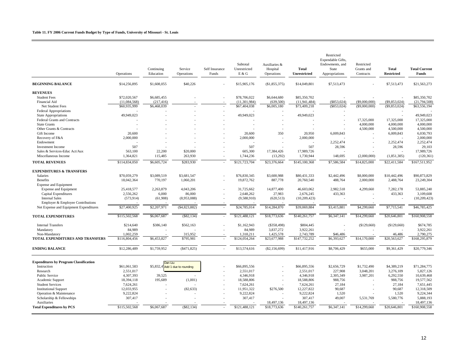|                                               | Operations    | Continuing<br>Education          | Service<br>Operations | Self Insurance<br>Funds  | Subtotal<br>Unrestricted<br>E & G | Auxiliaries &<br>Hospital<br>Operations | <b>Total</b><br><b>Unrestricted</b> | Restricted<br>Expendable Gifts.<br>Endowments, and<br>State<br>Appropriations | Restricted<br>Grants and<br>Contracts | <b>Total</b><br><b>Restricted</b> | <b>Total Current</b><br><b>Funds</b> |
|-----------------------------------------------|---------------|----------------------------------|-----------------------|--------------------------|-----------------------------------|-----------------------------------------|-------------------------------------|-------------------------------------------------------------------------------|---------------------------------------|-----------------------------------|--------------------------------------|
| <b>BEGINNING BALANCE</b>                      | \$14,256,895  | \$1,608,055                      | \$40,226              |                          | \$15,905,176                      | (\$1,855,375)                           | \$14,049,801                        | \$7,513,473                                                                   |                                       | \$7,513,473                       | \$21,563,273                         |
| <b>REVENUES</b>                               |               |                                  |                       |                          |                                   |                                         |                                     |                                                                               |                                       |                                   |                                      |
| <b>Student Fees</b>                           | \$72,020,567  | \$6,685,455                      |                       |                          | \$78,706,022                      | \$6,644,680                             | \$85,350,702                        |                                                                               |                                       |                                   | \$85,350,702                         |
| Financial Aid                                 | (11,084,568)  | (217, 416)                       |                       |                          | (11,301,984)                      | (639, 500)                              | (11, 941, 484)                      | (\$853,024)                                                                   | $(\$9,000,000)$                       | (\$9,853,024)                     | (21, 794, 508)                       |
| Net Student Fees                              | \$60,935,999  | \$6,468,039                      |                       |                          | \$67,404,038                      | \$6,005,180                             | \$73,409,218                        | (\$853,024)                                                                   | $($ \$9,000,000)                      | (\$9,853,024)                     | \$63,556,194                         |
| <b>Federal Appropriations</b>                 |               |                                  |                       |                          |                                   |                                         |                                     |                                                                               |                                       |                                   |                                      |
| <b>State Appropriations</b>                   | 49,949,023    |                                  |                       |                          | 49,949,023                        |                                         | 49,949,023                          |                                                                               |                                       |                                   | 49.949.023                           |
| Federal Grants and Contracts                  |               |                                  |                       |                          |                                   |                                         |                                     |                                                                               | 17,325,000                            | 17,325,000                        | 17,325,000                           |
| <b>State Grants</b>                           |               |                                  |                       |                          |                                   |                                         |                                     |                                                                               | 4,000,000                             | 4,000,000                         | 4,000,000                            |
| Other Grants & Contracts                      |               |                                  |                       |                          |                                   |                                         |                                     |                                                                               | 4,500,000                             | 4,500,000                         | 4,500,000                            |
| Gift Income                                   | 20,600        |                                  |                       |                          | 20,600                            | 350                                     | 20,950                              | 6,009,843                                                                     |                                       | 6,009,843                         | 6,030,793                            |
| Recovery of F&A                               | 2,000,000     |                                  |                       |                          | 2,000,000                         |                                         | 2,000,000                           |                                                                               |                                       |                                   | 2,000,000                            |
| Endowment                                     |               |                                  |                       |                          | ÷,                                |                                         |                                     | 2,252,474                                                                     |                                       | 2,252,474                         | 2,252,474                            |
|                                               | 507           |                                  |                       |                          | 507                               |                                         | 507                                 |                                                                               |                                       |                                   |                                      |
| <b>Investment Income</b>                      |               |                                  |                       |                          |                                   |                                         |                                     | 28,596                                                                        |                                       | 28,596                            | 29,103                               |
| Sales & Services-Educ Act/Aux                 | 563,100       | 22,200                           | \$20,000              |                          | 605,300                           | 17,384,426                              | 17,989,726                          |                                                                               |                                       |                                   | 17,989,726                           |
| Miscellaneous Income                          | 1,364,821     | 115,485                          | 263,930               |                          | 1,744,236                         | (13,292)                                | 1,730,944                           | 148,695                                                                       | (2,000,000)                           | (1,851,305)                       | (120, 361)                           |
| <b>TOTAL REVENUES</b>                         | \$114,834,050 | \$6,605,724                      | \$283,930             |                          | \$121,723,704                     | \$23,376,664                            | \$145,100,368                       | \$7,586,584                                                                   | \$14,825,000                          | \$22,411,584                      | \$167,511,952                        |
| <b>EXPENDITURES &amp; TRANSFERS</b>           |               |                                  |                       |                          |                                   |                                         |                                     |                                                                               |                                       |                                   |                                      |
| <b>Salaries</b>                               | \$70,059,279  | \$3,089,519                      | \$3,681,547           |                          | \$76,830,345                      | \$3,600,988                             | \$80,431,333                        | \$2,442,496                                                                   | \$8,000,000                           | \$10,442,496                      | \$90,873,829                         |
| <b>Benefits</b>                               | 18,042,364    | 770,197                          | 1,060,201             |                          | 19,872,762                        | 887,778                                 | 20,760,540                          | 488,764                                                                       | 2,000,000                             | 2,488,764                         | 23,249,304                           |
| <b>Expense and Equipment</b>                  |               |                                  |                       |                          |                                   |                                         |                                     |                                                                               |                                       |                                   |                                      |
| Expense and Equipment                         | 25,418,577    | 2,263,879                        | 4,043,206             |                          | 31,725,662                        | 14,877,400                              | 46,603,062                          | 2,982,518                                                                     | 4,299,660                             | 7,282,178                         | 53,885,240                           |
| Capital Expenditures                          | 2,556,262     | 6,000                            | 86,000                |                          | 2,648,262                         | 27,983                                  | 2,676,245                           | 433,363                                                                       |                                       | 433,363                           | 3,109,608                            |
| <b>Internal Sales</b>                         | (573, 914)    | (61,908)                         | (8,953,088)           |                          | (9,588,910)                       | (620, 513)                              | (10,209,423)                        | $\overline{a}$                                                                |                                       |                                   | (10, 209, 423)                       |
| Employer & Employee Contributions             |               |                                  |                       |                          |                                   |                                         |                                     |                                                                               |                                       |                                   |                                      |
| Net Expense and Equipment Expenditures        | \$27,400,925  | \$2,207,971                      | (\$4,823,882)         |                          | \$24,785,014                      | \$14,284,870                            | \$39,069,884                        | \$3,415,881                                                                   | \$4,299,660                           | \$7,715,541                       | \$46,785,425                         |
| <b>TOTAL EXPENDITURES</b>                     | \$115,502,568 | \$6,067,687                      | (\$82,134)            |                          | \$121,488,121                     | \$18,773,636                            | \$140,261,757                       | \$6,347,141                                                                   | \$14,299,660                          | \$20,646,801                      | \$160,908,558                        |
| <b>Internal Transfers</b>                     | \$214,640     | \$386,140                        | \$562,163             |                          | \$1,162,943                       | (\$358,498)                             | \$804,445                           |                                                                               | (\$129,660)                           | (\$129,660)                       | \$674,785                            |
| Mandatory                                     | 84,989        |                                  |                       |                          | 84,989                            | 3,837,272                               | 3,922,261                           |                                                                               |                                       |                                   | 3,922,261                            |
| Non-Mandatory                                 | 1.002.259     |                                  | 315,952               |                          | 1,318,211                         | 1,425,578                               | 2,743,789                           | \$46,486                                                                      |                                       | 46,486                            | 2,790,275                            |
| TOTAL EXPENDITURES AND TRANSFERS              | \$116,804,456 | \$6,453,827                      | \$795,981             |                          | \$124,054,264                     | \$23,677,988                            | \$147,732,252                       | \$6,393,627                                                                   | \$14,170,000                          | \$20,563,627                      | \$168,295,879                        |
| <b>ENDING BALANCE</b>                         | \$12,286,489  | \$1,759,952                      | ( \$471, 825)         | $\overline{\phantom{a}}$ | \$13,574,616                      | (\$2,156,699)                           | \$11,417,916                        | \$8,706,429                                                                   | \$655,000                             | \$9,361,429                       | \$20,779,346                         |
|                                               |               |                                  |                       |                          |                                   |                                         |                                     |                                                                               |                                       |                                   |                                      |
| <b>Expenditures by Program Classification</b> |               | Dan Liu:                         |                       |                          |                                   |                                         |                                     |                                                                               |                                       |                                   |                                      |
| Instruction                                   | \$61,061,583  | \$5,832,41 Add 1 due to rounding |                       |                          | \$66,895,556                      |                                         | \$66,895,556                        | \$2,656,729                                                                   | \$1,732,490                           | \$4,389,219                       | \$71,284,775                         |
| Research                                      | 2,551,017     |                                  |                       |                          | 2,551,017                         |                                         | 2,551,017                           | 227,908                                                                       | 3,048,201                             | 3,276,109                         | 5,827,126                            |
| <b>Public Service</b>                         | 4,307,393     | 39,525                           |                       |                          | 4,346,918                         | $\overline{\phantom{a}}$                | 4,346,918                           | 2,305,349                                                                     | 3,987,201                             | 6,292,550                         | 10,639,468                           |
| Academic Support                              | 18.394.118    | 195,689                          | (1,001)               |                          | 18,588,806                        |                                         | 18,588,806                          | 988,756                                                                       |                                       | 988,756                           | 19,577,562                           |
| <b>Student Services</b>                       | 7,624,261     |                                  |                       |                          | 7,624,261                         |                                         | 7,624,261                           | 27,184                                                                        |                                       | 27,184                            | 7,651,445                            |
| <b>Institutional Support</b>                  | 12,033,955    |                                  | (82, 633)             |                          | 11,951,322                        | \$276,500                               | 12,227,822                          | 90,687                                                                        |                                       | 90,687                            | 12,318,509                           |
| Operation & Maintenance                       | 9,222,824     |                                  |                       |                          | 9,222,824                         |                                         | 9,222,824                           | 1,520                                                                         |                                       | 1,520                             | 9,224,344                            |
| Scholarship & Fellowships                     | 307,417       |                                  |                       |                          | 307,417                           |                                         | 307,417                             | 49,007                                                                        | 5,531,769                             | 5,580,776                         | 5,888,193                            |
| Auxiliaries                                   |               |                                  |                       |                          |                                   | 18,497,136                              | 18,497,136                          |                                                                               |                                       |                                   | 18,497,136                           |
| <b>Total Expenditures by PCS</b>              | \$115,502,568 | \$6,067,687                      | ( \$82, 134)          |                          | \$121,488,121                     | \$18,773,636                            | \$140,261,757                       | \$6,347,141                                                                   | \$14,299,660                          | \$20,646,801                      | \$160,908,558                        |
|                                               |               |                                  |                       |                          |                                   |                                         |                                     |                                                                               |                                       |                                   |                                      |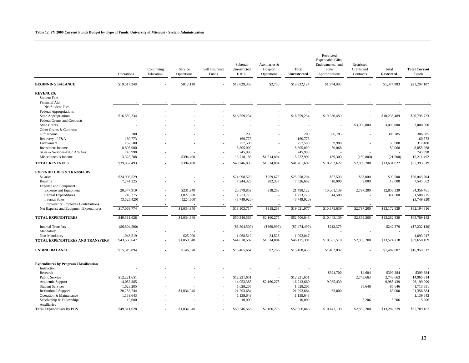#### **Table 12. FY 2006 Current Funds Budget by Type of Funds, University of Missouri - System Administration**

|                                               | Operations      | Continuing<br>Education  | Service<br>Operations | Self Insurance<br>Funds  | Subtotal<br>Unrestricted<br>E & G | Auxiliaries &<br>Hospital<br>Operations | <b>Total</b><br><b>Unrestricted</b> | Restricted<br>Expendable Gifts,<br>Endowments, and<br>State<br>Appropriations | Restricted<br>Grants and<br>Contracts | <b>Total</b><br><b>Restricted</b> | <b>Total Current</b><br>Funds |
|-----------------------------------------------|-----------------|--------------------------|-----------------------|--------------------------|-----------------------------------|-----------------------------------------|-------------------------------------|-------------------------------------------------------------------------------|---------------------------------------|-----------------------------------|-------------------------------|
| <b>BEGINNING BALANCE</b>                      | \$19,017,248    |                          | \$812,110             |                          | \$19,829,358                      | \$2,766                                 | \$19,832,124                        | \$1,374,983                                                                   |                                       | \$1,374,983                       | \$21,207,107                  |
| <b>REVENUES:</b>                              |                 |                          |                       |                          |                                   |                                         |                                     |                                                                               |                                       |                                   |                               |
| <b>Student Fees</b>                           |                 |                          |                       |                          |                                   |                                         |                                     |                                                                               |                                       |                                   |                               |
| Financial Aid                                 |                 |                          |                       |                          |                                   |                                         |                                     |                                                                               |                                       |                                   |                               |
| Net Student Fees                              |                 |                          |                       |                          |                                   |                                         |                                     |                                                                               |                                       |                                   |                               |
| <b>Federal Appropriations</b>                 |                 |                          |                       |                          |                                   |                                         |                                     |                                                                               |                                       |                                   |                               |
| <b>State Appropriations</b>                   | \$16,559,234    |                          |                       |                          | \$16,559,234                      |                                         | \$16,559,234                        | \$10,236,489                                                                  |                                       | \$10,236,489                      | \$26,795,723                  |
| Federal Grants and Contracts                  |                 |                          |                       |                          |                                   |                                         |                                     |                                                                               |                                       |                                   |                               |
| <b>State Grants</b>                           |                 |                          |                       |                          |                                   |                                         | ÷                                   |                                                                               | \$3,000,000                           | 3,000,000                         | 3,000,000                     |
| Other Grants & Contracts                      |                 |                          |                       |                          |                                   |                                         |                                     |                                                                               |                                       |                                   |                               |
| Gift Income                                   | 200             |                          |                       |                          | 200                               |                                         | 200                                 | 306,785                                                                       |                                       | 306,785                           | 306,985                       |
| Recovery of F&A                               | 160,773         |                          |                       |                          | 160,773                           |                                         | 160,773                             |                                                                               |                                       |                                   | 160,773                       |
| Endowment                                     | 257,500         |                          |                       |                          | 257,500                           |                                         | 257,500                             | 59,980                                                                        |                                       | 59,980                            | 317,480                       |
| <b>Investment Income</b>                      | 8,805,000       |                          |                       |                          | 8,805,000                         |                                         | 8,805,000                           | 50,068                                                                        |                                       | 50,068                            | 8,855,068                     |
| Sales & Services-Educ Act/Aux                 | 745,998         |                          |                       |                          | 745,998                           |                                         | 745,998                             |                                                                               |                                       |                                   | 745,998                       |
| Miscellaneous Income                          | 13,323,788      | ÷                        | \$394,400             |                          | 13,718,188                        | \$1,514,804                             | 15,232,992                          | 139,300                                                                       | (160, 800)                            | (21,500)                          | 15,211,492                    |
| <b>TOTAL REVENUES</b>                         | \$39,852,493    |                          | \$394,400             |                          | \$40,246,893                      | \$1,514,804                             | \$41,761,697                        | \$10,792,622                                                                  | \$2,839,200                           | \$13,631,822                      | \$55,393,519                  |
| <b>EXPENDITURES &amp; TRANSFERS</b>           |                 |                          |                       |                          |                                   |                                         |                                     |                                                                               |                                       |                                   |                               |
| <b>Salaries</b>                               | \$24,998,529    |                          |                       |                          | \$24,998,529                      | \$959,675                               | \$25,958,204                        | \$57,500                                                                      | \$33,000                              | \$90,500                          | \$26,048,704                  |
| <b>Benefits</b>                               | 7,244,325       |                          |                       |                          | 7,244,325                         | 282,337                                 | 7,526,662                           | 10,000                                                                        | 9,000                                 | 19,000                            | 7,545,662                     |
| <b>Expense and Equipment</b>                  |                 |                          |                       |                          |                                   |                                         |                                     |                                                                               |                                       |                                   |                               |
| <b>Expense and Equipment</b>                  | 20,347,919      |                          | \$231,940             |                          | 20,579,859                        | 918,263                                 | 21,498,122                          | 10,061,139                                                                    | 2,797,200                             | 12,858,339                        | 34,356,461                    |
| Capital Expenditures                          | 246,275         |                          | 1,027,500             |                          | 1,273,775                         |                                         | 1,273,775                           | 314,500                                                                       |                                       | 314,500                           | 1,588,275                     |
| <b>Internal Sales</b>                         | (3,525,420)     |                          | (224, 500)            |                          | (3,749,920)                       |                                         | (3,749,920)                         |                                                                               |                                       | ÷                                 | (3,749,920)                   |
| Employer & Employee Contributions             |                 |                          |                       |                          |                                   |                                         |                                     |                                                                               |                                       |                                   |                               |
| Net Expense and Equipment Expenditures        | \$17,068,774    | $\overline{a}$           | \$1,034,940           |                          | \$18,103,714                      | \$918,263                               | \$19,021,977                        | \$10,375,639                                                                  | \$2,797,200                           | \$13,172,839                      | \$32,194,816                  |
| TOTAL EXPENDITURES                            | \$49,311,628    | $\overline{a}$           | \$1,034,940           | $\sim$                   | \$50,346,568                      | \$2,160,275                             | \$52,506,843                        | \$10,443,139                                                                  | \$2,839,200                           | \$13,282,339                      | \$65,789,182                  |
| <b>Internal Transfers</b>                     | $(\$6,804,500)$ |                          |                       |                          | $(\$6,804,500)$                   | $(\$669,999)$                           | (S7, 474, 499)                      | \$242,379                                                                     |                                       | \$242,379                         | $(\$7,232,120)$               |
| Mandatory                                     |                 |                          |                       |                          |                                   |                                         |                                     |                                                                               |                                       |                                   |                               |
| Non-Mandatory                                 | 1.043.519       |                          | \$25,000              |                          | 1,068,519                         | 24.528                                  | 1.093.047                           |                                                                               |                                       |                                   | 1.093.047                     |
| TOTAL EXPENDITURES AND TRANSFERS              | \$43,550,647    |                          | \$1,059,940           |                          | \$44,610,587                      | \$1,514,804                             | \$46,125,391                        | \$10,685,518                                                                  | \$2,839,200                           | \$13,524,718                      | \$59,650,109                  |
| <b>ENDING BALANCE</b>                         | \$15,319,094    | $\sim$                   | \$146,570             | ÷                        | \$15,465,664                      | \$2,766                                 | \$15,468,430                        | \$1,482,087                                                                   | $\overline{a}$                        | \$1,482,087                       | \$16,950,517                  |
| <b>Expenditures by Program Classification</b> |                 |                          |                       |                          |                                   |                                         |                                     |                                                                               |                                       |                                   |                               |
| Instruction                                   |                 |                          |                       |                          |                                   |                                         |                                     |                                                                               |                                       |                                   |                               |
| Research                                      |                 |                          |                       |                          |                                   |                                         |                                     | \$394,700                                                                     | \$4,684                               | \$399,384                         | \$399,384                     |
| <b>Public Service</b>                         | \$12,221,651    |                          |                       |                          | \$12,221,651                      |                                         | \$12,221,651                        |                                                                               | 2,743,663                             | 2,743,663                         | 14,965,314                    |
| Academic Support                              | 14,053,385      |                          |                       |                          | 14,053,385                        | \$2,160,275                             | 16,213,660                          | 9,985,439                                                                     |                                       | 9,985,439                         | 26,199,099                    |
| <b>Student Services</b>                       | 1,628,205       |                          |                       |                          | 1,628,205                         |                                         | 1,628,205                           |                                                                               | 85,646                                | 85,646                            | 1,713,851                     |
| <b>Institutional Support</b>                  | 20,258,744      |                          | \$1,034,940           |                          | 21,293,684                        |                                         | 21,293,684                          | 63,000                                                                        |                                       | 63,000                            | 21,356,684                    |
| Operation & Maintenance                       | 1,139,643       |                          |                       |                          | 1,139,643                         |                                         | 1,139,643                           |                                                                               |                                       |                                   | 1,139,643                     |
| Scholarship & Fellowships<br>Auxiliaries      | 10,000          |                          |                       |                          | 10,000                            |                                         | 10,000                              |                                                                               | 5,206                                 | 5,206                             | 15,206                        |
|                                               |                 |                          | \$1,034,940           |                          |                                   | \$2,160,275                             |                                     | \$10,443,139                                                                  |                                       | \$13,282,339                      |                               |
| <b>Total Expenditures by PCS</b>              | \$49,311,628    | $\overline{\phantom{a}}$ |                       | $\overline{\phantom{a}}$ | \$50,346,568                      |                                         | \$52,506,843                        |                                                                               | \$2,839,200                           |                                   | \$65,789,182                  |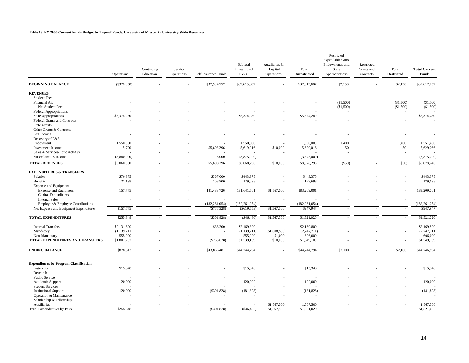|                                               | Operations             | Continuing<br>Education | Service<br>Operations | Self Insurance Funds | Subtotal<br>Unrestricted<br>E & G | Auxiliaries &<br>Hospital<br>Operations | <b>Total</b><br><b>Unrestricted</b> | Restricted<br>Expendable Gifts,<br>Endowments, and<br>State<br>Appropriations | Restricted<br>Grants and<br>Contracts | <b>Total</b><br><b>Restricted</b> | <b>Total Current</b><br>Funds |
|-----------------------------------------------|------------------------|-------------------------|-----------------------|----------------------|-----------------------------------|-----------------------------------------|-------------------------------------|-------------------------------------------------------------------------------|---------------------------------------|-----------------------------------|-------------------------------|
| <b>BEGINNING BALANCE</b>                      | ( \$378,950)           |                         |                       | \$37,994,557         | \$37,615,607                      |                                         | \$37,615,607                        | \$2,150                                                                       |                                       | \$2,150                           | \$37,617,757                  |
| <b>REVENUES</b>                               |                        |                         |                       |                      |                                   |                                         |                                     |                                                                               |                                       |                                   |                               |
| <b>Student Fees</b>                           |                        |                         |                       |                      |                                   |                                         |                                     |                                                                               |                                       |                                   |                               |
| Financial Aid                                 |                        |                         |                       |                      |                                   |                                         |                                     | (\$1,500)                                                                     |                                       | (\$1,500)                         | (\$1,500)                     |
| Net Student Fees                              |                        |                         |                       |                      |                                   |                                         |                                     | (\$1,500)                                                                     |                                       | (\$1,500)                         | (\$1,500)                     |
| <b>Federal Appropriations</b>                 |                        |                         |                       |                      |                                   |                                         |                                     |                                                                               |                                       |                                   |                               |
| <b>State Appropriations</b>                   | \$5,374,280            |                         |                       |                      | \$5,374,280                       |                                         | \$5,374,280                         |                                                                               |                                       |                                   | \$5,374,280                   |
| Federal Grants and Contracts                  |                        |                         |                       |                      |                                   |                                         |                                     |                                                                               |                                       |                                   |                               |
| <b>State Grants</b>                           |                        |                         |                       |                      |                                   |                                         |                                     |                                                                               |                                       |                                   |                               |
| Other Grants & Contracts                      |                        |                         |                       |                      |                                   |                                         |                                     |                                                                               |                                       |                                   |                               |
| Gift Income                                   |                        |                         |                       |                      |                                   |                                         |                                     |                                                                               |                                       |                                   |                               |
| Recovery of F&A                               |                        |                         |                       |                      |                                   |                                         |                                     |                                                                               |                                       |                                   |                               |
| Endowment                                     | 1,550,000              |                         |                       |                      | 1,550,000                         |                                         | 1,550,000                           | 1,400                                                                         |                                       | 1,400                             | 1,551,400                     |
| <b>Investment Income</b>                      | 15,720                 |                         |                       | \$5,603,296          | 5,619,016                         | \$10,000                                | 5,629,016                           | 50                                                                            |                                       | 50                                | 5,629,066                     |
| Sales & Services-Educ Act/Aux                 |                        |                         |                       |                      |                                   |                                         |                                     |                                                                               |                                       |                                   |                               |
| Miscellaneous Income                          | (3,880,000)            |                         |                       | 5,000                | (3,875,000)                       |                                         | (3,875,000)                         |                                                                               |                                       |                                   | (3,875,000)                   |
|                                               |                        |                         |                       |                      |                                   |                                         |                                     |                                                                               |                                       |                                   |                               |
| <b>TOTAL REVENUES</b>                         | \$3,060,000            |                         |                       | \$5,608,296          | \$8,668,296                       | \$10,000                                | \$8,678,296                         | $($ \$50)                                                                     |                                       | (S50)                             | \$8,678,246                   |
| <b>EXPENDITURES &amp; TRANSFERS</b>           |                        |                         |                       |                      |                                   |                                         |                                     |                                                                               |                                       |                                   |                               |
| Salaries                                      | \$76,375               |                         |                       | \$367,000            | \$443,375                         |                                         | \$443,375                           |                                                                               |                                       |                                   | \$443,375                     |
| <b>Benefits</b>                               | 21,198                 |                         |                       | 108,500              | 129,698                           |                                         | 129,698                             |                                                                               |                                       |                                   | 129,698                       |
| <b>Expense and Equipment</b>                  |                        |                         |                       |                      |                                   |                                         |                                     |                                                                               |                                       |                                   |                               |
| <b>Expense and Equipment</b>                  | 157,775                |                         |                       | 181,483,726          | 181,641,501                       | \$1,567,500                             | 183,209,001                         |                                                                               |                                       |                                   | 183,209,001                   |
| Capital Expenditures                          |                        |                         |                       |                      |                                   |                                         |                                     |                                                                               |                                       |                                   |                               |
| <b>Internal Sales</b>                         |                        |                         |                       |                      |                                   |                                         |                                     |                                                                               |                                       |                                   |                               |
| Employer & Employee Contributions             |                        |                         |                       | (182, 261, 054)      | (182, 261, 054)                   |                                         | (182, 261, 054)                     |                                                                               |                                       |                                   | (182, 261, 054)               |
| Net Expense and Equipment Expenditures        | \$157,775              |                         |                       | ( \$777, 328)        | (S619, 553)                       | \$1,567,500                             | \$947,947                           |                                                                               |                                       |                                   | \$947,947                     |
| <b>TOTAL EXPENDITURES</b>                     | \$255,348              |                         |                       | ( \$301, 828)        | ( \$46,480)                       | \$1,567,500                             | \$1,521,020                         |                                                                               |                                       |                                   | \$1,521,020                   |
|                                               |                        |                         |                       |                      |                                   |                                         |                                     |                                                                               |                                       |                                   |                               |
| <b>Internal Transfers</b>                     | \$2,131,600            |                         |                       | \$38,200             | \$2,169,800                       |                                         | \$2,169,800                         |                                                                               |                                       |                                   | \$2,169,800                   |
| Mandatory                                     | (1,139,211)<br>555,000 |                         |                       |                      | (1,139,211)                       | (\$1,608,500)                           | (2,747,711)                         |                                                                               |                                       |                                   | (2,747,711)                   |
| Non-Mandatory                                 |                        |                         |                       |                      | 555,000                           | 51,000                                  | 606,000                             |                                                                               |                                       |                                   | 606,000                       |
| TOTAL EXPENDITURES AND TRANSFERS              | \$1,802,737            |                         |                       | $(\$263,628)$        | \$1,539,109                       | \$10,000                                | \$1,549,109                         |                                                                               |                                       |                                   | \$1,549,109                   |
| <b>ENDING BALANCE</b>                         | \$878,313              |                         |                       | \$43,866,481         | \$44,744,794                      | $\sim$                                  | \$44,744,794                        | \$2,100                                                                       |                                       | \$2,100                           | \$44,746,894                  |
| <b>Expenditures by Program Classification</b> |                        |                         |                       |                      |                                   |                                         |                                     |                                                                               |                                       |                                   |                               |
| Instruction                                   | \$15,348               |                         |                       |                      | \$15,348                          |                                         | \$15,348                            |                                                                               |                                       |                                   | \$15,348                      |
| Research                                      |                        |                         |                       |                      |                                   |                                         |                                     |                                                                               |                                       |                                   |                               |
| <b>Public Service</b>                         |                        |                         |                       |                      |                                   |                                         |                                     |                                                                               |                                       |                                   |                               |
| Academic Support                              | 120,000                |                         |                       |                      | 120,000                           |                                         | 120,000                             |                                                                               |                                       |                                   | 120,000                       |
| <b>Student Services</b>                       |                        |                         |                       |                      |                                   |                                         |                                     |                                                                               |                                       |                                   |                               |
| <b>Institutional Support</b>                  | 120,000                |                         |                       | ( \$301, 828)        | (181, 828)                        |                                         | (181, 828)                          |                                                                               |                                       |                                   | (181, 828)                    |
| Operation & Maintenance                       |                        |                         |                       |                      |                                   |                                         |                                     |                                                                               |                                       |                                   |                               |
| Scholarship & Fellowships                     |                        |                         |                       |                      |                                   |                                         |                                     |                                                                               |                                       |                                   |                               |
| Auxiliaries                                   |                        |                         |                       |                      |                                   | \$1,567,500                             | 1,567,500                           |                                                                               |                                       |                                   | 1,567,500                     |
| <b>Total Expenditures by PCS</b>              | \$255,348              |                         |                       | (\$301,828)          | $(\$46,480)$                      | \$1,567,500                             | \$1,521,020                         |                                                                               |                                       |                                   | \$1,521,020                   |
|                                               |                        |                         |                       |                      |                                   |                                         |                                     |                                                                               |                                       |                                   |                               |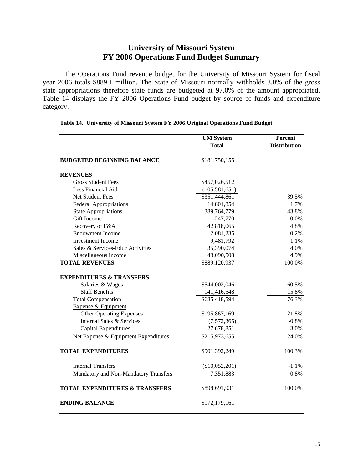# **University of Missouri System FY 2006 Operations Fund Budget Summary**

The Operations Fund revenue budget for the University of Missouri System for fiscal year 2006 totals \$889.1 million. The State of Missouri normally withholds 3.0% of the gross state appropriations therefore state funds are budgeted at 97.0% of the amount appropriated. Table 14 displays the FY 2006 Operations Fund budget by source of funds and expenditure category.

|                                           | <b>UM System</b>          | Percent             |
|-------------------------------------------|---------------------------|---------------------|
|                                           | <b>Total</b>              | <b>Distribution</b> |
| <b>BUDGETED BEGINNING BALANCE</b>         | \$181,750,155             |                     |
| <b>REVENUES</b>                           |                           |                     |
| <b>Gross Student Fees</b>                 | \$457,026,512             |                     |
| Less Financial Aid                        | (105, 581, 651)           |                     |
| Net Student Fees                          | \$351,444,861             | 39.5%               |
| <b>Federal Appropriations</b>             | 14,801,854                | 1.7%                |
| <b>State Appropriations</b>               | 389,764,779               | 43.8%               |
| Gift Income                               | 247,770                   | 0.0%                |
| Recovery of F&A                           | 42,818,065                | 4.8%                |
| <b>Endowment Income</b>                   | 2,081,235                 | 0.2%                |
| <b>Investment Income</b>                  | 9,481,792                 | 1.1%                |
| Sales & Services-Educ Activities          | 35,390,074                | 4.0%                |
| Miscellaneous Income                      | 43,090,508                | 4.9%                |
| <b>TOTAL REVENUES</b>                     | $\overline{$889,120,937}$ | 100.0%              |
| <b>EXPENDITURES &amp; TRANSFERS</b>       |                           |                     |
| Salaries & Wages                          | \$544,002,046             | 60.5%               |
| <b>Staff Benefits</b>                     | 141,416,548               | 15.8%               |
| <b>Total Compensation</b>                 | \$685,418,594             | 76.3%               |
| Expense & Equipment                       |                           |                     |
| <b>Other Operating Expenses</b>           | \$195,867,169             | 21.8%               |
| Internal Sales & Services                 | (7,572,365)               | $-0.8%$             |
| Capital Expenditures                      | 27,678,851                | 3.0%                |
| Net Expense & Equipment Expenditures      | \$215,973,655             | 24.0%               |
| <b>TOTAL EXPENDITURES</b>                 | \$901,392,249             | 100.3%              |
| <b>Internal Transfers</b>                 | $(\$10,052,201)$          | $-1.1%$             |
| Mandatory and Non-Mandatory Transfers     | 7,351,883                 | 0.8%                |
| <b>TOTAL EXPENDITURES &amp; TRANSFERS</b> | \$898,691,931             | 100.0%              |
| <b>ENDING BALANCE</b>                     | \$172,179,161             |                     |

|  | Table 14. University of Missouri System FY 2006 Original Operations Fund Budget |  |  |  |
|--|---------------------------------------------------------------------------------|--|--|--|
|  |                                                                                 |  |  |  |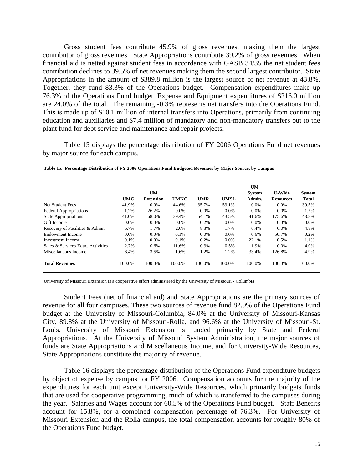Gross student fees contribute 45.9% of gross revenues, making them the largest contributor of gross revenues. State Appropriations contribute 39.2% of gross revenues. When financial aid is netted against student fees in accordance with GASB 34/35 the net student fees contribution declines to 39.5% of net revenues making them the second largest contributor. State Appropriations in the amount of \$389.8 million is the largest source of net revenue at 43.8%. Together, they fund 83.3% of the Operations budget. Compensation expenditures make up 76.3% of the Operations Fund budget. Expense and Equipment expenditures of \$216.0 million are 24.0% of the total. The remaining -0.3% represents net transfers into the Operations Fund. This is made up of \$10.1 million of internal transfers into Operations, primarily from continuing education and auxiliaries and \$7.4 million of mandatory and non-mandatory transfers out to the plant fund for debt service and maintenance and repair projects.

Table 15 displays the percentage distribution of FY 2006 Operations Fund net revenues by major source for each campus.

|                                   |         |                  |             |            |             | <b>UM</b>     |                  |               |
|-----------------------------------|---------|------------------|-------------|------------|-------------|---------------|------------------|---------------|
|                                   |         | <b>UM</b>        |             |            |             | <b>System</b> | <b>U-Wide</b>    | <b>System</b> |
|                                   | UMC     | <b>Extension</b> | <b>UMKC</b> | <b>UMR</b> | <b>UMSL</b> | Admin.        | <b>Resources</b> | <b>Total</b>  |
| Net Student Fees                  | 41.9%   | $0.0\%$          | 44.6%       | 35.7%      | 53.1%       | $0.0\%$       | $0.0\%$          | 39.5%         |
| <b>Federal Appropriations</b>     | 1.2%    | 26.2%            | $0.0\%$     | $0.0\%$    | 0.0%        | $0.0\%$       | $0.0\%$          | 1.7%          |
| <b>State Appropriations</b>       | 41.0%   | 68.0%            | 39.4%       | 54.1%      | 43.5%       | 41.6%         | 175.6%           | 43.8%         |
| Gift Income                       | $0.0\%$ | $0.0\%$          | $0.0\%$     | 0.2%       | $0.0\%$     | $0.0\%$       | $0.0\%$          | $0.0\%$       |
| Recovery of Facilities & Admin.   | 6.7%    | 1.7%             | 2.6%        | 8.3%       | 1.7%        | 0.4%          | $0.0\%$          | 4.8%          |
| Endowment Income                  | $0.0\%$ | $0.0\%$          | 0.1%        | $0.0\%$    | $0.0\%$     | $0.6\%$       | 50.7%            | $0.2\%$       |
| Investment Income                 | 0.1%    | $0.0\%$          | 0.1%        | 0.2%       | $0.0\%$     | 22.1%         | 0.5%             | 1.1%          |
| Sales & Services-Educ. Activities | 2.7%    | 0.6%             | 11.6%       | 0.3%       | 0.5%        | 1.9%          | $0.0\%$          | 4.0%          |
| Miscellaneous Income              | 6.4%    | 3.5%             | 1.6%        | 1.2%       | 1.2%        | 33.4%         | $-126.8%$        | 4.9%          |
| <b>Total Revenues</b>             | 100.0%  | 100.0%           | 100.0%      | 100.0%     | 100.0%      | 100.0%        | 100.0%           | 100.0%        |

**Table 15. Percentage Distribution of FY 2006 Operations Fund Budgeted Revenues by Major Source, by Campus**

University of Missouri Extension is a cooperative effort administered by the University of Missouri - Columbia

Student Fees (net of financial aid) and State Appropriations are the primary sources of revenue for all four campuses. These two sources of revenue fund 82.9% of the Operations Fund budget at the University of Missouri-Columbia, 84.0% at the University of Missouri-Kansas City, 89.8% at the University of Missouri-Rolla, and 96.6% at the University of Missouri-St. Louis. University of Missouri Extension is funded primarily by State and Federal Appropriations. At the University of Missouri System Administration, the major sources of funds are State Appropriations and Miscellaneous Income, and for University-Wide Resources, State Appropriations constitute the majority of revenue.

Table 16 displays the percentage distribution of the Operations Fund expenditure budgets by object of expense by campus for FY 2006. Compensation accounts for the majority of the expenditures for each unit except University-Wide Resources, which primarily budgets funds that are used for cooperative programming, much of which is transferred to the campuses during the year. Salaries and Wages account for 60.5% of the Operations Fund budget. Staff Benefits account for 15.8%, for a combined compensation percentage of 76.3%. For University of Missouri Extension and the Rolla campus, the total compensation accounts for roughly 80% of the Operations Fund budget.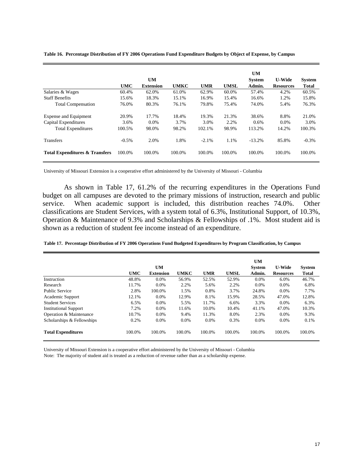|                                           | <b>UMC</b> | <b>UM</b><br><b>Extension</b> | <b>UMKC</b> | <b>UMR</b> | <b>UMSL</b> | <b>UM</b><br><b>System</b><br>Admin. | <b>U-Wide</b><br><b>Resources</b> | <b>System</b><br><b>Total</b> |
|-------------------------------------------|------------|-------------------------------|-------------|------------|-------------|--------------------------------------|-----------------------------------|-------------------------------|
|                                           |            |                               |             |            |             |                                      |                                   |                               |
| Salaries & Wages                          | 60.4%      | 62.0%                         | 61.0%       | 62.9%      | 60.0%       | 57.4%                                | 4.2%                              | 60.5%                         |
| <b>Staff Benefits</b>                     | 15.6%      | 18.3%                         | 15.1%       | 16.9%      | 15.4%       | 16.6%                                | 1.2%                              | 15.8%                         |
| <b>Total Compensation</b>                 | 76.0%      | 80.3%                         | 76.1%       | 79.8%      | 75.4%       | 74.0%                                | 5.4%                              | 76.3%                         |
| Expense and Equipment                     | 20.9%      | 17.7%                         | 18.4%       | 19.3%      | 21.3%       | 38.6%                                | 8.8%                              | 21.0%                         |
| Capital Expenditures                      | 3.6%       | $0.0\%$                       | 3.7%        | 3.0%       | 2.2%        | 0.6%                                 | $0.0\%$                           | 3.0%                          |
| <b>Total Expenditures</b>                 | 100.5%     | 98.0%                         | 98.2%       | 102.1%     | 98.9%       | 113.2%                               | 14.2%                             | 100.3%                        |
| Transfers                                 | $-0.5\%$   | 2.0%                          | 1.8%        | $-2.1%$    | 1.1%        | $-13.2%$                             | 85.8%                             | $-0.3%$                       |
| <b>Total Expenditures &amp; Transfers</b> | 100.0%     | 100.0%                        | 100.0%      | 100.0%     | 100.0%      | 100.0%                               | 100.0%                            | 100.0%                        |

**Table 16. Percentage Distribution of FY 2006 Operations Fund Expenditure Budgets by Object of Expense, by Campus**

University of Missouri Extension is a cooperative effort administered by the University of Missouri - Columbia

As shown in Table 17, 61.2% of the recurring expenditures in the Operations Fund budget on all campuses are devoted to the primary missions of instruction, research and public service. When academic support is included, this distribution reaches 74.0%. Other classifications are Student Services, with a system total of 6.3%, Institutional Support, of 10.3%, Operation & Maintenance of 9.3% and Scholarships & Fellowships of .1%. Most student aid is shown as a reduction of student fee income instead of an expenditure.

|                              | <b>UMC</b> | <b>UM</b><br><b>Extension</b> | <b>UMKC</b> | <b>UMR</b> | <b>UMSL</b> | UM<br><b>System</b><br>Admin. | <b>U-Wide</b><br><b>Resources</b> | <b>System</b><br><b>Total</b> |
|------------------------------|------------|-------------------------------|-------------|------------|-------------|-------------------------------|-----------------------------------|-------------------------------|
| Instruction                  | 48.8%      | $0.0\%$                       | 56.9%       | 52.5%      | 52.9%       | $0.0\%$                       | 6.0%                              | 46.7%                         |
| Research                     | 11.7%      | $0.0\%$                       | 2.2%        | 5.6%       | 2.2%        | $0.0\%$                       | $0.0\%$                           | 6.8%                          |
| <b>Public Service</b>        | 2.8%       | 100.0%                        | 1.5%        | 0.8%       | 3.7%        | 24.8%                         | $0.0\%$                           | 7.7%                          |
| Academic Support             | 12.1%      | $0.0\%$                       | 12.9%       | 8.1%       | 15.9%       | 28.5%                         | 47.0%                             | 12.8%                         |
| <b>Student Services</b>      | 6.5%       | $0.0\%$                       | 5.5%        | 11.7%      | 6.6%        | 3.3%                          | $0.0\%$                           | 6.3%                          |
| <b>Institutional Support</b> | 7.2%       | $0.0\%$                       | 11.6%       | 10.0%      | 10.4%       | 41.1%                         | 47.0%                             | 10.3%                         |
| Operation & Maintenance      | 10.7%      | 0.0%                          | 9.4%        | 11.3%      | 8.0%        | 2.3%                          | $0.0\%$                           | 9.3%                          |
| Scholarships & Fellowships   | 0.2%       | $0.0\%$                       | $0.0\%$     | 0.0%       | 0.3%        | $0.0\%$                       | $0.0\%$                           | 0.1%                          |
| <b>Total Expenditures</b>    | 100.0%     | 100.0%                        | 100.0%      | 100.0%     | 100.0%      | 100.0%                        | 100.0%                            | 100.0%                        |

**Table 17. Percentage Distribution of FY 2006 Operations Fund Budgeted Expenditures by Program Classification, by Campus**

University of Missouri Extension is a cooperative effort administered by the University of Missouri - Columbia Note: The majority of student aid is treated as a reduction of revenue rather than as a scholarship expense.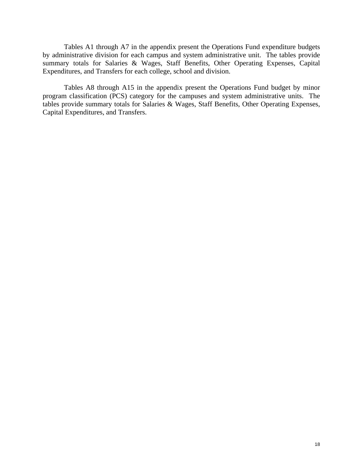Tables A1 through A7 in the appendix present the Operations Fund expenditure budgets by administrative division for each campus and system administrative unit. The tables provide summary totals for Salaries & Wages, Staff Benefits, Other Operating Expenses, Capital Expenditures, and Transfers for each college, school and division.

Tables A8 through A15 in the appendix present the Operations Fund budget by minor program classification (PCS) category for the campuses and system administrative units. The tables provide summary totals for Salaries & Wages, Staff Benefits, Other Operating Expenses, Capital Expenditures, and Transfers.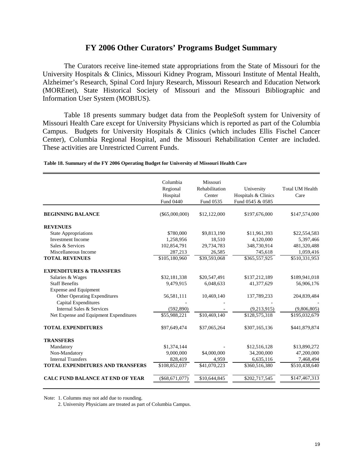# **FY 2006 Other Curators' Programs Budget Summary**

 The Curators receive line-itemed state appropriations from the State of Missouri for the University Hospitals & Clinics, Missouri Kidney Program, Missouri Institute of Mental Health, Alzheimer's Research, Spinal Cord Injury Research, Missouri Research and Education Network (MOREnet), State Historical Society of Missouri and the Missouri Bibliographic and Information User System (MOBIUS).

Table 18 presents summary budget data from the PeopleSoft system for University of Missouri Health Care except for University Physicians which is reported as part of the Columbia Campus. Budgets for University Hospitals & Clinics (which includes Ellis Fischel Cancer Center), Columbia Regional Hospital, and the Missouri Rehabilitation Center are included. These activities are Unrestricted Current Funds.

| Fund 0440<br>Fund 0535<br>Fund 0545 & 0585<br><b>BEGINNING BALANCE</b><br>$(\$65,000,000)$<br>\$12,122,000<br>\$197,676,000<br><b>REVENUES</b><br><b>State Appropriations</b><br>\$780,000<br>\$9,813,190<br>\$11,961,393<br><b>Investment Income</b><br>1,258,956<br>18.510<br>4,120,000<br>Sales & Services<br>102,854,791<br>29,734,783<br>348,730,914<br>Miscellaneous Income<br>287,213<br>26,585<br>745,618<br>\$105,180,960<br>\$365,557,925<br><b>TOTAL REVENUES</b><br>\$39,593,068<br><b>EXPENDITURES &amp; TRANSFERS</b><br>Salaries & Wages<br>\$137,212,189<br>\$32,181,338<br>\$20,547,491<br><b>Staff Benefits</b><br>41,377,629<br>9,479,915<br>6,048,633<br><b>Expense and Equipment</b><br>Other Operating Expenditures<br>56,581,111<br>10,469,140<br>137,789,233<br><b>Capital Expenditures</b><br>Internal Sales & Services<br>(592, 890)<br>(9,213,915) | Total UM Health<br>Care |
|-------------------------------------------------------------------------------------------------------------------------------------------------------------------------------------------------------------------------------------------------------------------------------------------------------------------------------------------------------------------------------------------------------------------------------------------------------------------------------------------------------------------------------------------------------------------------------------------------------------------------------------------------------------------------------------------------------------------------------------------------------------------------------------------------------------------------------------------------------------------------------|-------------------------|
|                                                                                                                                                                                                                                                                                                                                                                                                                                                                                                                                                                                                                                                                                                                                                                                                                                                                               |                         |
|                                                                                                                                                                                                                                                                                                                                                                                                                                                                                                                                                                                                                                                                                                                                                                                                                                                                               | \$147,574,000           |
|                                                                                                                                                                                                                                                                                                                                                                                                                                                                                                                                                                                                                                                                                                                                                                                                                                                                               |                         |
|                                                                                                                                                                                                                                                                                                                                                                                                                                                                                                                                                                                                                                                                                                                                                                                                                                                                               | \$22,554,583            |
|                                                                                                                                                                                                                                                                                                                                                                                                                                                                                                                                                                                                                                                                                                                                                                                                                                                                               | 5,397,466               |
|                                                                                                                                                                                                                                                                                                                                                                                                                                                                                                                                                                                                                                                                                                                                                                                                                                                                               | 481,320,488             |
|                                                                                                                                                                                                                                                                                                                                                                                                                                                                                                                                                                                                                                                                                                                                                                                                                                                                               | 1,059,416               |
|                                                                                                                                                                                                                                                                                                                                                                                                                                                                                                                                                                                                                                                                                                                                                                                                                                                                               | \$510,331,953           |
|                                                                                                                                                                                                                                                                                                                                                                                                                                                                                                                                                                                                                                                                                                                                                                                                                                                                               |                         |
|                                                                                                                                                                                                                                                                                                                                                                                                                                                                                                                                                                                                                                                                                                                                                                                                                                                                               | \$189,941,018           |
|                                                                                                                                                                                                                                                                                                                                                                                                                                                                                                                                                                                                                                                                                                                                                                                                                                                                               | 56,906,176              |
|                                                                                                                                                                                                                                                                                                                                                                                                                                                                                                                                                                                                                                                                                                                                                                                                                                                                               |                         |
|                                                                                                                                                                                                                                                                                                                                                                                                                                                                                                                                                                                                                                                                                                                                                                                                                                                                               | 204,839,484             |
|                                                                                                                                                                                                                                                                                                                                                                                                                                                                                                                                                                                                                                                                                                                                                                                                                                                                               |                         |
|                                                                                                                                                                                                                                                                                                                                                                                                                                                                                                                                                                                                                                                                                                                                                                                                                                                                               | (9,806,805)             |
| \$10,469,140<br>\$55,988,221<br>\$128,575,318<br>Net Expense and Equipment Expenditures                                                                                                                                                                                                                                                                                                                                                                                                                                                                                                                                                                                                                                                                                                                                                                                       | \$195,032,679           |
| <b>TOTAL EXPENDITURES</b><br>\$97,649,474<br>\$37,065,264<br>\$307,165,136                                                                                                                                                                                                                                                                                                                                                                                                                                                                                                                                                                                                                                                                                                                                                                                                    | \$441,879,874           |
| <b>TRANSFERS</b>                                                                                                                                                                                                                                                                                                                                                                                                                                                                                                                                                                                                                                                                                                                                                                                                                                                              |                         |
| Mandatory<br>\$1,374,144<br>\$12,516,128                                                                                                                                                                                                                                                                                                                                                                                                                                                                                                                                                                                                                                                                                                                                                                                                                                      | \$13,890,272            |
| \$4,000,000<br>Non-Mandatory<br>9,000,000<br>34,200,000                                                                                                                                                                                                                                                                                                                                                                                                                                                                                                                                                                                                                                                                                                                                                                                                                       | 47,200,000              |
| <b>Internal Transfers</b><br>828,419<br>6,635,116<br>4,959                                                                                                                                                                                                                                                                                                                                                                                                                                                                                                                                                                                                                                                                                                                                                                                                                    | 7,468,494               |
| \$108,852,037<br>\$41,070,223<br><b>TOTAL EXPENDITURES AND TRANSFERS</b><br>\$360,516,380                                                                                                                                                                                                                                                                                                                                                                                                                                                                                                                                                                                                                                                                                                                                                                                     | \$510,438,640           |
| <b>CALC FUND BALANCE AT END OF YEAR</b><br>$(\$68,671,077)$<br>\$10,644,845<br>\$202,717,545                                                                                                                                                                                                                                                                                                                                                                                                                                                                                                                                                                                                                                                                                                                                                                                  | \$147,467,313           |

**Table 18. Summary of the FY 2006 Operating Budget for University of Missouri Health Care**

Note: 1. Columns may not add due to rounding.

2. University Physicians are treated as part of Columbia Campus.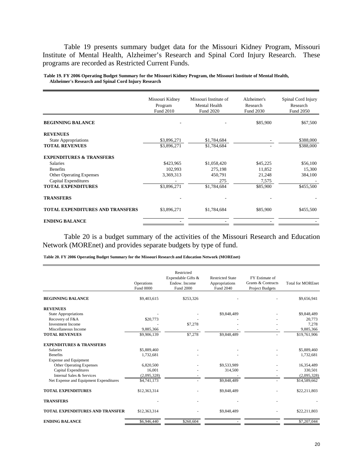Table 19 presents summary budget data for the Missouri Kidney Program, Missouri Institute of Mental Health, Alzheimer's Research and Spinal Cord Injury Research. These programs are recorded as Restricted Current Funds.

|                                         | Missouri Kidney<br>Program<br>Fund 2010 | Missouri Institute of<br>Mental Health<br><b>Fund 2020</b> | Alzheimer's<br>Research<br>Fund 2030 | Spinal Cord Injury<br>Research<br>Fund 2050 |
|-----------------------------------------|-----------------------------------------|------------------------------------------------------------|--------------------------------------|---------------------------------------------|
| <b>BEGINNING BALANCE</b>                |                                         |                                                            | \$85,900                             | \$67,500                                    |
| <b>REVENUES</b>                         |                                         |                                                            |                                      |                                             |
| <b>State Appropriations</b>             | \$3,896,271                             | \$1,784,684                                                |                                      | \$388,000                                   |
| <b>TOTAL REVENUES</b>                   | \$3,896,271                             | \$1,784,684                                                |                                      | \$388,000                                   |
| <b>EXPENDITURES &amp; TRANSFERS</b>     |                                         |                                                            |                                      |                                             |
| <b>Salaries</b>                         | \$423,965                               | \$1,058,420                                                | \$45,225                             | \$56,100                                    |
| <b>Benefits</b>                         | 102,993                                 | 275,198                                                    | 11,852                               | 15,300                                      |
| <b>Other Operating Expenses</b>         | 3,369,313                               | 450,791                                                    | 21,248                               | 384,100                                     |
| Capital Expenditures                    |                                         | 275                                                        | 7,575                                |                                             |
| <b>TOTAL EXPENDITURES</b>               | \$3,896,271                             | \$1,784,684                                                | \$85,900                             | \$455,500                                   |
| <b>TRANSFERS</b>                        |                                         |                                                            |                                      |                                             |
| <b>TOTAL EXPENDITURES AND TRANSFERS</b> | \$3,896,271                             | \$1,784,684                                                | \$85,900                             | \$455,500                                   |
| <b>ENDING BALANCE</b>                   |                                         |                                                            |                                      |                                             |

**Table 19. FY 2006 Operating Budget Summary for the Missouri Kidney Program, the Missouri Institute of Mental Health, Alzheimer's Research and Spinal Cord Injury Research**

Table 20 is a budget summary of the activities of the Missouri Research and Education Network (MOREnet) and provides separate budgets by type of fund.

**Table 20. FY 2006 Operating Budget Summary for the Missouri Research and Education Network (MOREnet)**

|                                        | Operations<br><b>Fund 0000</b> | Restricted<br>Expendable Gifts &<br>Endow. Income<br>Fund 2000 | <b>Restricted State</b><br>Appropriations<br>Fund 2040 | FY Estimate of<br>Grants & Contracts<br><b>Project Budgets</b> | <b>Total for MOREnet</b> |
|----------------------------------------|--------------------------------|----------------------------------------------------------------|--------------------------------------------------------|----------------------------------------------------------------|--------------------------|
| <b>BEGINNING BALANCE</b>               | \$9,403,615                    | \$253,326                                                      |                                                        |                                                                | \$9,656,941              |
| <b>REVENUES</b>                        |                                |                                                                |                                                        |                                                                |                          |
| <b>State Appropriations</b>            |                                |                                                                | \$9,848,489                                            |                                                                | \$9,848,489              |
| Recovery of F&A                        | \$20,773                       |                                                                |                                                        |                                                                | 20,773                   |
| <b>Investment Income</b>               |                                | \$7,278                                                        |                                                        |                                                                | 7,278                    |
| Miscellaneous Income                   | 9,885,366                      |                                                                |                                                        |                                                                | 9,885,366                |
| <b>TOTAL REVENUES</b>                  | \$9,906,139                    | \$7,278                                                        | \$9,848,489                                            |                                                                | \$19,761,906             |
| <b>EXPENDITURES &amp; TRANSFERS</b>    |                                |                                                                |                                                        |                                                                |                          |
| <b>Salaries</b>                        | \$5,889,460                    |                                                                |                                                        |                                                                | \$5,889,460              |
| <b>Benefits</b>                        | 1,732,681                      |                                                                |                                                        |                                                                | 1,732,681                |
| <b>Expense and Equipment</b>           |                                |                                                                |                                                        |                                                                |                          |
| <b>Other Operating Expenses</b>        | 6,820,500                      |                                                                | \$9,533,989                                            |                                                                | 16,354,489               |
| <b>Capital Expenditures</b>            | 16.001                         |                                                                | 314,500                                                |                                                                | 330,501                  |
| Internal Sales & Services              | (2,095,328)                    |                                                                |                                                        |                                                                | (2,095,328)              |
| Net Expense and Equipment Expenditures | \$4,741,173                    |                                                                | \$9,848,489                                            |                                                                | \$14,589,662             |
| <b>TOTAL EXPENDITURES</b>              | \$12,363,314                   |                                                                | \$9,848,489                                            |                                                                | \$22,211,803             |
| <b>TRANSFERS</b>                       |                                |                                                                |                                                        |                                                                |                          |
| <b>TOTAL EXPENDITURES AND TRANSFER</b> | \$12,363,314                   |                                                                | \$9,848,489                                            |                                                                | \$22,211,803             |
| <b>ENDING BALANCE</b>                  | \$6,946,440                    | \$260,604                                                      |                                                        |                                                                | \$7,207,044              |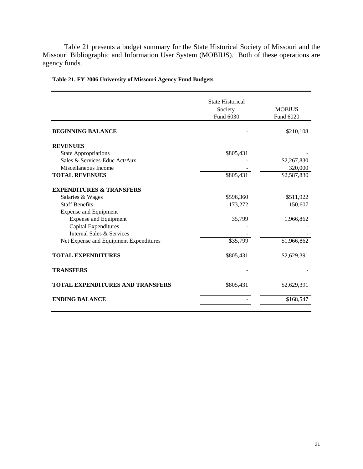Table 21 presents a budget summary for the State Historical Society of Missouri and the Missouri Bibliographic and Information User System (MOBIUS). Both of these operations are agency funds.

|                                         | <b>State Historical</b> |               |
|-----------------------------------------|-------------------------|---------------|
|                                         | Society                 | <b>MOBIUS</b> |
|                                         | Fund 6030               | Fund 6020     |
| <b>BEGINNING BALANCE</b>                |                         | \$210,108     |
| <b>REVENUES</b>                         |                         |               |
| <b>State Appropriations</b>             | \$805,431               |               |
| Sales & Services-Educ Act/Aux           |                         | \$2,267,830   |
| Miscellaneous Income                    |                         | 320,000       |
| <b>TOTAL REVENUES</b>                   | \$805,431               | \$2,587,830   |
| <b>EXPENDITURES &amp; TRANSFERS</b>     |                         |               |
| Salaries & Wages                        | \$596,360               | \$511,922     |
| <b>Staff Benefits</b>                   | 173,272                 | 150,607       |
| <b>Expense and Equipment</b>            |                         |               |
| <b>Expense and Equipment</b>            | 35,799                  | 1,966,862     |
| Capital Expenditures                    |                         |               |
| Internal Sales & Services               |                         |               |
| Net Expense and Equipment Expenditures  | \$35,799                | \$1,966,862   |
| <b>TOTAL EXPENDITURES</b>               | \$805,431               | \$2,629,391   |
| <b>TRANSFERS</b>                        |                         |               |
| <b>TOTAL EXPENDITURES AND TRANSFERS</b> | \$805,431               | \$2,629,391   |
| <b>ENDING BALANCE</b>                   |                         | \$168,547     |
|                                         |                         |               |

## **Table 21. FY 2006 University of Missouri Agency Fund Budgets**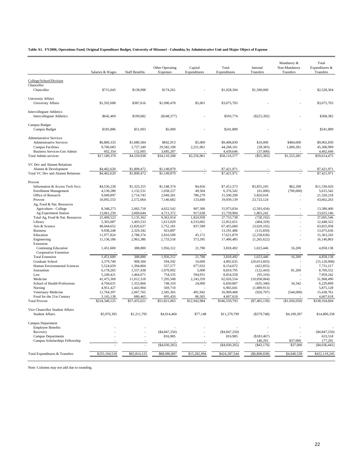**Table A1. FY2006, Operations Fund, Original Expenditure Budget, University of Missouri - Columbia, by Administrative Unit and Major Object of Expense**

|                                           |                  |                       | Other Operating | Capital      | Total           | Internal        | Mandatory &<br>Non-Mandatory | Total<br>Expenditures & |
|-------------------------------------------|------------------|-----------------------|-----------------|--------------|-----------------|-----------------|------------------------------|-------------------------|
|                                           | Salaries & Wages | <b>Staff Benefits</b> | Expenses        | Expenditures | Expenditures    | Transfers       | Transfers                    | Transfers               |
| College/School/Division                   |                  |                       |                 |              |                 |                 |                              |                         |
| Chancellor                                |                  |                       |                 |              |                 |                 |                              |                         |
| Chancellor                                | \$715,045        | \$138,998             | \$174,261       |              | \$1,028,304     | \$1,500,000     |                              | \$2,528,304             |
| <b>University Affairs</b>                 |                  |                       |                 |              |                 |                 |                              |                         |
| <b>University Affairs</b>                 | \$1,592,608      | \$387,616             | \$1,090,478     | \$5,001      | \$3,075,703     |                 |                              | \$3,075,703             |
|                                           |                  |                       |                 |              |                 |                 |                              |                         |
| Intercollegiate Athletics                 |                  |                       |                 |              |                 |                 |                              |                         |
| <b>Intercollegiate Athletics</b>          | \$642,469        | \$199,682             | $(\$248,377)$   |              | \$593,774       | $(\$225,392)$   |                              | \$368,382               |
|                                           |                  |                       |                 |              |                 |                 |                              |                         |
| Campus Budget                             |                  |                       |                 |              |                 |                 |                              |                         |
| Campus Budget                             | \$185,886        | \$51,003              | \$5,000         |              | \$241,889       |                 |                              | \$241,889               |
| <b>Administrative Services</b>            |                  |                       |                 |              |                 |                 |                              |                         |
| <b>Administrative Services</b>            | \$6,880,333      | \$1,680,584           | \$842,913       | \$5,000      | \$9,408,830     | \$10,000        | \$484,000                    | \$9,902,830             |
| <b>Campus Facilities</b>                  | 9,706,683        | 2,727,349             | 29,582,108      | 2,251,961    | 44,268,101      | (28, 383)       | 1,069,281                    | 45,308,999              |
| <b>Business Services-Gen Admin</b>        | 602,354          | 152,005               | 3,685,287       |              | 4,439,646       | (37,000)        |                              | 4,402,646               |
| <b>Total Admin services</b>               | \$17,189,370     | \$4,559,938           | \$34,110,308    | \$2,256,961  | \$58,116,577    | $(\$55,383)$    | \$1,553,281                  | \$59,614,475            |
|                                           |                  |                       |                 |              |                 |                 |                              |                         |
| VC Dev and Alumni Relations               |                  |                       |                 |              |                 |                 |                              |                         |
| Alumni & Development                      | \$4,462,620      | \$1,809,472           | \$1,149,879     |              | \$7,421,971     |                 |                              | \$7,421,971             |
| Total VC Dev and Alumni Relations         | \$4,462,620      | \$1,809,472           | \$1,149,879     |              | \$7,421,971     |                 |                              | \$7,421,971             |
|                                           |                  |                       |                 |              |                 |                 |                              |                         |
| Provost<br>Information & Access Tech Svcs | \$4,536,228      | \$1,323,315           | \$1,548,374     | \$4,656      | \$7,412,573     | \$3,855,245     | \$62,208                     | \$11,330,026            |
| <b>Enrollment Management</b>              | 4,136,280        | 1,132,531             | 1,058,227       | 49,504       | 6,376,542       | (61,000)        | (700,000)                    | 5,615,542               |
| Office of Research                        | 9,949,897        | 2,714,743             | 2,049,281       | 786,279      | 15,500,200      | 5,820,018       |                              | 21,320,218              |
| Provost                                   | 10,092,553       | 2,572,064             | 7,140,682       | 133,840      | 19,939,139      | 23,723,124      |                              | 43,662,263              |
| Ag, Food & Nat. Resources                 |                  |                       |                 |              |                 |                 |                              |                         |
| Agriculture - College                     | 8,348,273        | 2,065,718             | 4,652,542       | 907,300      | 15,973,834      | (2,593,434)     |                              | 13,380,400              |
| Ag Experiment Station                     | 13,061,250       | 3,069,644             | 4,711,372       | 917,638      | 21,759,904      | 1,865,242       |                              | 23,625,146              |
| Total Ag, Food & Nat. Resources           | 21,409,523       | 5,135,362             | 9,363,914       | 1,824,938    | 37,733,738      | (728, 192)      |                              | 37,005,546              |
| Library                                   | 5,303,087        | 1,403,533             | 1,613,029       | 4,533,002    | 12,852,651      | (404, 329)      |                              | 12,448,322              |
| Arts & Science                            | 48,044,652       | 12,820,637            | 5,752,181       | 837,589      | 67,455,060      | (3,629,102)     |                              | 63,825,958              |
| <b>Business</b>                           | 9,938,248        | 2,329,342             | 923,897         |              | 13,191,486      | (115, 850)      |                              | 13,075,636              |
| Education                                 | 11,977,824       | 2,788,374             | 2,810,509       | 45,172       | 17,621,879      | (2,258,636)     |                              | 15,363,243              |
| Engineering                               | 11,136,186       | 2,963,386             | 2,733,518       | 573,395      | 17,406,485      | (1,265,622)     |                              | 16,140,863              |
| Extension<br><b>Continuing Education</b>  | 1,451,600        | 388,800               | 1,956,312       | 21,780       | 3,818,492       | 1,023,446       | 16,200                       | 4,858,138               |
| Cooperative Extension                     |                  |                       |                 |              |                 |                 |                              |                         |
| <b>Total Extension</b>                    | 1,451,600        | 388,800               | 1,956,312       | 21,780       | 3,818,492       | 1,023,446       | 16,200                       | 4,858,138               |
| Graduate School                           | 3,379,740        | 908,304               | 594,592         | 10,000       | 4,892,635       | (20,013,603)    |                              | (15, 120, 968)          |
| Human Environmental Sciences              | 5,524,659        | 1,394,804             | 557,577         | 677,032      | 8,154,072       | (422, 855)      |                              | 7,731,217               |
| Journalism                                | 6,178,265        | 1,557,438             | 1,070,092       | 5,000        | 8,810,795       | (122, 443)      | 81,200                       | 8,769,552               |
| Law                                       | 5,240,421        | 1,464,671             | 754,535         | 594,931      | 8,054,558       | (95,316)        |                              | 7,959,242               |
| Medicine                                  | 41,475,369       | 11,012,318            | 7,295,508       | 2,243,359    | 62,026,554      | (10,058,064)    |                              | 51,968,490              |
| School of Health Professions              | 4,704,631        | 1,353,866             | 748,310         | 24,000       | 6,830,807       | (635, 340)      | 34,342                       | 6,229,809               |
| Nursing                                   | 4,951,427        | 1,443,904             | 569,710         |              | 6,965,041       | (1,089,913)     |                              | 5,875,128               |
| Veterinary Medicine                       | 11,764,397       | 2,067,765             | 2,585,365       | 491,942      | 16,909,468      | (926, 707)      | (544,000)                    | 15,438,761              |
| Food for the 21st Century                 | 3,145,138        | 680,465               | 695,450         | 86,565       | 4,607,618       |                 |                              | 4,607,618               |
| <b>Total Provost</b>                      | \$224,340,125    | \$57,455,621          | \$51,821,063    | \$12,942,984 | \$346,559,793   | $(\$7,405,139)$ | (\$1,050,050)                | \$338,104,604           |
| Vice Chancellor Student Affairs           |                  |                       |                 |              |                 |                 |                              |                         |
| <b>Student Affairs</b>                    | \$5,976,395      | \$1,211,795           | \$4,014,460     | \$77,148     | \$11,279,799    | $(\$579,748)$   | \$4,100,307                  | \$14,800,358            |
|                                           |                  |                       |                 |              |                 |                 |                              |                         |
| Campus Department                         |                  |                       |                 |              |                 |                 |                              |                         |
| <b>Employee Benefits</b>                  |                  |                       |                 |              |                 |                 |                              |                         |
| Recovery                                  |                  |                       | (S4, 847, 250)  |              | (\$4,847,250)   |                 |                              | ( \$4, 847, 250)        |
| <b>Campus Departments</b>                 |                  |                       | 816,985         |              | 816,985         | (\$183,467)     |                              | 633,518                 |
| Campus Scholarships Fellowship            |                  |                       |                 |              |                 | 140,291         | \$37,000                     | 177,291                 |
|                                           |                  |                       | (\$4,030,265)   |              | $(\$4,030,265)$ | $(\$43,176)$    | \$37,000                     | (\$4,036,441)           |
|                                           |                  |                       |                 |              |                 |                 |                              |                         |
| Total Expenditures & Transfers            | \$255,104,518    | \$65,814,125          | \$88,086,807    | \$15,282,094 | \$424,287,544   | $(\$6,808,838)$ | \$4,640,538                  | \$422,119,245           |
|                                           |                  |                       |                 |              |                 |                 |                              |                         |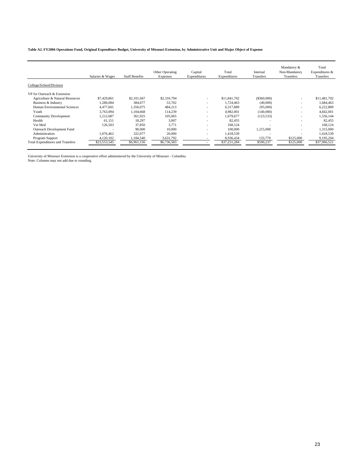**Table A2. FY2006 Operations Fund, Original Expenditure Budget, University of Missouri Extension, by Administrative Unit and Major Object of Expense**

| College/School/Division                                                                                                                                             |              |
|---------------------------------------------------------------------------------------------------------------------------------------------------------------------|--------------|
|                                                                                                                                                                     |              |
| VP for Outreach & Extension                                                                                                                                         |              |
| \$7,429,861<br>\$2,101,047<br>\$2,310,794<br>\$11,841,702<br>(\$360,000)<br>Agriculture & Natural Resources<br>$\overline{\phantom{a}}$<br>$\overline{\phantom{a}}$ | \$11,481,702 |
| 384,677<br>53.702<br>Business & Industry<br>1.286.084<br>1.724.463<br>(40,000)<br>۰                                                                                 | 1,684,463    |
| Human Environmental Sciences<br>4,477,601<br>6.317.889<br>1,356,075<br>484,213<br>(95,000)<br>$\overline{\phantom{a}}$<br>۰                                         | 6,222,889    |
| 3.763.094<br>1.104.668<br>114,239<br>4.982.001<br>Youth<br>(140,000)                                                                                                | 4,842,001    |
| 1,212,687<br><b>Community Development</b><br>361,925<br>105,065<br>1.679.677<br>(123, 533)                                                                          | 1,556,144    |
| Health<br>61.151<br>18,297<br>3,007<br>82.455<br>$\overline{\phantom{a}}$<br>$\overline{\phantom{a}}$                                                               | 82,455       |
| Vet Med<br>3.771<br>37.850<br>168,124<br>126,503<br>$\overline{\phantom{a}}$                                                                                        | 168,124      |
| Outreach Development Fund<br>90,000<br>10,000<br>100,000<br>1,215,000<br>$\overline{\phantom{a}}$                                                                   | 1,315,000    |
| Administration<br>1.076.462<br>322,077<br>20,000<br>1,418,539<br>$\overline{\phantom{a}}$                                                                           | 1,418,539    |
| 133,770<br>\$125,000<br>Program Support<br>4,120,102<br>1,184,540<br>3,631,792<br>8,936,434                                                                         | 9,195,204    |
| <b>Total Expenditures and Transfers</b><br>\$590,237<br>\$6,736,583<br>\$37,251,284<br>\$125,000<br>\$23,553,545<br>\$6,961,156                                     | \$37,966,521 |

University of Missouri Extension is a cooperative effort administered by the University of Missouri - Columbia Note: Columns may not add due to rounding.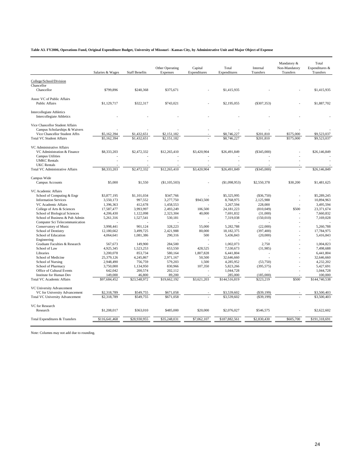**Table A3. FY2006, Operations Fund, Original Expenditure Budget, University of Missouri - Kansas City, by Administrative Unit and Major Object of Expense**

| College/School/Division<br>Chancellor<br>Chancellor<br>\$799,896<br>\$240,368<br>\$375,671<br>\$1,415,935<br>\$1,415,935<br>Assoc VC of Public Affairs<br><b>Public Affairs</b><br>\$1,129,717<br>\$322,317<br>\$743,021<br>\$2,195,055<br>$(\$307,353)$<br>\$1,887,702<br><b>Intercollegiate Athletics</b><br><b>Intercollegiate Athletics</b><br>Vice Chancellor Student Affairs<br>Campus Scholarships & Waivers<br>\$201,810<br>\$9,523,037<br>Vice Chancellor Student Affrs<br>\$5,162,394<br>\$1,432,651<br>\$2,151,182<br>\$8,746,227<br>\$575,000<br><b>Total VC Student Affairs</b><br>\$5,162,394<br>\$1,432,651<br>$\overline{52,}151,182$<br>\$8,746,227<br>\$201.810<br>\$575,000<br>\$9,523,037<br>VC Administrative Affairs<br>\$3,420,904<br>\$26,491,849<br>\$26,146,849<br>VC Administration & Finance<br>\$8,333,203<br>\$2,472,332<br>\$12,265,410<br>$(\$345,000)$<br><b>Campus Utilities</b><br><b>UMKC</b> Rentals<br>$\overline{a}$<br>L.<br><b>UKC</b> Rentals<br>\$8,333,203<br>\$2,472,332<br>\$12,265,410<br>\$3,420,904<br>\$26,491,849<br>(\$345,000)<br><b>Total VC Administrative Affairs</b><br>\$26,146,849<br>Campus Wide<br>\$5,000<br>\$1,550<br>(\$1,098,953)<br>\$30,200<br>\$1,481,625<br>Campus Accounts<br>(\$1,105,503)<br>\$2,550,378<br>VC Academic Affairs<br>\$347,766<br>\$5,325,995<br>\$5,289,245<br>School of Computing & Engr<br>\$3,877,195<br>\$1,101,034<br>(\$36,750)<br><b>Information Services</b><br>3,550,173<br>997,552<br>3,277,750<br>\$943,500<br>8,768,975<br>2,125,988<br>10,894,963<br>VC Academic Affairs<br>1,396,363<br>412,678<br>1,458,553<br>3,267,594<br>228,000<br>3,495,594<br>\$500<br>College of Arts & Sciences<br>17,587,477<br>3,993,997<br>2,493,249<br>106,500<br>24, 181, 223<br>(810,049)<br>23,371,674<br>40,000<br>7,691,832<br>7.660.832<br>School of Biological Sciences<br>4,206,430<br>1,122,098<br>2,323,304<br>(31,000)<br>School of Business & Pub Admin<br>7,319,038<br>7,169,028<br>5,261,316<br>1,527,541<br>530,181<br>(150,010)<br>Computer Sci Telecommunication<br>55,000<br>Conservatory of Music<br>3,998,441<br>901,124<br>328,223<br>5,282,788<br>(22,000)<br>5,260,788<br>School of Dentistry<br>80,000<br>12,180,662<br>3,499,725<br>2,421,988<br>18,182,375<br>(397, 400)<br>17,784,975<br>School of Education<br>500<br>4,064,641<br>1,081,386<br>290,316<br>5,436,843<br>(20,000)<br>5,416,843<br>Engineering<br>Graduate Faculties & Research<br>567,673<br>149,900<br>284,500<br>1,002,073<br>2,750<br>1.004.823<br>428.525<br>7.498.688<br>School of Law<br>4,925,345<br>1,523,253<br>653,550<br>7.530.673<br>(31, 985)<br>Libraries<br>1,807,828<br>6,441,804<br>3,200,078<br>853,734<br>580,164<br>6,441,804<br>50,500<br>School of Medicine<br>25,379,126<br>4,245,867<br>2,971,167<br>32,646,660<br>32,646,660<br>1,500<br>4,285,952<br>(53,750)<br>4,232,202<br>School of Nursing<br>2,948,490<br>756,759<br>579,203<br>School of Pharmacy<br>3,750,000<br>1,134,950<br>830,966<br>107,350<br>5,823,266<br>(395, 575)<br>5,427,691<br>642,042<br>202,112<br>1,044,728<br>Office of Cultural Events<br>200,574<br>1,044,728<br><b>Institute for Human Dev</b><br>149,000<br>46,800<br>89.200<br>285,000<br>(185,000)<br>100,000<br>$\overline{$3,621,203}$<br>\$23,548,972<br>\$19,662,192<br>\$223,219<br>\$500<br>\$144,740,538<br><b>Total VC Academic Affairs</b><br>\$97,684,452<br>\$144,516,819<br>VC University Advancement<br>VC for University Advancement<br>\$2,318,789<br>\$549,755<br>\$671,058<br>\$3,539,602<br>$(\$39,199)$<br>\$3,500,403<br>\$2,318,789<br>\$549,755<br>\$671.058<br>\$3,539,602<br>(S39, 199)<br>\$3,500,403<br><b>Total VC University Advancement</b><br>VC for Research<br>\$1,208,017<br>\$363,010<br>\$485,000<br>\$20,000<br>\$2,076,027<br>\$546,575<br>\$2,622,602<br>Research<br>\$116,641,468<br>\$28,930,955<br>\$35,248,031<br>\$7,062,107<br>\$187,882,561<br>\$2,830,430<br>\$605,700<br>\$191,318,691<br>Total Expenditures & Transfers | Salaries & Wages | <b>Staff Benefits</b> | Other Operating<br>Expenses | Capital<br>Expenditures | Total<br>Expenditures | Internal<br>Transfers | Mandatory &<br>Non-Mandatory<br>Transfers | Total<br>Expenditures &<br>Transfers |
|----------------------------------------------------------------------------------------------------------------------------------------------------------------------------------------------------------------------------------------------------------------------------------------------------------------------------------------------------------------------------------------------------------------------------------------------------------------------------------------------------------------------------------------------------------------------------------------------------------------------------------------------------------------------------------------------------------------------------------------------------------------------------------------------------------------------------------------------------------------------------------------------------------------------------------------------------------------------------------------------------------------------------------------------------------------------------------------------------------------------------------------------------------------------------------------------------------------------------------------------------------------------------------------------------------------------------------------------------------------------------------------------------------------------------------------------------------------------------------------------------------------------------------------------------------------------------------------------------------------------------------------------------------------------------------------------------------------------------------------------------------------------------------------------------------------------------------------------------------------------------------------------------------------------------------------------------------------------------------------------------------------------------------------------------------------------------------------------------------------------------------------------------------------------------------------------------------------------------------------------------------------------------------------------------------------------------------------------------------------------------------------------------------------------------------------------------------------------------------------------------------------------------------------------------------------------------------------------------------------------------------------------------------------------------------------------------------------------------------------------------------------------------------------------------------------------------------------------------------------------------------------------------------------------------------------------------------------------------------------------------------------------------------------------------------------------------------------------------------------------------------------------------------------------------------------------------------------------------------------------------------------------------------------------------------------------------------------------------------------------------------------------------------------------------------------------------------------------------------------------------------------------------------------------------------------------------------------------------------------------------------------------------------------------------------------------------------------------------------------------------------------------------------------------------------------------------------------------------------------------------------------------------------------------------------------------------------------------------------------------------------------|------------------|-----------------------|-----------------------------|-------------------------|-----------------------|-----------------------|-------------------------------------------|--------------------------------------|
|                                                                                                                                                                                                                                                                                                                                                                                                                                                                                                                                                                                                                                                                                                                                                                                                                                                                                                                                                                                                                                                                                                                                                                                                                                                                                                                                                                                                                                                                                                                                                                                                                                                                                                                                                                                                                                                                                                                                                                                                                                                                                                                                                                                                                                                                                                                                                                                                                                                                                                                                                                                                                                                                                                                                                                                                                                                                                                                                                                                                                                                                                                                                                                                                                                                                                                                                                                                                                                                                                                                                                                                                                                                                                                                                                                                                                                                                                                                                                                                                                |                  |                       |                             |                         |                       |                       |                                           |                                      |
|                                                                                                                                                                                                                                                                                                                                                                                                                                                                                                                                                                                                                                                                                                                                                                                                                                                                                                                                                                                                                                                                                                                                                                                                                                                                                                                                                                                                                                                                                                                                                                                                                                                                                                                                                                                                                                                                                                                                                                                                                                                                                                                                                                                                                                                                                                                                                                                                                                                                                                                                                                                                                                                                                                                                                                                                                                                                                                                                                                                                                                                                                                                                                                                                                                                                                                                                                                                                                                                                                                                                                                                                                                                                                                                                                                                                                                                                                                                                                                                                                |                  |                       |                             |                         |                       |                       |                                           |                                      |
|                                                                                                                                                                                                                                                                                                                                                                                                                                                                                                                                                                                                                                                                                                                                                                                                                                                                                                                                                                                                                                                                                                                                                                                                                                                                                                                                                                                                                                                                                                                                                                                                                                                                                                                                                                                                                                                                                                                                                                                                                                                                                                                                                                                                                                                                                                                                                                                                                                                                                                                                                                                                                                                                                                                                                                                                                                                                                                                                                                                                                                                                                                                                                                                                                                                                                                                                                                                                                                                                                                                                                                                                                                                                                                                                                                                                                                                                                                                                                                                                                |                  |                       |                             |                         |                       |                       |                                           |                                      |
|                                                                                                                                                                                                                                                                                                                                                                                                                                                                                                                                                                                                                                                                                                                                                                                                                                                                                                                                                                                                                                                                                                                                                                                                                                                                                                                                                                                                                                                                                                                                                                                                                                                                                                                                                                                                                                                                                                                                                                                                                                                                                                                                                                                                                                                                                                                                                                                                                                                                                                                                                                                                                                                                                                                                                                                                                                                                                                                                                                                                                                                                                                                                                                                                                                                                                                                                                                                                                                                                                                                                                                                                                                                                                                                                                                                                                                                                                                                                                                                                                |                  |                       |                             |                         |                       |                       |                                           |                                      |
|                                                                                                                                                                                                                                                                                                                                                                                                                                                                                                                                                                                                                                                                                                                                                                                                                                                                                                                                                                                                                                                                                                                                                                                                                                                                                                                                                                                                                                                                                                                                                                                                                                                                                                                                                                                                                                                                                                                                                                                                                                                                                                                                                                                                                                                                                                                                                                                                                                                                                                                                                                                                                                                                                                                                                                                                                                                                                                                                                                                                                                                                                                                                                                                                                                                                                                                                                                                                                                                                                                                                                                                                                                                                                                                                                                                                                                                                                                                                                                                                                |                  |                       |                             |                         |                       |                       |                                           |                                      |
|                                                                                                                                                                                                                                                                                                                                                                                                                                                                                                                                                                                                                                                                                                                                                                                                                                                                                                                                                                                                                                                                                                                                                                                                                                                                                                                                                                                                                                                                                                                                                                                                                                                                                                                                                                                                                                                                                                                                                                                                                                                                                                                                                                                                                                                                                                                                                                                                                                                                                                                                                                                                                                                                                                                                                                                                                                                                                                                                                                                                                                                                                                                                                                                                                                                                                                                                                                                                                                                                                                                                                                                                                                                                                                                                                                                                                                                                                                                                                                                                                |                  |                       |                             |                         |                       |                       |                                           |                                      |
|                                                                                                                                                                                                                                                                                                                                                                                                                                                                                                                                                                                                                                                                                                                                                                                                                                                                                                                                                                                                                                                                                                                                                                                                                                                                                                                                                                                                                                                                                                                                                                                                                                                                                                                                                                                                                                                                                                                                                                                                                                                                                                                                                                                                                                                                                                                                                                                                                                                                                                                                                                                                                                                                                                                                                                                                                                                                                                                                                                                                                                                                                                                                                                                                                                                                                                                                                                                                                                                                                                                                                                                                                                                                                                                                                                                                                                                                                                                                                                                                                |                  |                       |                             |                         |                       |                       |                                           |                                      |
|                                                                                                                                                                                                                                                                                                                                                                                                                                                                                                                                                                                                                                                                                                                                                                                                                                                                                                                                                                                                                                                                                                                                                                                                                                                                                                                                                                                                                                                                                                                                                                                                                                                                                                                                                                                                                                                                                                                                                                                                                                                                                                                                                                                                                                                                                                                                                                                                                                                                                                                                                                                                                                                                                                                                                                                                                                                                                                                                                                                                                                                                                                                                                                                                                                                                                                                                                                                                                                                                                                                                                                                                                                                                                                                                                                                                                                                                                                                                                                                                                |                  |                       |                             |                         |                       |                       |                                           |                                      |
|                                                                                                                                                                                                                                                                                                                                                                                                                                                                                                                                                                                                                                                                                                                                                                                                                                                                                                                                                                                                                                                                                                                                                                                                                                                                                                                                                                                                                                                                                                                                                                                                                                                                                                                                                                                                                                                                                                                                                                                                                                                                                                                                                                                                                                                                                                                                                                                                                                                                                                                                                                                                                                                                                                                                                                                                                                                                                                                                                                                                                                                                                                                                                                                                                                                                                                                                                                                                                                                                                                                                                                                                                                                                                                                                                                                                                                                                                                                                                                                                                |                  |                       |                             |                         |                       |                       |                                           |                                      |
|                                                                                                                                                                                                                                                                                                                                                                                                                                                                                                                                                                                                                                                                                                                                                                                                                                                                                                                                                                                                                                                                                                                                                                                                                                                                                                                                                                                                                                                                                                                                                                                                                                                                                                                                                                                                                                                                                                                                                                                                                                                                                                                                                                                                                                                                                                                                                                                                                                                                                                                                                                                                                                                                                                                                                                                                                                                                                                                                                                                                                                                                                                                                                                                                                                                                                                                                                                                                                                                                                                                                                                                                                                                                                                                                                                                                                                                                                                                                                                                                                |                  |                       |                             |                         |                       |                       |                                           |                                      |
|                                                                                                                                                                                                                                                                                                                                                                                                                                                                                                                                                                                                                                                                                                                                                                                                                                                                                                                                                                                                                                                                                                                                                                                                                                                                                                                                                                                                                                                                                                                                                                                                                                                                                                                                                                                                                                                                                                                                                                                                                                                                                                                                                                                                                                                                                                                                                                                                                                                                                                                                                                                                                                                                                                                                                                                                                                                                                                                                                                                                                                                                                                                                                                                                                                                                                                                                                                                                                                                                                                                                                                                                                                                                                                                                                                                                                                                                                                                                                                                                                |                  |                       |                             |                         |                       |                       |                                           |                                      |
|                                                                                                                                                                                                                                                                                                                                                                                                                                                                                                                                                                                                                                                                                                                                                                                                                                                                                                                                                                                                                                                                                                                                                                                                                                                                                                                                                                                                                                                                                                                                                                                                                                                                                                                                                                                                                                                                                                                                                                                                                                                                                                                                                                                                                                                                                                                                                                                                                                                                                                                                                                                                                                                                                                                                                                                                                                                                                                                                                                                                                                                                                                                                                                                                                                                                                                                                                                                                                                                                                                                                                                                                                                                                                                                                                                                                                                                                                                                                                                                                                |                  |                       |                             |                         |                       |                       |                                           |                                      |
|                                                                                                                                                                                                                                                                                                                                                                                                                                                                                                                                                                                                                                                                                                                                                                                                                                                                                                                                                                                                                                                                                                                                                                                                                                                                                                                                                                                                                                                                                                                                                                                                                                                                                                                                                                                                                                                                                                                                                                                                                                                                                                                                                                                                                                                                                                                                                                                                                                                                                                                                                                                                                                                                                                                                                                                                                                                                                                                                                                                                                                                                                                                                                                                                                                                                                                                                                                                                                                                                                                                                                                                                                                                                                                                                                                                                                                                                                                                                                                                                                |                  |                       |                             |                         |                       |                       |                                           |                                      |
|                                                                                                                                                                                                                                                                                                                                                                                                                                                                                                                                                                                                                                                                                                                                                                                                                                                                                                                                                                                                                                                                                                                                                                                                                                                                                                                                                                                                                                                                                                                                                                                                                                                                                                                                                                                                                                                                                                                                                                                                                                                                                                                                                                                                                                                                                                                                                                                                                                                                                                                                                                                                                                                                                                                                                                                                                                                                                                                                                                                                                                                                                                                                                                                                                                                                                                                                                                                                                                                                                                                                                                                                                                                                                                                                                                                                                                                                                                                                                                                                                |                  |                       |                             |                         |                       |                       |                                           |                                      |
|                                                                                                                                                                                                                                                                                                                                                                                                                                                                                                                                                                                                                                                                                                                                                                                                                                                                                                                                                                                                                                                                                                                                                                                                                                                                                                                                                                                                                                                                                                                                                                                                                                                                                                                                                                                                                                                                                                                                                                                                                                                                                                                                                                                                                                                                                                                                                                                                                                                                                                                                                                                                                                                                                                                                                                                                                                                                                                                                                                                                                                                                                                                                                                                                                                                                                                                                                                                                                                                                                                                                                                                                                                                                                                                                                                                                                                                                                                                                                                                                                |                  |                       |                             |                         |                       |                       |                                           |                                      |
|                                                                                                                                                                                                                                                                                                                                                                                                                                                                                                                                                                                                                                                                                                                                                                                                                                                                                                                                                                                                                                                                                                                                                                                                                                                                                                                                                                                                                                                                                                                                                                                                                                                                                                                                                                                                                                                                                                                                                                                                                                                                                                                                                                                                                                                                                                                                                                                                                                                                                                                                                                                                                                                                                                                                                                                                                                                                                                                                                                                                                                                                                                                                                                                                                                                                                                                                                                                                                                                                                                                                                                                                                                                                                                                                                                                                                                                                                                                                                                                                                |                  |                       |                             |                         |                       |                       |                                           |                                      |
|                                                                                                                                                                                                                                                                                                                                                                                                                                                                                                                                                                                                                                                                                                                                                                                                                                                                                                                                                                                                                                                                                                                                                                                                                                                                                                                                                                                                                                                                                                                                                                                                                                                                                                                                                                                                                                                                                                                                                                                                                                                                                                                                                                                                                                                                                                                                                                                                                                                                                                                                                                                                                                                                                                                                                                                                                                                                                                                                                                                                                                                                                                                                                                                                                                                                                                                                                                                                                                                                                                                                                                                                                                                                                                                                                                                                                                                                                                                                                                                                                |                  |                       |                             |                         |                       |                       |                                           |                                      |
|                                                                                                                                                                                                                                                                                                                                                                                                                                                                                                                                                                                                                                                                                                                                                                                                                                                                                                                                                                                                                                                                                                                                                                                                                                                                                                                                                                                                                                                                                                                                                                                                                                                                                                                                                                                                                                                                                                                                                                                                                                                                                                                                                                                                                                                                                                                                                                                                                                                                                                                                                                                                                                                                                                                                                                                                                                                                                                                                                                                                                                                                                                                                                                                                                                                                                                                                                                                                                                                                                                                                                                                                                                                                                                                                                                                                                                                                                                                                                                                                                |                  |                       |                             |                         |                       |                       |                                           |                                      |
|                                                                                                                                                                                                                                                                                                                                                                                                                                                                                                                                                                                                                                                                                                                                                                                                                                                                                                                                                                                                                                                                                                                                                                                                                                                                                                                                                                                                                                                                                                                                                                                                                                                                                                                                                                                                                                                                                                                                                                                                                                                                                                                                                                                                                                                                                                                                                                                                                                                                                                                                                                                                                                                                                                                                                                                                                                                                                                                                                                                                                                                                                                                                                                                                                                                                                                                                                                                                                                                                                                                                                                                                                                                                                                                                                                                                                                                                                                                                                                                                                |                  |                       |                             |                         |                       |                       |                                           |                                      |
|                                                                                                                                                                                                                                                                                                                                                                                                                                                                                                                                                                                                                                                                                                                                                                                                                                                                                                                                                                                                                                                                                                                                                                                                                                                                                                                                                                                                                                                                                                                                                                                                                                                                                                                                                                                                                                                                                                                                                                                                                                                                                                                                                                                                                                                                                                                                                                                                                                                                                                                                                                                                                                                                                                                                                                                                                                                                                                                                                                                                                                                                                                                                                                                                                                                                                                                                                                                                                                                                                                                                                                                                                                                                                                                                                                                                                                                                                                                                                                                                                |                  |                       |                             |                         |                       |                       |                                           |                                      |
|                                                                                                                                                                                                                                                                                                                                                                                                                                                                                                                                                                                                                                                                                                                                                                                                                                                                                                                                                                                                                                                                                                                                                                                                                                                                                                                                                                                                                                                                                                                                                                                                                                                                                                                                                                                                                                                                                                                                                                                                                                                                                                                                                                                                                                                                                                                                                                                                                                                                                                                                                                                                                                                                                                                                                                                                                                                                                                                                                                                                                                                                                                                                                                                                                                                                                                                                                                                                                                                                                                                                                                                                                                                                                                                                                                                                                                                                                                                                                                                                                |                  |                       |                             |                         |                       |                       |                                           |                                      |
|                                                                                                                                                                                                                                                                                                                                                                                                                                                                                                                                                                                                                                                                                                                                                                                                                                                                                                                                                                                                                                                                                                                                                                                                                                                                                                                                                                                                                                                                                                                                                                                                                                                                                                                                                                                                                                                                                                                                                                                                                                                                                                                                                                                                                                                                                                                                                                                                                                                                                                                                                                                                                                                                                                                                                                                                                                                                                                                                                                                                                                                                                                                                                                                                                                                                                                                                                                                                                                                                                                                                                                                                                                                                                                                                                                                                                                                                                                                                                                                                                |                  |                       |                             |                         |                       |                       |                                           |                                      |
|                                                                                                                                                                                                                                                                                                                                                                                                                                                                                                                                                                                                                                                                                                                                                                                                                                                                                                                                                                                                                                                                                                                                                                                                                                                                                                                                                                                                                                                                                                                                                                                                                                                                                                                                                                                                                                                                                                                                                                                                                                                                                                                                                                                                                                                                                                                                                                                                                                                                                                                                                                                                                                                                                                                                                                                                                                                                                                                                                                                                                                                                                                                                                                                                                                                                                                                                                                                                                                                                                                                                                                                                                                                                                                                                                                                                                                                                                                                                                                                                                |                  |                       |                             |                         |                       |                       |                                           |                                      |
|                                                                                                                                                                                                                                                                                                                                                                                                                                                                                                                                                                                                                                                                                                                                                                                                                                                                                                                                                                                                                                                                                                                                                                                                                                                                                                                                                                                                                                                                                                                                                                                                                                                                                                                                                                                                                                                                                                                                                                                                                                                                                                                                                                                                                                                                                                                                                                                                                                                                                                                                                                                                                                                                                                                                                                                                                                                                                                                                                                                                                                                                                                                                                                                                                                                                                                                                                                                                                                                                                                                                                                                                                                                                                                                                                                                                                                                                                                                                                                                                                |                  |                       |                             |                         |                       |                       |                                           |                                      |
|                                                                                                                                                                                                                                                                                                                                                                                                                                                                                                                                                                                                                                                                                                                                                                                                                                                                                                                                                                                                                                                                                                                                                                                                                                                                                                                                                                                                                                                                                                                                                                                                                                                                                                                                                                                                                                                                                                                                                                                                                                                                                                                                                                                                                                                                                                                                                                                                                                                                                                                                                                                                                                                                                                                                                                                                                                                                                                                                                                                                                                                                                                                                                                                                                                                                                                                                                                                                                                                                                                                                                                                                                                                                                                                                                                                                                                                                                                                                                                                                                |                  |                       |                             |                         |                       |                       |                                           |                                      |
|                                                                                                                                                                                                                                                                                                                                                                                                                                                                                                                                                                                                                                                                                                                                                                                                                                                                                                                                                                                                                                                                                                                                                                                                                                                                                                                                                                                                                                                                                                                                                                                                                                                                                                                                                                                                                                                                                                                                                                                                                                                                                                                                                                                                                                                                                                                                                                                                                                                                                                                                                                                                                                                                                                                                                                                                                                                                                                                                                                                                                                                                                                                                                                                                                                                                                                                                                                                                                                                                                                                                                                                                                                                                                                                                                                                                                                                                                                                                                                                                                |                  |                       |                             |                         |                       |                       |                                           |                                      |
|                                                                                                                                                                                                                                                                                                                                                                                                                                                                                                                                                                                                                                                                                                                                                                                                                                                                                                                                                                                                                                                                                                                                                                                                                                                                                                                                                                                                                                                                                                                                                                                                                                                                                                                                                                                                                                                                                                                                                                                                                                                                                                                                                                                                                                                                                                                                                                                                                                                                                                                                                                                                                                                                                                                                                                                                                                                                                                                                                                                                                                                                                                                                                                                                                                                                                                                                                                                                                                                                                                                                                                                                                                                                                                                                                                                                                                                                                                                                                                                                                |                  |                       |                             |                         |                       |                       |                                           |                                      |
|                                                                                                                                                                                                                                                                                                                                                                                                                                                                                                                                                                                                                                                                                                                                                                                                                                                                                                                                                                                                                                                                                                                                                                                                                                                                                                                                                                                                                                                                                                                                                                                                                                                                                                                                                                                                                                                                                                                                                                                                                                                                                                                                                                                                                                                                                                                                                                                                                                                                                                                                                                                                                                                                                                                                                                                                                                                                                                                                                                                                                                                                                                                                                                                                                                                                                                                                                                                                                                                                                                                                                                                                                                                                                                                                                                                                                                                                                                                                                                                                                |                  |                       |                             |                         |                       |                       |                                           |                                      |
|                                                                                                                                                                                                                                                                                                                                                                                                                                                                                                                                                                                                                                                                                                                                                                                                                                                                                                                                                                                                                                                                                                                                                                                                                                                                                                                                                                                                                                                                                                                                                                                                                                                                                                                                                                                                                                                                                                                                                                                                                                                                                                                                                                                                                                                                                                                                                                                                                                                                                                                                                                                                                                                                                                                                                                                                                                                                                                                                                                                                                                                                                                                                                                                                                                                                                                                                                                                                                                                                                                                                                                                                                                                                                                                                                                                                                                                                                                                                                                                                                |                  |                       |                             |                         |                       |                       |                                           |                                      |
|                                                                                                                                                                                                                                                                                                                                                                                                                                                                                                                                                                                                                                                                                                                                                                                                                                                                                                                                                                                                                                                                                                                                                                                                                                                                                                                                                                                                                                                                                                                                                                                                                                                                                                                                                                                                                                                                                                                                                                                                                                                                                                                                                                                                                                                                                                                                                                                                                                                                                                                                                                                                                                                                                                                                                                                                                                                                                                                                                                                                                                                                                                                                                                                                                                                                                                                                                                                                                                                                                                                                                                                                                                                                                                                                                                                                                                                                                                                                                                                                                |                  |                       |                             |                         |                       |                       |                                           |                                      |
|                                                                                                                                                                                                                                                                                                                                                                                                                                                                                                                                                                                                                                                                                                                                                                                                                                                                                                                                                                                                                                                                                                                                                                                                                                                                                                                                                                                                                                                                                                                                                                                                                                                                                                                                                                                                                                                                                                                                                                                                                                                                                                                                                                                                                                                                                                                                                                                                                                                                                                                                                                                                                                                                                                                                                                                                                                                                                                                                                                                                                                                                                                                                                                                                                                                                                                                                                                                                                                                                                                                                                                                                                                                                                                                                                                                                                                                                                                                                                                                                                |                  |                       |                             |                         |                       |                       |                                           |                                      |
|                                                                                                                                                                                                                                                                                                                                                                                                                                                                                                                                                                                                                                                                                                                                                                                                                                                                                                                                                                                                                                                                                                                                                                                                                                                                                                                                                                                                                                                                                                                                                                                                                                                                                                                                                                                                                                                                                                                                                                                                                                                                                                                                                                                                                                                                                                                                                                                                                                                                                                                                                                                                                                                                                                                                                                                                                                                                                                                                                                                                                                                                                                                                                                                                                                                                                                                                                                                                                                                                                                                                                                                                                                                                                                                                                                                                                                                                                                                                                                                                                |                  |                       |                             |                         |                       |                       |                                           |                                      |
|                                                                                                                                                                                                                                                                                                                                                                                                                                                                                                                                                                                                                                                                                                                                                                                                                                                                                                                                                                                                                                                                                                                                                                                                                                                                                                                                                                                                                                                                                                                                                                                                                                                                                                                                                                                                                                                                                                                                                                                                                                                                                                                                                                                                                                                                                                                                                                                                                                                                                                                                                                                                                                                                                                                                                                                                                                                                                                                                                                                                                                                                                                                                                                                                                                                                                                                                                                                                                                                                                                                                                                                                                                                                                                                                                                                                                                                                                                                                                                                                                |                  |                       |                             |                         |                       |                       |                                           |                                      |
|                                                                                                                                                                                                                                                                                                                                                                                                                                                                                                                                                                                                                                                                                                                                                                                                                                                                                                                                                                                                                                                                                                                                                                                                                                                                                                                                                                                                                                                                                                                                                                                                                                                                                                                                                                                                                                                                                                                                                                                                                                                                                                                                                                                                                                                                                                                                                                                                                                                                                                                                                                                                                                                                                                                                                                                                                                                                                                                                                                                                                                                                                                                                                                                                                                                                                                                                                                                                                                                                                                                                                                                                                                                                                                                                                                                                                                                                                                                                                                                                                |                  |                       |                             |                         |                       |                       |                                           |                                      |
|                                                                                                                                                                                                                                                                                                                                                                                                                                                                                                                                                                                                                                                                                                                                                                                                                                                                                                                                                                                                                                                                                                                                                                                                                                                                                                                                                                                                                                                                                                                                                                                                                                                                                                                                                                                                                                                                                                                                                                                                                                                                                                                                                                                                                                                                                                                                                                                                                                                                                                                                                                                                                                                                                                                                                                                                                                                                                                                                                                                                                                                                                                                                                                                                                                                                                                                                                                                                                                                                                                                                                                                                                                                                                                                                                                                                                                                                                                                                                                                                                |                  |                       |                             |                         |                       |                       |                                           |                                      |
|                                                                                                                                                                                                                                                                                                                                                                                                                                                                                                                                                                                                                                                                                                                                                                                                                                                                                                                                                                                                                                                                                                                                                                                                                                                                                                                                                                                                                                                                                                                                                                                                                                                                                                                                                                                                                                                                                                                                                                                                                                                                                                                                                                                                                                                                                                                                                                                                                                                                                                                                                                                                                                                                                                                                                                                                                                                                                                                                                                                                                                                                                                                                                                                                                                                                                                                                                                                                                                                                                                                                                                                                                                                                                                                                                                                                                                                                                                                                                                                                                |                  |                       |                             |                         |                       |                       |                                           |                                      |
|                                                                                                                                                                                                                                                                                                                                                                                                                                                                                                                                                                                                                                                                                                                                                                                                                                                                                                                                                                                                                                                                                                                                                                                                                                                                                                                                                                                                                                                                                                                                                                                                                                                                                                                                                                                                                                                                                                                                                                                                                                                                                                                                                                                                                                                                                                                                                                                                                                                                                                                                                                                                                                                                                                                                                                                                                                                                                                                                                                                                                                                                                                                                                                                                                                                                                                                                                                                                                                                                                                                                                                                                                                                                                                                                                                                                                                                                                                                                                                                                                |                  |                       |                             |                         |                       |                       |                                           |                                      |
|                                                                                                                                                                                                                                                                                                                                                                                                                                                                                                                                                                                                                                                                                                                                                                                                                                                                                                                                                                                                                                                                                                                                                                                                                                                                                                                                                                                                                                                                                                                                                                                                                                                                                                                                                                                                                                                                                                                                                                                                                                                                                                                                                                                                                                                                                                                                                                                                                                                                                                                                                                                                                                                                                                                                                                                                                                                                                                                                                                                                                                                                                                                                                                                                                                                                                                                                                                                                                                                                                                                                                                                                                                                                                                                                                                                                                                                                                                                                                                                                                |                  |                       |                             |                         |                       |                       |                                           |                                      |
|                                                                                                                                                                                                                                                                                                                                                                                                                                                                                                                                                                                                                                                                                                                                                                                                                                                                                                                                                                                                                                                                                                                                                                                                                                                                                                                                                                                                                                                                                                                                                                                                                                                                                                                                                                                                                                                                                                                                                                                                                                                                                                                                                                                                                                                                                                                                                                                                                                                                                                                                                                                                                                                                                                                                                                                                                                                                                                                                                                                                                                                                                                                                                                                                                                                                                                                                                                                                                                                                                                                                                                                                                                                                                                                                                                                                                                                                                                                                                                                                                |                  |                       |                             |                         |                       |                       |                                           |                                      |
|                                                                                                                                                                                                                                                                                                                                                                                                                                                                                                                                                                                                                                                                                                                                                                                                                                                                                                                                                                                                                                                                                                                                                                                                                                                                                                                                                                                                                                                                                                                                                                                                                                                                                                                                                                                                                                                                                                                                                                                                                                                                                                                                                                                                                                                                                                                                                                                                                                                                                                                                                                                                                                                                                                                                                                                                                                                                                                                                                                                                                                                                                                                                                                                                                                                                                                                                                                                                                                                                                                                                                                                                                                                                                                                                                                                                                                                                                                                                                                                                                |                  |                       |                             |                         |                       |                       |                                           |                                      |
|                                                                                                                                                                                                                                                                                                                                                                                                                                                                                                                                                                                                                                                                                                                                                                                                                                                                                                                                                                                                                                                                                                                                                                                                                                                                                                                                                                                                                                                                                                                                                                                                                                                                                                                                                                                                                                                                                                                                                                                                                                                                                                                                                                                                                                                                                                                                                                                                                                                                                                                                                                                                                                                                                                                                                                                                                                                                                                                                                                                                                                                                                                                                                                                                                                                                                                                                                                                                                                                                                                                                                                                                                                                                                                                                                                                                                                                                                                                                                                                                                |                  |                       |                             |                         |                       |                       |                                           |                                      |
|                                                                                                                                                                                                                                                                                                                                                                                                                                                                                                                                                                                                                                                                                                                                                                                                                                                                                                                                                                                                                                                                                                                                                                                                                                                                                                                                                                                                                                                                                                                                                                                                                                                                                                                                                                                                                                                                                                                                                                                                                                                                                                                                                                                                                                                                                                                                                                                                                                                                                                                                                                                                                                                                                                                                                                                                                                                                                                                                                                                                                                                                                                                                                                                                                                                                                                                                                                                                                                                                                                                                                                                                                                                                                                                                                                                                                                                                                                                                                                                                                |                  |                       |                             |                         |                       |                       |                                           |                                      |
|                                                                                                                                                                                                                                                                                                                                                                                                                                                                                                                                                                                                                                                                                                                                                                                                                                                                                                                                                                                                                                                                                                                                                                                                                                                                                                                                                                                                                                                                                                                                                                                                                                                                                                                                                                                                                                                                                                                                                                                                                                                                                                                                                                                                                                                                                                                                                                                                                                                                                                                                                                                                                                                                                                                                                                                                                                                                                                                                                                                                                                                                                                                                                                                                                                                                                                                                                                                                                                                                                                                                                                                                                                                                                                                                                                                                                                                                                                                                                                                                                |                  |                       |                             |                         |                       |                       |                                           |                                      |
|                                                                                                                                                                                                                                                                                                                                                                                                                                                                                                                                                                                                                                                                                                                                                                                                                                                                                                                                                                                                                                                                                                                                                                                                                                                                                                                                                                                                                                                                                                                                                                                                                                                                                                                                                                                                                                                                                                                                                                                                                                                                                                                                                                                                                                                                                                                                                                                                                                                                                                                                                                                                                                                                                                                                                                                                                                                                                                                                                                                                                                                                                                                                                                                                                                                                                                                                                                                                                                                                                                                                                                                                                                                                                                                                                                                                                                                                                                                                                                                                                |                  |                       |                             |                         |                       |                       |                                           |                                      |
|                                                                                                                                                                                                                                                                                                                                                                                                                                                                                                                                                                                                                                                                                                                                                                                                                                                                                                                                                                                                                                                                                                                                                                                                                                                                                                                                                                                                                                                                                                                                                                                                                                                                                                                                                                                                                                                                                                                                                                                                                                                                                                                                                                                                                                                                                                                                                                                                                                                                                                                                                                                                                                                                                                                                                                                                                                                                                                                                                                                                                                                                                                                                                                                                                                                                                                                                                                                                                                                                                                                                                                                                                                                                                                                                                                                                                                                                                                                                                                                                                |                  |                       |                             |                         |                       |                       |                                           |                                      |
|                                                                                                                                                                                                                                                                                                                                                                                                                                                                                                                                                                                                                                                                                                                                                                                                                                                                                                                                                                                                                                                                                                                                                                                                                                                                                                                                                                                                                                                                                                                                                                                                                                                                                                                                                                                                                                                                                                                                                                                                                                                                                                                                                                                                                                                                                                                                                                                                                                                                                                                                                                                                                                                                                                                                                                                                                                                                                                                                                                                                                                                                                                                                                                                                                                                                                                                                                                                                                                                                                                                                                                                                                                                                                                                                                                                                                                                                                                                                                                                                                |                  |                       |                             |                         |                       |                       |                                           |                                      |
|                                                                                                                                                                                                                                                                                                                                                                                                                                                                                                                                                                                                                                                                                                                                                                                                                                                                                                                                                                                                                                                                                                                                                                                                                                                                                                                                                                                                                                                                                                                                                                                                                                                                                                                                                                                                                                                                                                                                                                                                                                                                                                                                                                                                                                                                                                                                                                                                                                                                                                                                                                                                                                                                                                                                                                                                                                                                                                                                                                                                                                                                                                                                                                                                                                                                                                                                                                                                                                                                                                                                                                                                                                                                                                                                                                                                                                                                                                                                                                                                                |                  |                       |                             |                         |                       |                       |                                           |                                      |
|                                                                                                                                                                                                                                                                                                                                                                                                                                                                                                                                                                                                                                                                                                                                                                                                                                                                                                                                                                                                                                                                                                                                                                                                                                                                                                                                                                                                                                                                                                                                                                                                                                                                                                                                                                                                                                                                                                                                                                                                                                                                                                                                                                                                                                                                                                                                                                                                                                                                                                                                                                                                                                                                                                                                                                                                                                                                                                                                                                                                                                                                                                                                                                                                                                                                                                                                                                                                                                                                                                                                                                                                                                                                                                                                                                                                                                                                                                                                                                                                                |                  |                       |                             |                         |                       |                       |                                           |                                      |
|                                                                                                                                                                                                                                                                                                                                                                                                                                                                                                                                                                                                                                                                                                                                                                                                                                                                                                                                                                                                                                                                                                                                                                                                                                                                                                                                                                                                                                                                                                                                                                                                                                                                                                                                                                                                                                                                                                                                                                                                                                                                                                                                                                                                                                                                                                                                                                                                                                                                                                                                                                                                                                                                                                                                                                                                                                                                                                                                                                                                                                                                                                                                                                                                                                                                                                                                                                                                                                                                                                                                                                                                                                                                                                                                                                                                                                                                                                                                                                                                                |                  |                       |                             |                         |                       |                       |                                           |                                      |
|                                                                                                                                                                                                                                                                                                                                                                                                                                                                                                                                                                                                                                                                                                                                                                                                                                                                                                                                                                                                                                                                                                                                                                                                                                                                                                                                                                                                                                                                                                                                                                                                                                                                                                                                                                                                                                                                                                                                                                                                                                                                                                                                                                                                                                                                                                                                                                                                                                                                                                                                                                                                                                                                                                                                                                                                                                                                                                                                                                                                                                                                                                                                                                                                                                                                                                                                                                                                                                                                                                                                                                                                                                                                                                                                                                                                                                                                                                                                                                                                                |                  |                       |                             |                         |                       |                       |                                           |                                      |
|                                                                                                                                                                                                                                                                                                                                                                                                                                                                                                                                                                                                                                                                                                                                                                                                                                                                                                                                                                                                                                                                                                                                                                                                                                                                                                                                                                                                                                                                                                                                                                                                                                                                                                                                                                                                                                                                                                                                                                                                                                                                                                                                                                                                                                                                                                                                                                                                                                                                                                                                                                                                                                                                                                                                                                                                                                                                                                                                                                                                                                                                                                                                                                                                                                                                                                                                                                                                                                                                                                                                                                                                                                                                                                                                                                                                                                                                                                                                                                                                                |                  |                       |                             |                         |                       |                       |                                           |                                      |
|                                                                                                                                                                                                                                                                                                                                                                                                                                                                                                                                                                                                                                                                                                                                                                                                                                                                                                                                                                                                                                                                                                                                                                                                                                                                                                                                                                                                                                                                                                                                                                                                                                                                                                                                                                                                                                                                                                                                                                                                                                                                                                                                                                                                                                                                                                                                                                                                                                                                                                                                                                                                                                                                                                                                                                                                                                                                                                                                                                                                                                                                                                                                                                                                                                                                                                                                                                                                                                                                                                                                                                                                                                                                                                                                                                                                                                                                                                                                                                                                                |                  |                       |                             |                         |                       |                       |                                           |                                      |
|                                                                                                                                                                                                                                                                                                                                                                                                                                                                                                                                                                                                                                                                                                                                                                                                                                                                                                                                                                                                                                                                                                                                                                                                                                                                                                                                                                                                                                                                                                                                                                                                                                                                                                                                                                                                                                                                                                                                                                                                                                                                                                                                                                                                                                                                                                                                                                                                                                                                                                                                                                                                                                                                                                                                                                                                                                                                                                                                                                                                                                                                                                                                                                                                                                                                                                                                                                                                                                                                                                                                                                                                                                                                                                                                                                                                                                                                                                                                                                                                                |                  |                       |                             |                         |                       |                       |                                           |                                      |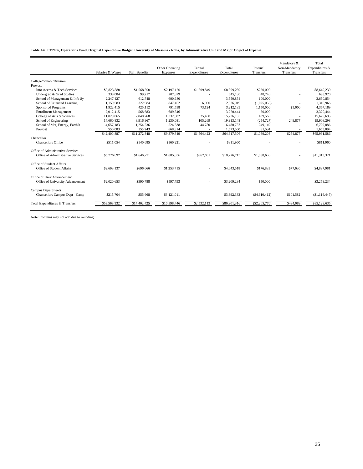|  |  |  | Table A4. FY2006, Operations Fund, Original Expenditure Budget, University of Missouri - Rolla, by Administrative Unit and Major Object of Expense |  |  |  |
|--|--|--|----------------------------------------------------------------------------------------------------------------------------------------------------|--|--|--|
|--|--|--|----------------------------------------------------------------------------------------------------------------------------------------------------|--|--|--|

|                                   | Salaries & Wages | <b>Staff Benefits</b> | Other Operating<br>Expenses | Capital<br>Expenditures | Total<br>Expenditures | Internal<br>Transfers | Mandatory &<br>Non-Mandatory<br>Transfers | Total<br>Expenditures &<br>Transfers |
|-----------------------------------|------------------|-----------------------|-----------------------------|-------------------------|-----------------------|-----------------------|-------------------------------------------|--------------------------------------|
| College/School/Division           |                  |                       |                             |                         |                       |                       |                                           |                                      |
| Provost                           |                  |                       |                             |                         |                       |                       |                                           |                                      |
| Info Access & Tech Services       | \$3,823,880      | \$1,068,390           | \$2,197,120                 | \$1,309,849             | \$8,399,239           | \$250,000             |                                           | \$8,649,239                          |
| Undergrad & Grad Studies          | 338,084          | 99,217                | 207,879                     |                         | 645,180               | 48.740                |                                           | 693,920                              |
| School of Management & Info Sy    | 2,247,427        | 612.748               | 690,680                     |                         | 3.550.854             | 100,000               |                                           | 3.650.854                            |
| School of Extended Learning       | 1.159.583        | 322,984               | 847.452                     | 6.000                   | 2.336.019             | (1,025,053)           |                                           | 1.310.966                            |
| <b>Sponsored Programs</b>         | 1,922,415        | 425,112               | 791,538                     | 73,124                  | 3,212,189             | 1,150,000             | \$5,000                                   | 4,367,189                            |
| <b>Enrollment Management</b>      | 2,012,415        | 568,683               | 689,346                     | $\overline{a}$          | 3,270,444             | 50,000                |                                           | 3,320,444                            |
| College of Arts & Sciences        | 11,029,065       | 2,848,768             | 1,332,902                   | 25,400                  | 15.236.135            | 439,560               |                                           | 15,675,695                           |
| School of Engineering             | 14,660,832       | 3.916.967             | 1,230,081                   | 105,269                 | 19.913.148            | (254, 727)            | 249,877                                   | 19,908.298                           |
| School of Mat, Energy, EarthR     | 4,657,183        | 1,254,236             | 524,538                     | 44,780                  | 6,480,737             | 249,149               |                                           | 6,729,886                            |
| Provost                           | 550,003          | 155.243               | 868,314                     |                         | 1,573,560             | 81.534                |                                           | 1,655,094                            |
|                                   | \$42,400,887     | \$11,272,348          | \$9,379,849                 | \$1,564,422             | \$64,617,506          | \$1,089,203           | \$254,877                                 | \$65,961,586                         |
| Chancellor                        |                  |                       |                             |                         |                       |                       |                                           |                                      |
| Chancellors Office                | \$511.054        | \$140,685             | \$160,221                   |                         | \$811,960             |                       |                                           | \$811.960                            |
| Office of Administrative Services |                  |                       |                             |                         |                       |                       |                                           |                                      |
| Office of Administrative Services | \$5,726,897      | \$1,646,271           | \$1,885,856                 | \$967.691               | \$10,226,715          | \$1,088,606           | $\sim$                                    | \$11,315,321                         |
| Office of Student Affairs         |                  |                       |                             |                         |                       |                       |                                           |                                      |
| Office of Student Affairs         | \$2,693.137      | \$696,666             | \$1,253,715                 |                         | \$4,643,518           | \$176,833             | \$77,630                                  | \$4,897,981                          |
| Office of Univ Advancement        |                  |                       |                             |                         |                       |                       |                                           |                                      |
| Office of University Advancement  | \$2,020,653      | \$590,788             | \$597,793                   |                         | \$3,209,234           | \$50,000              |                                           | \$3,259,234                          |
| <b>Campus Departments</b>         |                  |                       |                             |                         |                       |                       |                                           |                                      |
| Chancellors Campus Dept - Camp    | \$215,704        | \$55,668              | \$3,121,011                 |                         | \$3,392,383           | (\$4,610,412)         | \$101,582                                 | (\$1,116,447)                        |
| Total Expenditures & Transfers    | \$53,568,332     | \$14,402,425          | \$16,398,446                | \$2,532,113             | \$86,901,316          | $(\$2, 205, 770)$     | \$434,089                                 | \$85,129,635                         |
|                                   |                  |                       |                             |                         |                       |                       |                                           |                                      |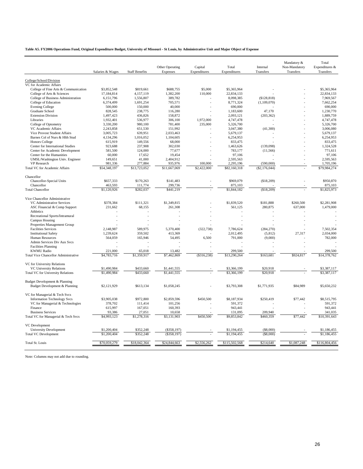#### **Table A5. FY2006 Operations Fund, Original Expenditure Budget, University of Missouri - St Louis, by Administrative Unit and Major Object of Expense**

|                                             |                  |                       |                             |                         |                       |                       | Mandatory &                | Total                       |
|---------------------------------------------|------------------|-----------------------|-----------------------------|-------------------------|-----------------------|-----------------------|----------------------------|-----------------------------|
|                                             | Salaries & Wages | <b>Staff Benefits</b> | Other Operating<br>Expenses | Capital<br>Expenditures | Total<br>Expenditures | Internal<br>Transfers | Non-Mandatory<br>Transfers | Expenditures &<br>Transfers |
| College/School/Division                     |                  |                       |                             |                         |                       |                       |                            |                             |
| VC for Academic Affairs                     |                  |                       |                             |                         |                       |                       |                            |                             |
| College of Fine Arts & Communication        | \$3,852,548      | \$819,661             | \$688,755                   | \$5,000                 | \$5,365,964           |                       |                            | \$5,365,964                 |
| College of Arts & Sciences                  | 17,184,814       | 4,157,119             | 1,382,200                   | 110,000                 | 22,834,133            |                       |                            | 22,834,133                  |
| College of Business Administration          | 6,151,796        | 1,556,807             | 389,782                     |                         | 8,098,385             | (\$128,818)           |                            | 7,969,567                   |
| College of Education                        | 6,374,499        | 1,691,254             | 705,571                     |                         | 8,771,324             | (1,109,070)           |                            | 7,662,254                   |
| <b>Evening College</b>                      | 500,000          | 150,000               | 40,000                      |                         | 690,000               |                       |                            | 690,000                     |
| <b>Graduate School</b>                      | 828,545          | 238,775               | 116,280                     |                         | 1,183,600             | 47,170                |                            | 1.230.770                   |
| <b>Extension Division</b>                   | 1,497,423        | 436,826               | 158,872                     |                         | 2,093,121             | (203, 362)            |                            | 1,889,759                   |
| Libraries                                   | 1,932,401        | 536,977               | 306,100                     | 1,972,000               | 4,747,478             |                       |                            | 4,747,478                   |
| College of Optometry                        | 3,330,200        | 980,100               | 781,400                     | 235,000                 | 5,326,700             |                       |                            | 5,326,700                   |
| VC Academic Affairs                         | 2,243,858        | 651,530               | 151,992                     |                         | 3,047,380             | (41,300)              |                            | 3,006,080                   |
| Vice Provost Student Affairs                | 3,005,723        | 639,951               | 2,033,463                   |                         | 5,679,137             |                       |                            | 5,679,137                   |
| Barnes Col of Nurs & Hlth Stud              | 4,134,296        | 1,016,052             | 1,104,605                   |                         | 6.254.953             |                       |                            | 6.254.953                   |
| <b>Honors College</b>                       | 615,919          | 149,556               | 68,000                      |                         | 833,475               |                       |                            | 833,475                     |
| Center for International Studies            | 923,688          | 237,908               | 302,030                     |                         | 1,463,626             | (139,098)             |                            | 1,324,528                   |
| Center for Academic Development             | 581,500          | 124,000               | 77,677                      |                         | 783,177               | (11, 566)             |                            | 771,611                     |
| Center for the Humanities                   | 60,000           | 17,652                | 19,454                      |                         | 97,106                |                       |                            | 97,106                      |
| UMSL/Washington Univ. Engineer              | 149,651          | 41,000                | 2,404,912                   |                         | 2,595,563             |                       |                            | 2,595,563                   |
| <b>VP</b> Research                          | 981,336          | 277,884               | 935,976                     | 100,000                 | 2.295.196             | (590,000)             |                            | 1,705,196                   |
| <b>Total VC for Academic Affairs</b>        | \$54,348,197     | \$13,723,052          | \$11,667,069                | \$2,422,000             | \$82,160,318          | (\$2,176,044)         |                            | \$79,984,274                |
| Chancellor                                  |                  |                       |                             |                         |                       |                       |                            |                             |
| Chancellor-Special Units                    | \$657,333        | \$170,263             | \$141,483                   |                         | \$969,079             | (\$18,209)            |                            | \$950,870                   |
| Chancellor                                  | 463,593          | 111,774               | 299,736                     |                         | 875,103               |                       |                            | 875,103                     |
| <b>Total Chancellor</b>                     | \$1,120,926      | \$282,037             | \$441,219                   |                         | \$1,844,182           | (\$18,209)            |                            | \$1,825,973                 |
| Vice Chancellor Administrative              |                  |                       |                             |                         |                       |                       |                            |                             |
| VC Administrative Services                  | \$378,384        | \$111,321             | \$1,349,815                 |                         | \$1,839,520           | \$181,888             | \$260,500                  | \$2,281,908                 |
| ASC Financial & Comp Support                | 231,662          | 68,155                | 261,308                     |                         | 561,125               | 280,875               | 637,000                    | 1,479,000                   |
| Athletics                                   |                  |                       |                             |                         |                       |                       |                            |                             |
| Recreational Sports/Intramural              |                  |                       |                             |                         |                       |                       |                            |                             |
| Campus Housing                              |                  |                       |                             |                         |                       |                       |                            |                             |
| Properties Management Group                 |                  |                       |                             |                         |                       |                       |                            |                             |
| <b>Facilities Services</b>                  | 2,148,987        | 589,975               | 5,370,400                   | (322, 738)              | 7,786,624             | (284, 270)            |                            | 7,502,354                   |
| <b>Institutional Safety</b>                 | 1,239,624        | 359,502               | 413,369                     |                         | 2,012,495             | (5,812)               | 27,317                     | 2,034,000                   |
| Human Resources                             | 564,059          | 165,946               | 54,495                      | 6,500                   | 791,000               | (9,000)               |                            | 782,000                     |
| Admin Services Div Aux Svcs                 |                  |                       |                             |                         |                       |                       |                            |                             |
| <b>Facilities Planning</b>                  |                  |                       |                             |                         |                       |                       |                            |                             |
| <b>KWMU Radio</b>                           | 221,000          | 65,018                | 13.482                      |                         | 299,500               |                       |                            | 299.500                     |
| <b>Total Vice Chancellor Administrative</b> | \$4,783,716      | \$1,359,917           | \$7,462,869                 | (\$316,238)             | \$13,290,264          | \$163,681             | \$924,817                  | \$14,378,762                |
| VC for University Relations                 |                  |                       |                             |                         |                       |                       |                            |                             |
| <b>VC University Relations</b>              | \$1,490,984      | \$433,660             | \$1,441,555                 |                         | \$3,366,199           | \$20,918              |                            | \$3,387,117                 |
| <b>Total VC</b> for University Relations    | \$1,490,984      | \$433,660             | \$1,441,555                 |                         | \$3,366,199           | \$20,918              |                            | \$3,387,117                 |
| Budget Development & Planning               |                  |                       |                             |                         |                       |                       |                            |                             |
| Budget Development & Planning               | \$2,121,929      | \$613,134             | \$1,058,245                 |                         | \$3,793,308           | \$1,771,935           | \$84,989                   | \$5,650,232                 |
| VC for Managerial & Tech Svcs               |                  |                       |                             |                         |                       |                       |                            |                             |
| <b>Information Technology Svcs</b>          | \$3,905,038      | \$972,800             | \$2,859,596                 | \$450,500               | \$8,187,934           | \$250,419             | \$77,442                   | \$8,515,795                 |
| VC for Managerial & Technologies            | 378,702          | 111,414               | 101,256                     |                         | 591,372               |                       |                            | 591,372                     |
| Finance                                     | 615,997          | 167,051               | 160,393                     |                         | 943.441               |                       |                            | 943.441                     |
| <b>Business Services</b>                    | 93,386           | 27,051                | 10,658                      |                         | 131,095               | 209,940               |                            | 341,035                     |
| Total VC for Managerial & Tech Svcs         | \$4,993,123      | \$1,278,316           | \$3,131,903                 | \$450,500               | \$9,853,842           | \$460,359             | \$77,442                   | \$10,391,643                |
| VC Development                              |                  |                       |                             |                         |                       |                       |                            |                             |
| <b>University Development</b>               | \$1,200,404      | \$352,248             | $(\$358,197)$               |                         | \$1,194,455           | (\$8,000)             |                            | \$1,186,455                 |
| <b>Total VC Development</b>                 | \$1,200,404      | \$352,248             | $(\$358,197)$               |                         | \$1,194,455           | (\$8,000)             |                            | \$1,186,455                 |
| Total St. Louis                             | \$70,059,279     | \$18,042,364          | \$24,844,663                | \$2,556,262             | \$115,502,568         | \$214,640             | \$1,087,248                | \$116,804,456               |
|                                             |                  |                       |                             |                         |                       |                       |                            |                             |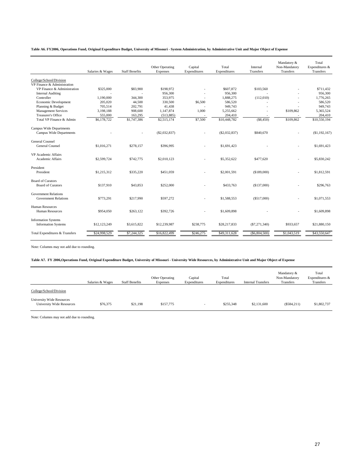| Table A6. FY2006, Operations Fund, Original Expenditure Budget, University of Missouri - System Administration, by Administrative Unit and Major Object of Expense |  |  |
|--------------------------------------------------------------------------------------------------------------------------------------------------------------------|--|--|
|--------------------------------------------------------------------------------------------------------------------------------------------------------------------|--|--|

|                                                            | Salaries & Wages | <b>Staff Benefits</b> | Other Operating<br>Expenses | Capital<br>Expenditures | Total<br>Expenditures | Internal<br>Transfers | Mandatory &<br>Non-Mandatory<br><b>Transfers</b> | Total<br>Expenditures &<br>Transfers |
|------------------------------------------------------------|------------------|-----------------------|-----------------------------|-------------------------|-----------------------|-----------------------|--------------------------------------------------|--------------------------------------|
| College/School/Division                                    |                  |                       |                             |                         |                       |                       |                                                  |                                      |
| VP Finance & Administration                                |                  |                       |                             |                         |                       |                       |                                                  |                                      |
| VP Finance & Administration                                | \$325,000        | \$83,900              | \$198,972                   |                         | \$607,872             | \$103,560             |                                                  | \$711.432                            |
| <b>Internal Auditing</b>                                   |                  |                       | 956,300                     |                         | 956,300               |                       |                                                  | 956,300                              |
| Controller                                                 | 1.190.000        | 344,300               | 353,975                     |                         | 1,888,275             | (112,010)             |                                                  | 1,776,265                            |
| Economic Development                                       | 205,020          | 44,500                | 330,500                     | \$6,500                 | 586,520               |                       |                                                  | 586,520                              |
| Planning & Budget                                          | 705,514          | 202,791               | 41,438                      |                         | 949,743               |                       |                                                  | 949,743                              |
| <b>Management Services</b>                                 | 3,198,188        | 908,600               | 1,147,874                   | 1,000                   | 5,255,662             |                       | \$109,862                                        | 5,365,524                            |
| <b>Treasurer's Office</b>                                  | 555,000          | 163,295               | (513, 885)                  |                         | 204,410               |                       |                                                  | 204,410                              |
| Total VP Finance & Admin                                   | \$6,178,722      | \$1,747,386           | \$2,515,174                 | \$7,500                 | \$10,448,782          | (\$8,450)             | \$109,862                                        | \$10,550,194                         |
| Campus Wide Departments<br>Campus Wide Departments         |                  |                       | (\$2,032,837)               |                         | $(\$2,032,837)$       | \$840,670             |                                                  | (\$1,192,167)                        |
| <b>General Counsel</b>                                     |                  |                       |                             |                         |                       |                       |                                                  |                                      |
| <b>General Counsel</b>                                     | \$1,016,271      | \$278,157             | \$396,995                   |                         | \$1,691,423           |                       | ä,                                               | \$1,691,423                          |
| VP Academic Affairs                                        |                  |                       |                             |                         |                       |                       |                                                  |                                      |
| Academic Affairs                                           | \$2,599,724      | \$742,775             | \$2,010.123                 |                         | \$5,352,622           | \$477,620             |                                                  | \$5,830,242                          |
| President                                                  |                  |                       |                             |                         |                       |                       |                                                  |                                      |
| President                                                  | \$1,215,312      | \$335,220             | \$451,059                   |                         | \$2,001,591           | (\$189,000)           |                                                  | \$1,812,591                          |
| <b>Board of Curators</b>                                   |                  |                       |                             |                         |                       |                       |                                                  |                                      |
| <b>Board of Curators</b>                                   | \$137,910        | \$43,853              | \$252,000                   |                         | \$433,763             | (\$137,000)           |                                                  | \$296,763                            |
| <b>Government Relations</b><br><b>Government Relations</b> | \$773,291        | \$217,990             | \$597,272                   |                         | \$1,588,553           | (\$517,000)           |                                                  | \$1,071,553                          |
|                                                            |                  |                       |                             |                         |                       |                       |                                                  |                                      |
| <b>Human Resources</b><br><b>Human Resources</b>           | \$954,050        | \$263,122             | \$392,726                   |                         | \$1,609,898           |                       |                                                  | \$1,609,898                          |
| <b>Information Systems</b><br><b>Information Systems</b>   | \$12,123,249     | \$3,615,822           | \$12,239,987                | \$238,775               | \$28,217,833          | (S7, 271, 340)        | \$933,657                                        | \$21,880,150                         |
| Total Expenditures & Transfers                             | \$24,998,529     | \$7,244,325           | \$16,822,499                | \$246,275               | \$49,311,628          | (S6, 804, 500)        | \$1,043,519                                      | \$43,550,647                         |
|                                                            |                  |                       |                             |                         |                       |                       |                                                  |                                      |

Note: Columns may not add due to rounding.

#### **Table A7. FY 2006,Operations Fund, Original Expenditure Budget, University of Missouri - University Wide Resources, by Administrative Unit and Major Object of Expense**

|                                                                      | Salaries & Wages | <b>Staff Benefits</b> | Other Operating<br><b>Expenses</b> | Capital<br>Expenditures | Total<br>Expenditures | <b>Internal Transfers</b> | Mandatory &<br>Non-Mandatory<br>Transfers | Total<br>Expenditures &<br>Transfers |
|----------------------------------------------------------------------|------------------|-----------------------|------------------------------------|-------------------------|-----------------------|---------------------------|-------------------------------------------|--------------------------------------|
| College/School/Division                                              |                  |                       |                                    |                         |                       |                           |                                           |                                      |
| <b>University Wide Resources</b><br><b>University Wide Resources</b> | \$76,375         | \$21.198              | \$157,775                          |                         | \$255,348             | \$2,131,600               | (\$584,211)                               | \$1,802,737                          |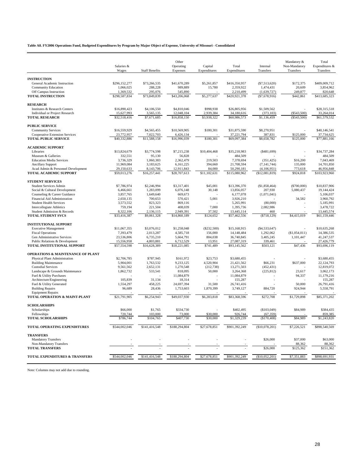**Table A8. FY2006 Operations Fund, Budgeted Expenditures by Program by Major Object of Expense, University of Missouri - Consolidated**

|                                                               | Salaries &                 |                           | Other<br>Operating         | Capital                | Total                       | Internal                      | Mandatory &<br>Non-Mandatory | Total<br>Expenditures &     |
|---------------------------------------------------------------|----------------------------|---------------------------|----------------------------|------------------------|-----------------------------|-------------------------------|------------------------------|-----------------------------|
|                                                               | Wages                      | <b>Staff Benefits</b>     | Expenses                   | Expenditures           | Expenditures                | Transfers                     | Transfers                    | Transfers                   |
|                                                               |                            |                           |                            |                        |                             |                               |                              |                             |
| <b>INSTRUCTION</b><br>General Academic Instruction            | \$296,152,277              | \$73.266,535              | \$41,670,289               | \$5,261,857            | \$416,350,957               | (\$7,513,620)                 | \$172,375                    | \$409,009,712               |
| Community Education                                           | 1,066,025                  | 288,228                   | 989,889                    | 15,780                 | 2,359,922                   | 1,474,431                     | 20,609                       | 3,854,962                   |
| Off Campus Instruction                                        | 1,369,532                  | 295,076                   | 545,890                    |                        | 2,210,499                   | (1,639,727)                   | 249,877                      | 820,648                     |
| <b>TOTAL INSTRUCTION</b>                                      | \$298,587,834              | \$73,849,839              | \$43,206,068               | \$5,277,637            | \$420,921,378               | $(*7,678,916)$                | \$442,861                    | \$413,685,323               |
| <b>RESEARCH</b>                                               |                            |                           |                            |                        |                             |                               |                              |                             |
| Institutes & Research Centers                                 | \$16,890,423               | \$4,106,550               | \$4,810,046                | \$998,938              | \$26,805,956                | \$1,509,562                   |                              | \$28,315,518                |
| Individual or Project Research                                | 15.627.993                 | 3.565.135                 | 12,048,104                 | 2.939.384              | 34,180,616                  | (373.103)                     | (\$543,500)                  | 33,264,014                  |
| <b>TOTAL RESEARCH</b>                                         | \$32,518,416               | \$7,671,685               | \$16,858,150               | \$3,938,322            | \$60,986,573                | \$1,136,459                   | (\$543,500)                  | \$61,579,532                |
| <b>PUBLIC SERVICE</b>                                         |                            |                           |                            |                        |                             |                               |                              |                             |
| <b>Community Services</b>                                     | \$16,559,929               | \$4,565,455               | \$10,569,905               | \$180,301              | \$31,875,590                | \$8,270,951                   |                              | \$40,146,541                |
| <b>Cooperative Extension Services</b>                         | 23,772,957                 | 7,022,703                 | 6,426,134                  |                        | 37,221,794                  | 387,831                       | \$125,000                    | 37,734,625                  |
| <b>TOTAL PUBLIC SERVICE</b>                                   | \$40,332,886               | \$11,588,158              | \$16,996,039               | \$180,301              | \$69,097,384                | \$8,658,782                   | \$125,000                    | \$77,881,166                |
| <b>ACADEMIC SUPPORT</b>                                       |                            |                           |                            |                        |                             |                               |                              |                             |
| Libraries                                                     | \$13,824,679               | \$3,774,598               | \$7,215,238                | \$10,404,468           | \$35,218,983                | ( \$481,699)                  |                              | \$34,737,284                |
| Museum & Galleries                                            | 332,551                    | 95,130                    | 56,828                     |                        | 484,509                     |                               |                              | 484,509                     |
| <b>Education Media Services</b>                               | 3,736,329                  | 1,060,383                 | 2,362,479                  | 219,503                | 7,378,694                   | (351, 425)                    | \$16,200                     | 7,043,469                   |
| <b>Ancillary Support</b>                                      | 11,969,084                 | 3,183,625                 | 6,161,225                  | 394,660                | 21,708,594                  | (7, 141, 744)                 | 135,000                      | 14,701,850                  |
| Acad Admin & Personnel Development<br>TOTAL ACADEMIC SUPPORT  | 29,150,633<br>\$59,013,276 | 8,143,706<br>\$16,257,441 | 12,911,843<br>\$28,707,613 | 84,000<br>\$11,102,631 | 50,290,181<br>\$115,080,962 | (4,106,951)<br>(\$12,081,819) | 773,618<br>\$924,818         | 46,956,848<br>\$103,923,960 |
|                                                               |                            |                           |                            |                        |                             |                               |                              |                             |
| <b>STUDENT SERVICES</b>                                       |                            |                           |                            |                        |                             |                               |                              |                             |
| <b>Student Services Admin</b>                                 | \$7,786,974<br>6,466,661   | \$2,246,994<br>1,283,099  | \$3,317,401                | \$45,001               | \$13,396,370<br>13,856,057  | (\$1,858,464)<br>207,930      | (\$700,000)                  | \$10,837,906<br>19,144,424  |
| Social & Cultural Development<br>Counseling & Career Guidance | 3,857,765                  | 1,649,640                 | 6,076,148<br>669,673       | 30,148                 | 6,177,078                   | (1,071,041)                   | 5,080,437                    | 5,106,037                   |
| Financial Aid Administration                                  | 2,650,135                  | 700,653                   | 570,421                    | 5,001                  | 3,926,210                   |                               | 34,582                       | 3,960,792                   |
| <b>Student Health Services</b>                                | 3,573,552                  | 823,323                   | 869,116                    |                        | 5,265,991                   | (80,000)                      |                              | 5,185,991                   |
| <b>Intercollegiate Athletics</b>                              | 759,194                    | 221,504                   | 408,039                    | 7,000                  | 1,395,736                   | 2,082,986                     |                              | 3,478,722                   |
| Student Admission & Records                                   | 8,322,106                  | 2,136,115                 | 2,949,391                  | 37,502                 | 13,445,114                  | 460                           |                              | 13,445,574                  |
| <b>TOTAL STUDENT SVCS</b>                                     | \$33,416,387               | \$9,061,328               | \$14,860,189               | \$124,652              | \$57,462,556                | ( \$718, 129)                 | \$4,415,019                  | \$61,159,446                |
| <b>INSTITUTIONAL SUPPORT</b>                                  |                            |                           |                            |                        |                             |                               |                              |                             |
| <b>Executive Management</b>                                   | \$11,067,355               | \$3,076,012               | \$1,258,048                | (\$232,500)            | \$15,168,915                | ( \$4,533,647)                |                              | \$10,635,268                |
| <b>Fiscal Operations</b>                                      | 7,393,479                  | 2,013,287                 | 4,585,718                  | 156,000                | 14,148,484                  | 1,292,062                     | (\$1,054,011)                | 14,386,535                  |
| Gen Administrative Services                                   | 23,536,806                 | 6,735,210                 | 5,664,791                  | 804,038                | 36,740,845                  | 3,405,245                     | 1,101,447                    | 41,247,537                  |
| Public Relations & Development                                | 15,556,958                 | 4,803,881                 | 6,712,529                  | 13,951                 | 27,087,319                  | 339,461                       |                              | 27,426,779                  |
| TOTAL INSTITUTIONAL SUPPORT                                   | \$57,554,598               | \$16,628,389              | \$18,221,085               | \$741,489              | \$93,145,562                | \$503,121                     | \$47,436                     | \$93,696,119                |
| <b>OPERATIONS &amp; MAINTENANCE OF PLANT</b>                  |                            |                           |                            |                        |                             |                               |                              |                             |
| Physical Plant Administration                                 | \$2,706,785                | \$787,945                 | \$161,972                  | \$23,753               | \$3,680,455                 |                               |                              | \$3,680,455                 |
| <b>Building Maintenance</b>                                   | 5,904,001                  | 1,763,532                 | 9,233,125                  | 4,520,904              | 21.421.562                  | \$66,231                      | \$637,000                    | 22.124.793                  |
| <b>Custodial Services</b><br>Landscape & Grounds Maintenance  | 9,561,562<br>1,862,732     | 2,652,131<br>533,541      | 1,270,548<br>818,095       | (212, 738)<br>50,000   | 13,271,503<br>3,264,368     | (452, 431)<br>(225, 812)      | 23,617                       | 12,819,072<br>3,062,173     |
| Fuel & Utility Purchases                                      |                            |                           | 11,084,879                 |                        | 11,084,879                  |                               | 94,337                       | 11,179,216                  |
| Architecture/Engineering                                      | 105,839                    | 31,134                    | 18,314                     |                        | 155,287                     |                               |                              | 155,287                     |
| Fuel & Utility Generated                                      | 1,554,297                  | 458,225                   | 24,697,394                 | 31,500                 | 26,741,416                  |                               | 50,000                       | 26,791,416                  |
| <b>Building Repairs</b>                                       | 96,689                     | 28,436                    | 1,753,603                  | 1,870,399              | 3,749,127                   | 884,720                       | 924,944                      | 5,558,791                   |
| <b>Equipment Repairs</b><br>TOTAL OPERATION & MAINT-PLANT     | \$21,791,905               | \$6,254,943               | \$49,037,930               | \$6,283,818            | \$83,368,596                | \$272,708                     | \$1,729,898                  | \$85,371,202                |
|                                                               |                            |                           |                            |                        |                             |                               |                              |                             |
| <b>SCHOLARSHIPS</b><br>Scholarships                           | \$66,000                   | \$1,765                   | \$334,730                  |                        | \$402,495                   | (\$103,049)                   | \$84,989                     | \$384,435                   |
| Fellowships                                                   | 720,744                    | 103,000                   | 73,000                     | \$30,000               | 926,744                     | (67, 359)                     |                              | 859,385                     |
| <b>TOTAL SCHOLARSHIPS</b>                                     | \$786,744                  | \$104,765                 | \$407,730                  | \$30,000               | \$1,329,239                 | (\$170,408)                   | \$84,989                     | \$1,243,820                 |
| <b>TOTAL OPERATING EXPENDITURES</b>                           | \$544,002,046              | \$141,416,548             | \$188,294,804              | \$27,678,851           | \$901,392,249               | (\$10,078,201)                | \$7,226,521                  | \$898,540,569               |
| <b>TRANSFERS</b>                                              |                            |                           |                            |                        |                             |                               |                              |                             |
| <b>Mandatory Transfers</b>                                    |                            |                           |                            |                        |                             | \$26,000                      | \$37,000                     | \$63,000                    |
| Non-Mandatory Transfers                                       |                            |                           |                            |                        |                             |                               | 88,362                       | 88,362                      |
| <b>TOTAL TRANSFERS</b>                                        |                            |                           |                            |                        |                             | \$26,000                      | \$125,362                    | \$151,362                   |
| <b>TOTAL EXPENDITURES &amp; TRANSFERS</b>                     | \$544,002,046              | \$141,416,548             | \$188,294,804              | \$27,678,851           | \$901,392,249               | (\$10,052,201)                | \$7,351,883                  | \$898,691,931               |
|                                                               |                            |                           |                            |                        |                             |                               |                              |                             |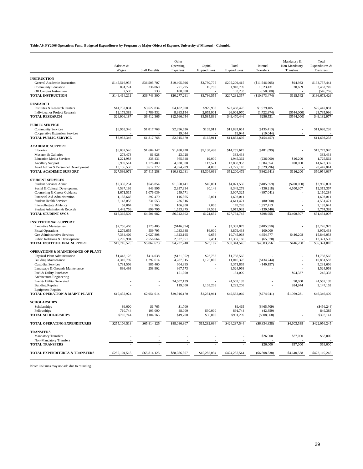**Table A9. FY2006 Operations Fund, Budgeted Expenditures by Program by Major Object of Expense, University of Missouri - Columbia**

|                                                           | Salaries &          |                       | Other<br>Operating   | Capital         | Total                | Internal                | Mandatory &<br>Non-Mandatory | Total<br>Expenditures & |
|-----------------------------------------------------------|---------------------|-----------------------|----------------------|-----------------|----------------------|-------------------------|------------------------------|-------------------------|
|                                                           | Wages               | <b>Staff Benefits</b> | Expenses             | Expenditures    | Expenditures         | Transfers               | Transfers                    | Transfers               |
| <b>INSTRUCTION</b>                                        |                     |                       |                      |                 |                      |                         |                              |                         |
| General Academic Instruction                              | \$145,516,937       | \$36,505,707          | \$19,405,996         | \$3,780,775     | \$205,209,415        | (\$11,546,905)          | \$94,933                     | \$193,757,444           |
| Community Education                                       | 894,774             | 236,860               | 771,295              | 15,780          | 1,918,709            | 1,523,431               | 20,609                       | 3,462,749               |
| Off Campus Instruction                                    | 2,500               | 733                   | 100,000              |                 | 103,233              | (650,000)               |                              | (546, 767)              |
| <b>TOTAL INSTRUCTION</b>                                  | \$146,414,211       | \$36,743,300          | \$20,277,291         | \$3,796,555     | \$207,231,357        | (\$10,673,474)          | \$115,542                    | \$196,673,426           |
| <b>RESEARCH</b>                                           |                     |                       |                      |                 |                      |                         |                              |                         |
| Institutes & Research Centers                             | \$14,732,804        | \$3,622,834           | \$4,182,900          | \$929,938       | \$23,468,476         | \$1,979,405             |                              | \$25,447,881            |
| Individual or Project Research                            | 12,173,383          | 2,789,532             | 8,383,154            | 2,655,901       | 26,001,970           | (1,722,874)             | (\$544,000)                  | 23,735,096              |
| <b>TOTAL RESEARCH</b>                                     | \$26,906,187        | \$6,412,366           | \$12,566,054         | \$3,585,839     | \$49,470,446         | \$256,531               | (\$544,000)                  | \$49,182,977            |
| <b>PUBLIC SERVICE</b>                                     |                     |                       |                      |                 |                      |                         |                              |                         |
| <b>Community Services</b>                                 | \$6,953,346         | \$1,817,768           | \$2,896,626          | \$165,911       | \$11,833,651         | (\$135,413)             | ÷,                           | \$11,698,238            |
| <b>Cooperative Extension Services</b>                     |                     |                       | 19,044               |                 | 19,044               | (19,044)                |                              |                         |
| <b>TOTAL PUBLIC SERVICE</b>                               | \$6,953,346         | \$1,817,768           | \$2,915,670          | \$165.911       | \$11,852,695         | (\$154, 457)            |                              | \$11,698,238            |
| <b>ACADEMIC SUPPORT</b>                                   |                     |                       |                      |                 |                      |                         |                              |                         |
| Libraries                                                 | \$6,032,546         | \$1,604,147           | \$1,480,428          | \$5,138,498     | \$14,255,619         | ( \$481,699)            |                              | \$13,773,920            |
| Museum & Galleries                                        | 278,478             | 81,928                | 23,028               |                 | 383,434              |                         |                              | 383,434                 |
| <b>Education Media Services</b>                           | 1,221,983           | 338,431               | 365,948              | 19,000          | 1,945,362            | (236,000)               | \$16,200                     | 1,725,562               |
| <b>Ancillary Support</b>                                  | 6,909,514           | 1,778,480             | 4,038,388            | 112,571         | 12,838,953           | 1,684,354               | 100,000                      | 14,623,307              |
| Acad Admin & Personnel Development                        | 13,156,550          | 3,612,272             | 4,974,289            | 34,000          | 21,777,110           | (1,329,296)             |                              | 20,447,814              |
| TOTAL ACADEMIC SUPPORT                                    | \$27,599,071        | \$7,415,258           | \$10,882,081         | \$5,304,069     | \$51,200,479         | (\$362, 641)            | \$116,200                    | \$50,954,037            |
| <b>STUDENT SERVICES</b>                                   |                     |                       |                      |                 |                      |                         |                              |                         |
| <b>Student Services Admin</b>                             | \$2,330,254         | \$645,854             | \$1,050,441          | \$45,001        | \$4,071,550          | ( \$405,659)            | (\$700,000)                  | \$2,965,891             |
| Social & Cultural Development                             | 4,537,199           | 843,996               | 2,937,934            | 30,148          | 8,349,278            | (136, 218)              | 4,100,307                    | 12,313,367              |
| Counseling & Career Guidance                              | 1,671,515           | 1,076,039             | 259,771              |                 | 3,007,325            | (897, 041)              |                              | 2.110.284               |
| Financial Aid Administration                              | 1,188,666           | 292,479               | 116,865              | 5,001           | 1,603,011            |                         |                              | 1,603,011               |
| <b>Student Health Services</b>                            | 3,143,052           | 731,553               | 736,816              |                 | 4,611,421            | (80,000)                |                              | 4,531,421               |
| Intercollegiate Athletics<br>Student Admission & Records  | 52,064<br>3,442,759 | 12,265<br>899,796     | 106,900<br>1,533,875 | 7,000<br>37,502 | 178,228<br>5,913,932 | 1,957,413<br>(139, 540) |                              | 2,135,641<br>5,774,392  |
| <b>TOTAL STUDENT SVCS</b>                                 | \$16,365,509        | \$4,501,982           | \$6,742,602          | \$124,652       | \$27,734,745         | \$298,955               | \$3,400,307                  | \$31,434,007            |
|                                                           |                     |                       |                      |                 |                      |                         |                              |                         |
| <b>INSTITUTIONAL SUPPORT</b>                              | \$2,756,468         | \$723,405             | (S146,994)           |                 | \$3,332,879          | (\$105,950)             |                              | \$3,226,929             |
| <b>Executive Management</b><br><b>Fiscal Operations</b>   | 2,279,655           | 559,795               | 1,033,988            | \$6,000         | 3,879,438            | 100,000                 |                              | 3,979,438               |
| Gen Administrative Services                               | 7,384,409           | 2,027,808             | 1,323,195            | 9,656           | 10,745,068           | 4,654,777               | \$446,208                    | 15,846,053              |
| Public Relations & Development                            | 7,295,994           | 2,556,664             | 2,527,051            | 7,451           | 12,387,160           | (65, 570)               |                              | 12,321,590              |
| TOTAL INSTITUTIONAL SUPPORT                               | \$19,716,525        | \$5,867,673           | \$4,737,240          | \$23,107        | \$30,344,545         | \$4,583,256             | \$446,208                    | \$35,374,010            |
| <b>OPERATIONS &amp; MAINTENANCE OF PLANT</b>              |                     |                       |                      |                 |                      |                         |                              |                         |
| Physical Plant Administration                             | \$1,442,126         | \$414,038             | (S121, 352)          | \$23,753        | \$1,758,565          |                         |                              | \$1,758,565             |
| <b>Building Maintenance</b>                               | 4,310,797           | 1,292,614             | 4,287,915            | 1,125,000       | 11,016,326           | (\$134,744)             |                              | 10,881,582              |
| <b>Custodial Services</b>                                 | 3,781,508           | 985,460               | 604,895              |                 | 5,371,863            | (140, 197)              |                              | 5,231,666               |
| Landscape & Grounds Maintenance                           | 898,493             | 258,902               | 367,573              |                 | 1,524,968            |                         |                              | 1,524,968               |
| Fuel & Utility Purchases                                  |                     |                       | 151,000              |                 | 151,000              |                         | \$94,337                     | 245,337                 |
| Architecture/Engineering                                  |                     |                       |                      |                 |                      |                         |                              |                         |
| Fuel & Utility Generated                                  |                     |                       | 24,507,139           |                 | 24,507,139           |                         | 50,000                       | 24.557.139              |
| <b>Building Repairs</b>                                   |                     |                       | 119,000              | 1,103,208       | 1,222,208            |                         | 924,944                      | 2,147,152               |
| <b>Equipment Repairs</b><br>TOTAL OPERATION & MAINT-PLANT | \$10,432,924        | \$2,951,014           | \$29,916,170         | \$2,251,961     | \$45,552,069         | (S274, 941)             | \$1,069,281                  | \$46,346,409            |
|                                                           |                     |                       |                      |                 |                      |                         |                              |                         |
| <b>SCHOLARSHIPS</b><br>Scholarships                       | \$6,000             | \$1,765               | \$1,700              |                 | \$9,465              | (S465,709)              |                              | ( \$456, 244)           |
| Fellowships                                               | 710,744             | 103,000               | 48,000               | \$30,000        | 891.744              | (42, 359)               |                              | 849,385                 |
| <b>TOTAL SCHOLARSHIPS</b>                                 | \$716,744           | \$104,765             | \$49,700             | \$30,000        | \$901,209            | (\$508,068)             |                              | \$393,141               |
| TOTAL OPERATING EXPENDITURES                              | \$255,104,518       | \$65,814,125          | \$88,086,807         | \$15,282,094    | \$424,287,544        | $(\$6,834,838)$         | \$4,603,538                  | \$422,056,245           |
| <b>TRANSFERS</b>                                          |                     |                       |                      |                 |                      |                         |                              |                         |
| <b>Mandatory Transfers</b>                                |                     |                       |                      |                 |                      | \$26,000                | \$37,000                     | \$63,000                |
| Non-Mandatory Transfers                                   |                     |                       |                      |                 |                      |                         |                              |                         |
| <b>TOTAL TRANSFERS</b>                                    |                     |                       |                      |                 |                      | \$26,000                | \$37,000                     | \$63,000                |
| TOTAL EXPENDITURES & TRANSFERS                            | \$255,104,518       | \$65,814,125          | \$88,086,807         | \$15,282,094    | \$424,287,544        | ( \$6,808,838)          | \$4,640,538                  | \$422,119,245           |
|                                                           |                     |                       |                      |                 |                      |                         |                              |                         |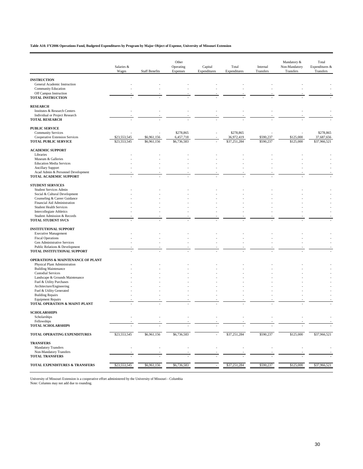**Table A10. FY2006 Operations Fund, Budgeted Expenditures by Program by Major Object of Expense, University of Missouri Extension**

|                                                      | Salaries &   |                       | Other<br>Operating | Capital      | Total        | Internal  | Mandatory &<br>Non-Mandatory | Total<br>Expenditures & |
|------------------------------------------------------|--------------|-----------------------|--------------------|--------------|--------------|-----------|------------------------------|-------------------------|
|                                                      | Wages        | <b>Staff Benefits</b> | Expenses           | Expenditures | Expenditures | Transfers | Transfers                    | Transfers               |
| <b>INSTRUCTION</b>                                   |              |                       |                    |              |              |           |                              |                         |
| General Academic Instruction                         |              |                       |                    |              |              |           |                              |                         |
| <b>Community Education</b>                           |              |                       |                    |              |              |           |                              |                         |
| Off Campus Instruction                               |              |                       |                    |              |              |           |                              |                         |
| TOTAL INSTRUCTION                                    |              |                       |                    |              |              |           |                              |                         |
| <b>RESEARCH</b>                                      |              |                       |                    |              |              |           |                              |                         |
| Institutes & Research Centers                        |              |                       |                    |              |              |           |                              |                         |
| Individual or Project Research                       |              |                       |                    |              |              |           |                              |                         |
| <b>TOTAL RESEARCH</b>                                |              |                       |                    |              |              |           |                              |                         |
| <b>PUBLIC SERVICE</b>                                |              |                       |                    |              |              |           |                              |                         |
| <b>Community Services</b>                            |              |                       | \$278,865          |              | \$278,865    |           |                              | \$278,865               |
| Cooperative Extension Services                       | \$23,553,545 | \$6,961,156           | 6,457,718          |              | 36,972,419   | \$590,237 | \$125,000                    | 37,687,656              |
| <b>TOTAL PUBLIC SERVICE</b>                          | \$23,553,545 | \$6,961,156           | \$6,736,583        |              | \$37,251,284 | \$590,237 | \$125,000                    | \$37,966,521            |
| <b>ACADEMIC SUPPORT</b>                              |              |                       |                    |              |              |           |                              |                         |
| Libraries                                            |              |                       |                    |              |              |           |                              |                         |
| Museum & Galleries                                   |              |                       |                    |              |              |           |                              |                         |
| <b>Education Media Services</b>                      |              |                       |                    |              |              |           |                              |                         |
| <b>Ancillary Support</b>                             |              |                       |                    |              |              |           |                              |                         |
| Acad Admin & Personnel Development                   |              |                       |                    |              |              |           |                              |                         |
| TOTAL ACADEMIC SUPPORT                               |              |                       |                    |              |              |           |                              |                         |
| <b>STUDENT SERVICES</b>                              |              |                       |                    |              |              |           |                              |                         |
| <b>Student Services Admin</b>                        |              |                       |                    |              |              |           |                              |                         |
| Social & Cultural Development                        |              |                       |                    |              |              |           |                              |                         |
| Counseling & Career Guidance                         |              |                       |                    |              |              |           |                              |                         |
| Financial Aid Administration                         |              |                       |                    |              |              |           |                              |                         |
| <b>Student Health Services</b>                       |              |                       |                    |              |              |           |                              |                         |
| <b>Intercollegiate Athletics</b>                     |              |                       |                    |              |              |           |                              |                         |
| Student Admission & Records                          |              |                       |                    |              |              |           |                              |                         |
| <b>TOTAL STUDENT SVCS</b>                            |              |                       |                    |              |              |           |                              |                         |
| <b>INSTITUTIONAL SUPPORT</b>                         |              |                       |                    |              |              |           |                              |                         |
| <b>Executive Management</b>                          |              |                       |                    |              |              |           |                              |                         |
| <b>Fiscal Operations</b>                             |              |                       |                    |              |              |           |                              |                         |
| Gen Administrative Services                          |              |                       |                    |              |              |           |                              |                         |
| Public Relations & Development                       |              |                       |                    |              |              |           |                              |                         |
| TOTAL INSTITUTIONAL SUPPORT                          |              |                       |                    |              |              |           |                              |                         |
| <b>OPERATIONS &amp; MAINTENANCE OF PLANT</b>         |              |                       |                    |              |              |           |                              |                         |
| Physical Plant Administration                        |              |                       |                    |              |              |           |                              |                         |
| <b>Building Maintenance</b>                          |              |                       |                    |              |              |           |                              |                         |
| <b>Custodial Services</b>                            |              |                       |                    |              |              |           |                              |                         |
| Landscape & Grounds Maintenance                      |              |                       |                    |              |              |           |                              |                         |
| Fuel & Utility Purchases                             |              |                       |                    |              |              |           |                              |                         |
| Architecture/Engineering<br>Fuel & Utility Generated |              |                       |                    |              |              |           |                              |                         |
| <b>Building Repairs</b>                              |              |                       |                    |              |              |           |                              |                         |
| <b>Equipment Repairs</b>                             |              |                       |                    |              |              |           |                              |                         |
| TOTAL OPERATION & MAINT-PLANT                        |              |                       |                    |              |              |           |                              |                         |
| <b>SCHOLARSHIPS</b>                                  |              |                       |                    |              |              |           |                              |                         |
| Scholarships                                         |              |                       |                    |              |              |           |                              |                         |
| Fellowships                                          |              |                       |                    |              |              |           |                              |                         |
| <b>TOTAL SCHOLARSHIPS</b>                            |              |                       |                    |              |              |           |                              |                         |
| TOTAL OPERATING EXPENDITURES                         | \$23,553,545 | \$6,961,156           | \$6,736,583        |              | \$37,251,284 | \$590,237 | \$125,000                    | \$37,966,521            |
| <b>TRANSFERS</b>                                     |              |                       |                    |              |              |           |                              |                         |
| <b>Mandatory Transfers</b>                           |              |                       |                    |              |              |           |                              |                         |
| Non-Mandatory Transfers                              |              |                       |                    |              |              |           |                              |                         |
| <b>TOTAL TRANSFERS</b>                               |              |                       |                    |              |              |           |                              |                         |
|                                                      |              |                       |                    |              |              |           |                              |                         |
| TOTAL EXPENDITURES & TRANSFERS                       | \$23,553,545 | \$6,961,156           | \$6,736,583        |              | \$37,251,284 | \$590,237 | \$125,000                    | \$37,966,521            |

University of Missouri Extension is a cooperative effort administered by the University of Missouri - Columbia Note: Columns may not add due to rounding.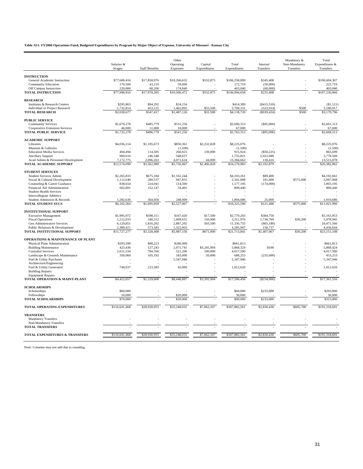#### **Table A11. FY2006 Operations Fund, Budgeted Expenditures by Program by Major Object of Expense, University of Missouri - Kansas City**

|                                                                     |                          |                       | Other                    |                         |                          |                           | Mandatory &                | Total                       |
|---------------------------------------------------------------------|--------------------------|-----------------------|--------------------------|-------------------------|--------------------------|---------------------------|----------------------------|-----------------------------|
|                                                                     | Salaries &<br>Wages      | <b>Staff Benefits</b> | Operating<br>Expenses    | Capital<br>Expenditures | Total<br>Expenditures    | Internal<br>Transfers     | Non-Mandatory<br>Transfers | Expenditures &<br>Transfers |
|                                                                     |                          |                       |                          |                         |                          |                           |                            |                             |
| <b>INSTRUCTION</b><br>General Academic Instruction                  | \$77,600,416             | \$17,858,976          | \$10,266,632             | \$532,875               | \$106,258,899            | \$345,408                 |                            | \$106,604,307               |
| <b>Community Education</b>                                          | 170,500                  | 43,219                | 59,000                   |                         | 272,719                  | (50,000)                  |                            | 222,719                     |
| Off Campus Instruction                                              | 220,000                  | 68,200                | 174,840                  |                         | 463,040                  | (60,000)                  |                            | 403,040                     |
| <b>TOTAL INSTRUCTION</b>                                            | \$77,990,916             | \$17,970,395          | \$10,500,472             | \$532,875               | \$106,994,658            | \$235,408                 |                            | \$107,230,066               |
| <b>RESEARCH</b>                                                     |                          |                       |                          |                         |                          |                           |                            |                             |
| Institutes & Research Centers                                       | \$295,863                | \$94.292              | \$24,234                 |                         | \$414,389                | (S415, 510)               |                            | (S1, 121)                   |
| Individual or Project Research<br><b>TOTAL RESEARCH</b>             | 1,732,814<br>\$2,028,677 | 453,125<br>\$547,417  | 1,462,892<br>\$1,487,126 | \$55,500<br>\$55,500    | 3,704,331<br>\$4,118,720 | (523, 914)<br>(S939, 424) | \$500<br>\$500             | 3,180,917<br>\$3,179,796    |
|                                                                     |                          |                       |                          |                         |                          |                           |                            |                             |
| <b>PUBLIC SERVICE</b><br><b>Community Services</b>                  | \$1,679,278              | \$485,779             | \$531,256                |                         | \$2,696,313              | (\$95,000)                |                            | \$2,601,313                 |
| <b>Cooperative Extension Services</b>                               | 46,000                   | 11,000                | 10,000                   |                         | 67,000                   |                           |                            | 67,000                      |
| <b>TOTAL PUBLIC SERVICE</b>                                         | \$1,725,278              | \$496,779             | \$541,256                |                         | \$2,763,313              | (\$95,000)                |                            | \$2,668,313                 |
| <b>ACADEMIC SUPPORT</b>                                             |                          |                       |                          |                         |                          |                           |                            |                             |
| Libraries                                                           | \$4,036,214              | \$1,105,673           | \$850,361                | \$2,232,828             | \$8,225,076              |                           |                            | \$8,225,076                 |
| Museum & Galleries                                                  |                          |                       | (1,500)                  |                         | (1,500)                  |                           |                            | (1,500)                     |
| <b>Education Media Services</b>                                     | 404.494                  | 114,505               | 266,925                  | 130,000                 | 915,924                  | (\$50,225)                |                            | 865,699                     |
| <b>Ancillary Support</b>                                            | 960,616<br>7,172,775     | 246,548<br>2,096,263  | 548,657<br>4,071,624     |                         | 1,755,821<br>13,384,662  | 2,022,688<br>130,416      |                            | 3,778,509<br>13,515,078     |
| Acad Admin & Personnel Development<br><b>TOTAL ACADEMIC SUPPORT</b> | \$12,574,099             | \$3,562,989           | \$5,736,067              | 44,000<br>\$2,406,828   | \$24,279,983             | \$2,102,879               |                            | \$26,382,862                |
| <b>STUDENT SERVICES</b>                                             |                          |                       |                          |                         |                          |                           |                            |                             |
| <b>Student Services Admin</b>                                       | \$2,265,833              | \$675,184             | \$1,162,244              |                         | \$4,103,261              | \$89,400                  |                            | \$4,192,661                 |
| Social & Cultural Development                                       | 1,112,640                | 280,537               | 947,831                  |                         | 2,341,008                | 181,000                   | \$575,000                  | 3,097,008                   |
| Counseling & Career Guidance                                        | 838,654                  | 224,041               | 114,500                  |                         | 1,177,195                | (174,000)                 |                            | 1,003,195                   |
| Financial Aid Administration                                        | 602,801                  | 152,147               | 54,492                   |                         | 809,440                  |                           |                            | 809,440                     |
| <b>Student Health Services</b>                                      |                          |                       |                          |                         |                          |                           |                            |                             |
| <b>Intercollegiate Athletics</b><br>Student Admission & Records     | 1.282.636                | 364,050               | 248,000                  |                         | 1.894.686                | 25,000                    |                            | 1.919.686                   |
| <b>TOTAL STUDENT SVCS</b>                                           | \$6,102,564              | \$1,695,959           | \$2,527,067              |                         | \$10,325,590             | \$121,400                 | \$575,000                  | \$11,021,990                |
| <b>INSTITUTIONAL SUPPORT</b>                                        |                          |                       |                          |                         |                          |                           |                            |                             |
| <b>Executive Management</b>                                         | \$1,995,972              | \$598,311             | \$167,420                | \$17,500                | \$2,779,203              | \$384,750                 |                            | \$3,163,953                 |
| <b>Fiscal Operations</b>                                            | 1,212,033                | 340,312               | 1,609,631                | 150,000                 | 3,311,976                | 1,736,769                 | \$30,200                   | 5,078,945                   |
| Gen Administrative Services                                         | 6,129,851                | 1,816,202             | 2,887,202                | 503,500                 | 11,336,755               | (865, 189)                |                            | 10,471,566                  |
| Public Relations & Development                                      | 2,389,421                | 573,583               | 1,322,903                |                         | 4,285,907                | 150,737                   |                            | 4,436,644                   |
| TOTAL INSTITUTIONAL SUPPORT                                         | \$11,727,277             | \$3,328,408           | \$5,987,156              | \$671,000               | \$21,713,841             | \$1,407,067               | \$30,200                   | \$23,151,108                |
| <b>OPERATIONS &amp; MAINTENANCE OF PLANT</b>                        |                          |                       |                          |                         |                          |                           |                            |                             |
| Physical Plant Administration                                       | \$293,590                | \$88,223              | \$280,000                |                         | \$661,813                |                           |                            | \$661,813                   |
| <b>Building Maintenance</b><br><b>Custodial Services</b>            | 423,436<br>2,611,534     | 127,243<br>784,766    | 2,071,741<br>521,200     | \$3,245,904<br>100,000  | 5,868,324<br>4,017,500   | \$100                     |                            | 5,868,424<br>4,017,500      |
| Landscape & Grounds Maintenance                                     | 350,060                  | 105,193               | 183,000                  | 50,000                  | 688,253                  | (235,000)                 |                            | 453,253                     |
| Fuel & Utility Purchases                                            |                          |                       | 5,347,946                |                         | 5,347,946                |                           |                            | 5,347,946                   |
| Architecture/Engineering                                            |                          |                       |                          |                         |                          |                           |                            |                             |
| Fuel & Utility Generated                                            | 744,037                  | 223,583               | 45,000                   |                         | 1,012,620                |                           |                            | 1,012,620                   |
| <b>Building Repairs</b>                                             |                          |                       |                          |                         |                          |                           |                            |                             |
| <b>Equipment Repairs</b><br>TOTAL OPERATION & MAINT-PLANT           | \$4,422,657              | \$1,329,008           | \$8,448,887              | \$3,395,904             | \$17,596,456             | $(\$234,900)$             |                            | \$17,361,556                |
| <b>SCHOLARSHIPS</b>                                                 |                          |                       |                          |                         |                          |                           |                            |                             |
| Scholarships                                                        | \$60,000                 |                       |                          |                         | \$60,000                 | \$233,000                 |                            | \$293,000                   |
| Fellowships                                                         | 10,000                   |                       | \$20,000                 |                         | 30,000                   |                           |                            | 30,000                      |
| <b>TOTAL SCHOLARSHIPS</b>                                           | \$70,000                 |                       | \$20,000                 |                         | \$90,000                 | \$233,000                 |                            | \$323,000                   |
| <b>TOTAL OPERATING EXPENDITURES</b>                                 | \$116,641,468            | \$28,930,955          | \$35,248,031             | \$7,062,107             | \$187,882,561            | \$2,830,430               | \$605,700                  | \$191,318,691               |
| <b>TRANSFERS</b>                                                    |                          |                       |                          |                         |                          |                           |                            |                             |
| <b>Mandatory Transfers</b>                                          |                          |                       |                          |                         |                          |                           |                            |                             |
| Non-Mandatory Transfers<br><b>TOTAL TRANSFERS</b>                   |                          |                       |                          |                         |                          |                           |                            |                             |
| <b>TOTAL EXPENDITURES &amp; TRANSFERS</b>                           | \$116,641,468            | \$28,930,955          | \$35,248,031             | \$7,062,107             | \$187,882,561            | \$2,830,430               | \$605,700                  | \$191,318,691               |
|                                                                     |                          |                       |                          |                         |                          |                           |                            |                             |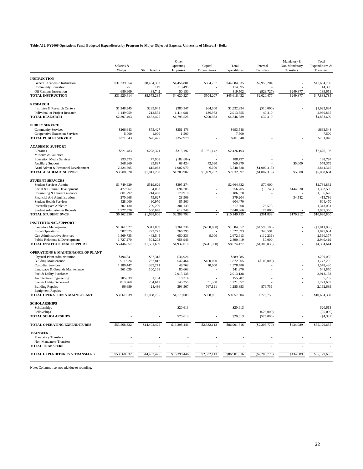**Table A12. FY2006 Operations Fund, Budgeted Expenditures by Program by Major Object of Expense, University of Missouri - Rolla**

|                                                              | Salaries &               |                        | Other<br>Operating       | Capital                  | Total                | Internal                       | Mandatory &<br>Non-Mandatory | Total<br>Expenditures &  |
|--------------------------------------------------------------|--------------------------|------------------------|--------------------------|--------------------------|----------------------|--------------------------------|------------------------------|--------------------------|
|                                                              | Wages                    | <b>Staff Benefits</b>  | Expenses                 | Expenditures             | Expenditures         | Transfers                      | Transfers                    | Transfers                |
| <b>INSTRUCTION</b>                                           |                          |                        |                          |                          |                      |                                |                              |                          |
| General Academic Instruction                                 | \$31,239,054             | \$8,484,393            | \$4,456,881              | \$504,207                | \$44,684,535         | \$2,950,204                    |                              | \$47,634,739             |
| <b>Community Education</b>                                   | 751                      | 149                    | 113,495                  |                          | 114,395              |                                |                              | 114,395                  |
| Off Campus Instruction                                       | 680,609                  | 88,742                 | 50,150                   |                          | 819,502              | (929, 727)                     | \$249,877                    | 139,651                  |
| <b>TOTAL INSTRUCTION</b>                                     | \$31,920,414             | \$8,573,285            | \$4,620,527              | \$504,207                | \$45,618,432         | \$2,020,477                    | \$249,877                    | \$47,888,785             |
| <b>RESEARCH</b>                                              |                          |                        |                          |                          |                      |                                |                              |                          |
| Institutes & Research Centers                                | \$1,248,345              | \$239,943              | \$380,547                | \$64,000                 | \$1,932,834          | (\$10,000)                     |                              | \$1,922,834              |
| Individual or Project Research                               | 1,149,059                | 212,532                | 1,414,981                | 136,983                  | 2,913,555            | 47,310                         |                              | 2,960,865                |
| <b>TOTAL RESEARCH</b>                                        | \$2,397,403              | \$452,475              | \$1,795,528              | \$200,983                | \$4,846,389          | \$37,310                       |                              | \$4,883,699              |
| <b>PUBLIC SERVICE</b>                                        |                          |                        |                          |                          |                      |                                |                              |                          |
| <b>Community Services</b>                                    | \$266,643                | \$75,427               | \$351,479                | $\overline{\phantom{a}}$ | \$693,548            |                                |                              | \$693,548                |
| <b>Cooperative Extension Services</b>                        | 5,000                    | 1.000                  | 1,500                    |                          | 7,500                |                                |                              | 7,500                    |
| <b>TOTAL PUBLIC SERVICE</b>                                  | \$271,643                | \$76,427               | \$352,979                |                          | \$701,048            |                                |                              | \$701,048                |
| <b>ACADEMIC SUPPORT</b>                                      |                          |                        |                          |                          |                      |                                |                              |                          |
| Libraries                                                    | \$821,483                | \$228,371              | \$315,197                | \$1,061,142              | \$2,426,193          |                                |                              | \$2,426,193              |
| Museum & Galleries                                           |                          |                        |                          |                          |                      |                                |                              |                          |
| <b>Education Media Services</b>                              | 293.573                  | 77,908                 | (182, 684)               |                          | 188,797              |                                |                              | 188,797                  |
| <b>Ancillary Support</b>                                     | 368,969                  | 89,897                 | 68,424                   | 42,090                   | 569,379              |                                | \$5,000                      | 574,379                  |
| Acad Admin & Personnel Development<br>TOTAL ACADEMIC SUPPORT | 2,224,595<br>\$3,708,620 | 615,063<br>\$1,011,238 | 1,002,970<br>\$1,203,907 | 6,000<br>\$1,109,232     | 3,848,628            | (\$1,007,313)<br>(\$1,007,313) | \$5,000                      | 2,841,315<br>\$6,030,684 |
|                                                              |                          |                        |                          |                          | \$7,032,997          |                                |                              |                          |
| <b>STUDENT SERVICES</b>                                      |                          |                        |                          |                          |                      |                                |                              |                          |
| <b>Student Services Admin</b>                                | \$1,749,929              | \$519,629              | \$395,274                |                          | \$2,664,832          | \$70,000                       |                              | \$2,734,832              |
| Social & Cultural Development                                | 477,967<br>801,292       | 84,033                 | 694,705<br>170,918       |                          | 1,256,705            | (18,740)                       | \$144,630                    | 1,382,595<br>1,186,670   |
| Counseling & Career Guidance<br>Financial Aid Administration | 270,668                  | 214,460<br>79,627      | 28,909                   |                          | 1,186,670<br>379,204 |                                | 34,582                       | 413,786                  |
| <b>Student Health Services</b>                               | 428,000                  | 90,970                 | 85,500                   |                          | 604,470              |                                |                              | 604,470                  |
| Intercollegiate Athletics                                    | 707,130                  | 209,239                | 301,139                  |                          | 1,217,508            | 125,573                        |                              | 1,343,081                |
| Student Admission & Records                                  | 1,727,370                | 500,648                | 612,348                  |                          | 2,840,366            | 125,000                        |                              | 2,965,366                |
| <b>TOTAL STUDENT SVCS</b>                                    | \$6,162,356              | \$1,698,606            | \$2,288,793              |                          | \$10,149,755         | \$301,833                      | \$179,212                    | \$10,630,800             |
| <b>INSTITUTIONAL SUPPORT</b>                                 |                          |                        |                          |                          |                      |                                |                              |                          |
| <b>Executive Management</b>                                  | \$1,161,927              | \$311,089              | \$361,336                | (\$250,000)              | \$1,584,352          | ( \$4,596,188)                 |                              | ( \$3,011,836)           |
| <b>Fiscal Operations</b>                                     | 987,925                  | 272,773                | 266,395                  |                          | 1,527,093            | 348,591                        |                              | 1,875,684                |
| Gen Administrative Services                                  | 1,569,735                | 443,545                | 650,333                  | 9,000                    | 2,672,613            | (112, 236)                     |                              | 2,560,377                |
| Public Relations & Development                               | 1,727,270                | 504,203                | 658,946                  |                          | 2,890,419            | 50,000                         |                              | 2,940,419                |
| TOTAL INSTITUTIONAL SUPPORT                                  | \$5,446,857              | \$1,531,609            | \$1,937,010              | (\$241,000)              | \$8,674,477          | ( \$4,309,833)                 |                              | \$4,364,644              |
| <b>OPERATIONS &amp; MAINTENANCE OF PLANT</b>                 |                          |                        |                          |                          |                      |                                |                              |                          |
| Physical Plant Administration                                | \$194,841                | \$57,318               | \$36,926                 |                          | \$289,085            |                                |                              | \$289,085                |
| <b>Building Maintenance</b>                                  | 911,924                  | 267,817                | 542,464                  | \$150,000                | 1,872,205            | (\$100,000)                    |                              | 1,772,205                |
| <b>Custodial Services</b><br>Landscape & Grounds Maintenance | 1,180,447<br>361,039     | 339,271<br>100,168     | 48,762<br>80,663         | 10,000                   | 1,578,480<br>541,870 |                                |                              | 1,578,480<br>541,870     |
| Fuel & Utility Purchases                                     |                          |                        | 2,913,138                |                          | 2,913,138            |                                |                              | 2,913,138                |
| Architecture/Engineering                                     | 105,839                  | 31,134                 | 18,314                   |                          | 155,287              |                                |                              | 155,287                  |
| Fuel & Utility Generated                                     | 810,260                  | 234,642                | 145,255                  | 31,500                   | 1,221,657            |                                |                              | 1,221,657                |
| <b>Building Repairs</b>                                      | 96,689                   | 28,436                 | 393,567                  | 767,191                  | 1,285,883            | 876,756                        |                              | 2,162,639                |
| <b>Equipment Repairs</b><br>TOTAL OPERATION & MAINT-PLANT    | \$3,661,039              | \$1,058,785            | \$4,179,089              | \$958,691                | \$9,857,604          | \$776,756                      |                              | \$10,634,360             |
|                                                              |                          |                        |                          |                          |                      |                                |                              |                          |
| <b>SCHOLARSHIPS</b>                                          |                          |                        |                          |                          |                      |                                |                              |                          |
| Scholarships                                                 |                          |                        | \$20,613                 |                          | \$20,613             |                                |                              | \$20,613                 |
| Fellowships<br><b>TOTAL SCHOLARSHIPS</b>                     |                          |                        | \$20,613                 |                          | \$20,613             | (\$25,000)<br>(\$25,000)       |                              | (25,000)<br>(S4, 387)    |
|                                                              |                          |                        |                          |                          |                      |                                |                              |                          |
| <b>TOTAL OPERATING EXPENDITURES</b>                          | \$53,568,332             | \$14,402,425           | \$16,398,446             | \$2,532,113              | \$86,901,316         | $(\$2,205,770)$                | \$434,089                    | \$85,129,635             |
| <b>TRANSFERS</b>                                             |                          |                        |                          |                          |                      |                                |                              |                          |
| <b>Mandatory Transfers</b>                                   |                          |                        |                          |                          |                      |                                |                              |                          |
| Non-Mandatory Transfers                                      |                          |                        |                          |                          |                      |                                |                              |                          |
| <b>TOTAL TRANSFERS</b>                                       |                          |                        |                          |                          |                      |                                |                              |                          |
| <b>TOTAL EXPENDITURES &amp; TRANSFERS</b>                    | \$53,568,332             | \$14,402,425           | \$16,398,446             | \$2,532,113              | \$86,901,316         | $(\$2,205,770)$                | \$434,089                    | \$85,129,635             |
|                                                              |                          |                        |                          |                          |                      |                                |                              |                          |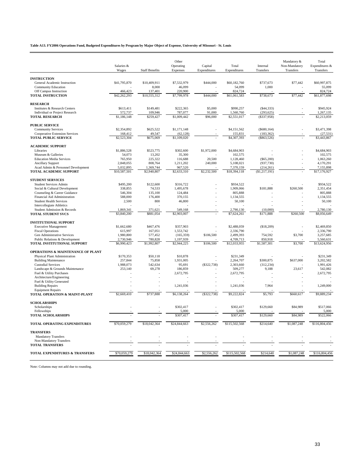**Table A13. FY2006 Operations Fund, Budgeted Expenditures by Program by Major Object of Expense, University of Missouri - St. Louis**

|                                                               | Salaries &               |                         | Other<br>Operating      | Capital       | Total                    | Internal              | Mandatory &<br>Non-Mandatory | Total<br>Expenditures $&$ |
|---------------------------------------------------------------|--------------------------|-------------------------|-------------------------|---------------|--------------------------|-----------------------|------------------------------|---------------------------|
|                                                               | Wages                    | <b>Staff Benefits</b>   | Expenses                | Expenditures  | Expenditures             | Transfers             | Transfers                    | Transfers                 |
| <b>INSTRUCTION</b>                                            |                          |                         |                         |               |                          |                       |                              |                           |
| General Academic Instruction                                  | \$41,795,870             | \$10,409,911            | \$7,532,979             | \$444,000     | \$60,182,760             | \$737,673             | \$77,442                     | \$60,997,875              |
| Community Education                                           |                          | 8,000                   | 46,099                  |               | 54,099                   | 1,000                 |                              | 55,099                    |
| Off Campus Instruction                                        | 466,423                  | 137,401                 | 220,900                 |               | 824,724                  |                       |                              | 824,724                   |
| <b>TOTAL INSTRUCTION</b>                                      | \$42,262,293             | \$10,555,312            | \$7,799,978             | \$444,000     | \$61,061,583             | \$738,673             | \$77,442                     | \$61,877,698              |
|                                                               |                          |                         |                         |               |                          |                       |                              |                           |
| <b>RESEARCH</b><br>Institutes & Research Centers              | \$613,411                | \$149,481               | \$222,365               | \$5,000       | \$990,257                | ( \$44, 333)          |                              | \$945,924                 |
| Individual or Project Research                                | 572,737                  | 109,946                 | 787,077                 | 91,000        | 1,560,760                | (293, 625)            |                              | 1,267,135                 |
| <b>TOTAL RESEARCH</b>                                         | \$1,186,148              | \$259,427               | \$1,009,442             | \$96,000      | \$2,551,017              | $($ \$337,958)        |                              | \$2,213,059               |
| <b>PUBLIC SERVICE</b>                                         |                          |                         |                         |               |                          |                       |                              |                           |
| <b>Community Services</b>                                     | \$2,354,892              | \$625,522               | \$1,171,148             | L,            | \$4,151,562              | (\$680,164)           |                              | \$3,471,398               |
| <b>Cooperative Extension Services</b>                         | 168,412                  | 49,547                  | (62, 128)               |               | 155,831                  | (183, 362)            |                              | (27, 531)                 |
| <b>TOTAL PUBLIC SERVICE</b>                                   | \$2,523,304              | \$675,069               | \$1,109,020             |               | \$4,307,393              | (\$863,526)           |                              | \$3,443,867               |
|                                                               |                          |                         |                         |               |                          |                       |                              |                           |
| <b>ACADEMIC SUPPORT</b>                                       | \$1,886,528              | \$523,775               | \$302,600               | \$1,972,000   | \$4,684,903              |                       |                              | \$4,684,903               |
| Libraries<br>Museum & Galleries                               | 54,073                   | 13,202                  | 35,300                  |               | 102,575                  |                       |                              | 102,575                   |
| <b>Education Media Services</b>                               | 765,950                  | 225,322                 | 116,688                 | 20,500        | 1,128,460                | $(\$65,200)$          |                              | 1,063,260                 |
| <b>Ancillary Support</b>                                      | 2,848,055                | 808,764                 | 1,211,202               | 240,000       | 5,108,021                | (937, 730)            |                              | 4,170,291                 |
| Acad Admin & Personnel Development                            | 5,032,895                | 1,369,744               | 967,520                 |               | 7,370,159                | (214, 261)            |                              | 7,155,898                 |
| TOTAL ACADEMIC SUPPORT                                        | \$10,587,501             | \$2,940,807             | \$2,633,310             | \$2,232,500   | \$18,394,118             | (S1, 217, 191)        |                              | \$17,176,927              |
| <b>STUDENT SERVICES</b>                                       |                          |                         |                         |               |                          |                       |                              |                           |
| Student Services Admin                                        | \$495,200                | \$122,600               | \$316,722               |               | \$934,522                |                       |                              | \$934,522                 |
| Social & Cultural Development                                 | 338,855                  | 74,533                  | 1,495,678               |               | 1,909,066                | \$181,888             | \$260,500                    | 2,351,454                 |
| Counseling & Career Guidance                                  | 546,304                  | 135,100                 | 124,484                 |               | 805,888                  |                       |                              | 805,888                   |
| Financial Aid Administration                                  | 588,000                  | 176,400                 | 370,155                 |               | 1,134,555                |                       |                              | 1,134,555                 |
| <b>Student Health Services</b>                                | 2,500                    | 800                     | 46,800                  |               | 50,100                   |                       |                              | 50,100                    |
| Intercollegiate Athletics                                     |                          |                         |                         |               |                          |                       |                              |                           |
| Student Admission & Records<br><b>TOTAL STUDENT SVCS</b>      | 1,869,341<br>\$3,840,200 | 371,621<br>\$881,054    | 549,168<br>\$2,903,007  |               | 2,790,130<br>\$7,624,261 | (10,000)<br>\$171,888 | \$260,500                    | 2,780,130<br>\$8,056,649  |
|                                                               |                          |                         |                         |               |                          |                       |                              |                           |
| <b>INSTITUTIONAL SUPPORT</b>                                  |                          |                         |                         |               |                          |                       |                              |                           |
| <b>Executive Management</b>                                   | \$1,662,680              | \$467,476               | \$357,903               |               | \$2,488,059              | (\$18,209)            |                              | \$2,469,850               |
| <b>Fiscal Operations</b>                                      | 615,997                  | 167,051                 | 1,553,742               |               | 2,336,790                |                       |                              | 2,336,790                 |
| Gen Administrative Services<br>Public Relations & Development | 1,980,800<br>2,730,946   | 577,452<br>780,828      | (165, 359)<br>1,197,939 | \$106,500     | 2,499,393<br>4,709,713   | 754,592<br>850,918    | \$3,700                      | 3,257,685<br>5,560,631    |
| TOTAL INSTITUTIONAL SUPPORT                                   | \$6,990,423              | $\overline{$1,992,807}$ | \$2,944,225             | \$106,500     | \$12,033,955             | \$1,587,301           | \$3,700                      | \$13,624,956              |
|                                                               |                          |                         |                         |               |                          |                       |                              |                           |
| <b>OPERATIONS &amp; MAINTENANCE OF PLANT</b>                  |                          |                         |                         |               |                          |                       |                              |                           |
| Physical Plant Administration                                 | \$170,353                | \$50.118<br>75,858      | \$10,878<br>1,931,005   |               | \$231.349<br>2,264,707   | \$300,875             |                              | \$231.349<br>3,202,582    |
| <b>Building Maintenance</b><br><b>Custodial Services</b>      | 257,844<br>1,988,073     | 542,634                 | 95,691                  | ( \$322, 738) | 2,303,660                | (312, 234)            | \$637,000                    | 1,991,426                 |
| Landscape & Grounds Maintenance                               | 253,140                  | 69,278                  | 186,859                 |               | 509,277                  | 9,188                 | 23,617                       | 542,082                   |
| Fuel & Utility Purchases                                      |                          |                         | 2,672,795               |               | 2,672,795                |                       |                              | 2,672,795                 |
| Architecture/Engineering                                      |                          |                         |                         |               |                          |                       |                              |                           |
| Fuel & Utility Generated                                      |                          |                         |                         |               |                          |                       |                              |                           |
| <b>Building Repairs</b>                                       |                          |                         | 1,241,036               |               | 1,241,036                | 7,964                 |                              | 1,249,000                 |
| <b>Equipment Repairs</b><br>TOTAL OPERATION & MAINT-PLANT     | \$2,669,410              | \$737,888               | \$6,138,264             | ( \$322, 738) | \$9,222,824              | \$5,793               | \$660,617                    | \$9,889,234               |
|                                                               |                          |                         |                         |               |                          |                       |                              |                           |
| <b>SCHOLARSHIPS</b>                                           |                          |                         |                         |               |                          |                       |                              |                           |
| Scholarships<br>Fellowships                                   |                          |                         | \$302,417               |               | \$302,417<br>5,000       | \$129,660             | \$84,989                     | \$517,066<br>5,000        |
| <b>TOTAL SCHOLARSHIPS</b>                                     |                          |                         | 5,000<br>\$307,417      |               | \$307,417                | \$129,660             | \$84,989                     | \$522,066                 |
|                                                               |                          |                         |                         |               |                          |                       |                              |                           |
| TOTAL OPERATING EXPENDITURES                                  | \$70,059,279             | \$18,042,364            | \$24,844,663            | \$2,556,262   | \$115,502,568            | \$214,640             | \$1,087,248                  | \$116,804,456             |
| <b>TRANSFERS</b>                                              |                          |                         |                         |               |                          |                       |                              |                           |
| <b>Mandatory Transfers</b>                                    |                          |                         |                         |               |                          |                       |                              |                           |
| Non-Mandatory Transfers                                       |                          |                         |                         |               |                          |                       |                              |                           |
| <b>TOTAL TRANSFERS</b>                                        |                          |                         |                         |               |                          |                       |                              |                           |
| TOTAL EXPENDITURES & TRANSFERS                                | \$70,059,279             | \$18,042,364            | \$24,844,663            | \$2,556,262   | \$115,502,568            | \$214,640             | \$1,087,248                  | \$116,804,456             |
|                                                               |                          |                         |                         |               |                          |                       |                              |                           |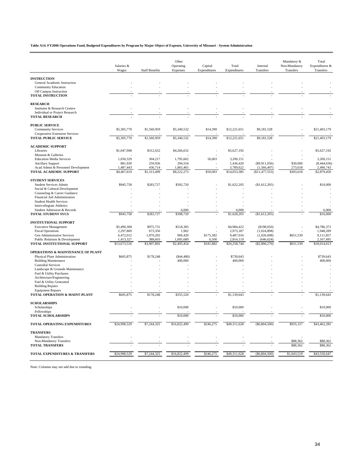**Table A14. FY2006 Operations Fund, Budgeted Expenditures by Program by Major Object of Expense, University of Missouri - System Administration**

|                                                                | Salaries &<br>Wages       | <b>Staff Benefits</b>  | Other<br>Operating<br>Expenses | Capital<br>Expenditures | Total<br>Expenditures     | Internal<br>Transfers           | Mandatory &<br>Non-Mandatory<br>Transfers | Total<br>Expenditures &<br>Transfers |
|----------------------------------------------------------------|---------------------------|------------------------|--------------------------------|-------------------------|---------------------------|---------------------------------|-------------------------------------------|--------------------------------------|
|                                                                |                           |                        |                                |                         |                           |                                 |                                           |                                      |
| <b>INSTRUCTION</b>                                             |                           |                        |                                |                         |                           |                                 |                                           |                                      |
| General Academic Instruction                                   |                           |                        |                                |                         |                           |                                 |                                           |                                      |
| <b>Community Education</b><br>Off Campus Instruction           |                           |                        |                                |                         |                           |                                 |                                           |                                      |
| <b>TOTAL INSTRUCTION</b>                                       |                           |                        |                                |                         |                           |                                 |                                           |                                      |
| <b>RESEARCH</b>                                                |                           |                        |                                |                         |                           |                                 |                                           |                                      |
| Institutes & Research Centers                                  |                           |                        |                                |                         |                           |                                 |                                           |                                      |
| Individual or Project Research                                 |                           |                        |                                |                         |                           |                                 |                                           |                                      |
| <b>TOTAL RESEARCH</b>                                          |                           |                        |                                |                         |                           |                                 |                                           |                                      |
| <b>PUBLIC SERVICE</b>                                          |                           |                        |                                |                         |                           |                                 |                                           |                                      |
| <b>Community Services</b>                                      | \$5,305,770               | \$1,560,959            | \$5,340,532                    | \$14,390                | \$12,221,651              | \$9,181,528                     |                                           | \$21,403,179                         |
| <b>Cooperative Extension Services</b>                          |                           |                        |                                |                         |                           |                                 |                                           |                                      |
| <b>TOTAL PUBLIC SERVICE</b>                                    | $$5,\overline{305,770}$   | \$1,560,959            | \$5,340,532                    | \$14,390                | \$12,221,651              | \$9,181,528                     |                                           | \$21,403,179                         |
| <b>ACADEMIC SUPPORT</b>                                        |                           |                        |                                |                         |                           |                                 |                                           |                                      |
| Libraries                                                      | \$1,047,908               | \$312,632              | \$4,266,652                    |                         | \$5,627,192               |                                 |                                           | \$5,627,192                          |
| Museum & Galleries                                             |                           |                        |                                |                         |                           |                                 |                                           |                                      |
| <b>Education Media Services</b>                                | 1,050,329                 | 304,217                | 1,795,602                      | 50,003                  | 3,200,151                 |                                 |                                           | 3,200,151                            |
| <b>Ancillary Support</b>                                       | 881,930                   | 259,936                | 294,554                        |                         | 1,436,420                 | (\$9,911,056)                   | \$30,000                                  | (8,444,636)                          |
| Acad Admin & Personnel Development<br>TOTAL ACADEMIC SUPPORT   | 1,487,443<br>\$4,467,610  | 436,714<br>\$1,313,499 | 1,865,465<br>\$8,222,273       | \$50,003                | 3,789,622<br>\$14,053,385 | (1, 566, 497)<br>(\$11,477,553) | 273,618<br>\$303,618                      | 2,496,743<br>\$2,879,450             |
|                                                                |                           |                        |                                |                         |                           |                                 |                                           |                                      |
| <b>STUDENT SERVICES</b>                                        |                           |                        |                                |                         |                           |                                 |                                           |                                      |
| <b>Student Services Admin</b><br>Social & Cultural Development | \$945,758                 | \$283,727              | \$392,720                      |                         | \$1,622,205               | (S1, 612, 205)                  |                                           | \$10,000                             |
| Counseling & Career Guidance                                   |                           |                        |                                |                         |                           |                                 |                                           |                                      |
| Financial Aid Administration                                   |                           |                        |                                |                         |                           |                                 |                                           |                                      |
| <b>Student Health Services</b>                                 |                           |                        |                                |                         |                           |                                 |                                           |                                      |
| <b>Intercollegiate Athletics</b>                               |                           |                        |                                |                         |                           |                                 |                                           |                                      |
| Student Admission & Records                                    |                           |                        | 6,000                          |                         | 6,000                     |                                 |                                           | 6,000                                |
| <b>TOTAL STUDENT SVCS</b>                                      | \$945,758                 | \$283,727              | \$398,720                      |                         | \$1,628,205               | (\$1,612,205)                   |                                           | \$16,000                             |
| <b>INSTITUTIONAL SUPPORT</b>                                   |                           |                        |                                |                         |                           |                                 |                                           |                                      |
| <b>Executive Management</b>                                    | \$3,490,308               | \$975,731              | \$518,383                      |                         | \$4,984,422               | (\$198,050)                     |                                           | \$4,786,372                          |
| <b>Fiscal Operations</b>                                       | 2,297,869                 | 673,356                | 1,962                          |                         | 2,973,187                 | (1,024,898)                     |                                           | 1,948,289                            |
| Gen Administrative Services                                    | 6,472,012                 | 1,870,202              | 969,420                        | \$175,382               | 9,487,016                 | (1,026,698)                     | \$651,539                                 | 9,111,857                            |
| Public Relations & Development<br>TOTAL INSTITUTIONAL SUPPORT  | 1,413,327<br>\$13,673,516 | 388,603<br>\$3,907,892 | 1,005,689<br>\$2,495,454       | 6,500<br>\$181,882      | 2,814,119<br>\$20,258,744 | (646, 624)<br>(\$2,896,270)     | \$651,539                                 | 2,167,495<br>\$18,014,013            |
|                                                                |                           |                        |                                |                         |                           |                                 |                                           |                                      |
| <b>OPERATIONS &amp; MAINTENANCE OF PLANT</b>                   |                           |                        |                                |                         |                           |                                 |                                           |                                      |
| Physical Plant Administration                                  | \$605,875                 | \$178,248              | $(\$44,480)$                   |                         | \$739,643                 |                                 |                                           | \$739,643                            |
| <b>Building Maintenance</b><br><b>Custodial Services</b>       |                           |                        | 400,000                        |                         | 400,000                   |                                 |                                           | 400,000                              |
| Landscape & Grounds Maintenance                                |                           |                        |                                |                         |                           |                                 |                                           |                                      |
| Fuel & Utility Purchases                                       |                           |                        |                                |                         |                           |                                 |                                           |                                      |
| Architecture/Engineering                                       |                           |                        |                                |                         |                           |                                 |                                           |                                      |
| Fuel & Utility Generated                                       |                           |                        |                                |                         |                           |                                 |                                           |                                      |
| <b>Building Repairs</b>                                        |                           |                        |                                |                         |                           |                                 |                                           |                                      |
| <b>Equipment Repairs</b><br>TOTAL OPERATION & MAINT-PLANT      | \$605,875                 | \$178,248              | \$355,520                      |                         | \$1,139,643               |                                 |                                           | \$1,139,643                          |
|                                                                |                           |                        |                                |                         |                           |                                 |                                           |                                      |
| <b>SCHOLARSHIPS</b>                                            |                           |                        |                                |                         |                           |                                 |                                           |                                      |
| Scholarships                                                   |                           |                        | \$10,000                       |                         | \$10,000                  |                                 |                                           | \$10,000                             |
| Fellowships<br><b>TOTAL SCHOLARSHIPS</b>                       |                           |                        | \$10,000                       |                         | \$10,000                  |                                 |                                           | \$10,000                             |
| TOTAL OPERATING EXPENDITURES                                   | \$24,998,529              | \$7,244,325            | \$16,822,499                   | \$246,275               | \$49,311,628              | (\$6,804,500)                   | \$955,157                                 | \$43,462,285                         |
| <b>TRANSFERS</b>                                               |                           |                        |                                |                         |                           |                                 |                                           |                                      |
| <b>Mandatory Transfers</b>                                     |                           |                        |                                |                         |                           |                                 |                                           |                                      |
| Non-Mandatory Transfers                                        |                           |                        |                                |                         |                           |                                 | \$88,362                                  | \$88,362                             |
| <b>TOTAL TRANSFERS</b>                                         |                           |                        |                                |                         |                           |                                 | \$88,362                                  | \$88,362                             |
| TOTAL EXPENDITURES & TRANSFERS                                 | \$24,998,529              | \$7,244,325            | \$16,822,499                   | \$246,275               | \$49,311,628              | (\$6,804,500)                   | \$1,043,519                               | \$43,550,647                         |
|                                                                |                           |                        |                                |                         |                           |                                 |                                           |                                      |